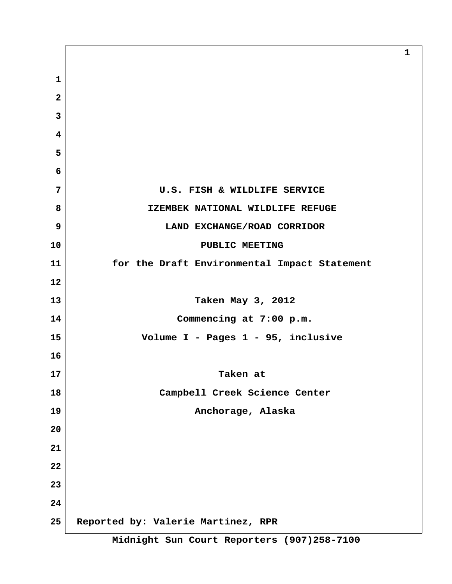**1 2 3 4 5 6 7 U.S. FISH & WILDLIFE SERVICE 8 IZEMBEK NATIONAL WILDLIFE REFUGE 9 LAND EXCHANGE/ROAD CORRIDOR 10 PUBLIC MEETING 11 for the Draft Environmental Impact Statement 12 13 Taken May 3, 2012 14 Commencing at 7:00 p.m. 15 Volume I - Pages 1 - 95, inclusive 16 17 Taken at 18 Campbell Creek Science Center 19 Anchorage, Alaska 20 21 22 23 24 25 Reported by: Valerie Martinez, RPR**

**1**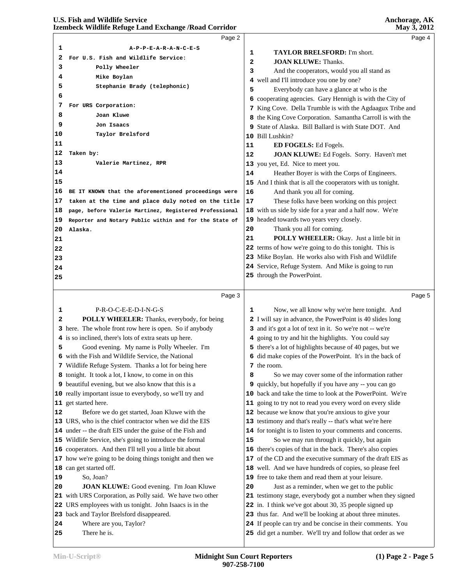|          | Page 2                                                                                                      |    | Page 4                                                                                                       |  |
|----------|-------------------------------------------------------------------------------------------------------------|----|--------------------------------------------------------------------------------------------------------------|--|
| 1        | A-P-P-E-A-R-A-N-C-E-S                                                                                       |    |                                                                                                              |  |
| 2        | For U.S. Fish and Wildlife Service:                                                                         | 1  | TAYLOR BRELSFORD: I'm short.                                                                                 |  |
| 3        | Polly Wheeler                                                                                               | 2  | <b>JOAN KLUWE: Thanks.</b>                                                                                   |  |
| 4        | Mike Boylan                                                                                                 | 3  | And the cooperators, would you all stand as                                                                  |  |
| 5        | Stephanie Brady (telephonic)                                                                                |    | 4 well and I'll introduce you one by one?                                                                    |  |
| 6        |                                                                                                             | 5  | Everybody can have a glance at who is the                                                                    |  |
| 7        | For URS Corporation:                                                                                        |    | 6 cooperating agencies. Gary Hennigh is with the City of                                                     |  |
| 8        | Joan Kluwe                                                                                                  |    | 7 King Cove. Della Trumble is with the Agdaagux Tribe and                                                    |  |
| 9        | Jon Isaacs                                                                                                  |    | 8 the King Cove Corporation. Samantha Carroll is with the                                                    |  |
| 10       | Taylor Brelsford                                                                                            |    | 9 State of Alaska. Bill Ballard is with State DOT. And                                                       |  |
| 11       |                                                                                                             |    | 10 Bill Lushkin?                                                                                             |  |
| 12       | Taken by:                                                                                                   | 11 | <b>ED FOGELS:</b> Ed Fogels.                                                                                 |  |
| 13       | Valerie Martinez, RPR                                                                                       | 12 | JOAN KLUWE: Ed Fogels. Sorry. Haven't met                                                                    |  |
| 14       |                                                                                                             |    | 13 you yet, Ed. Nice to meet you.                                                                            |  |
| 15       |                                                                                                             | 14 | Heather Boyer is with the Corps of Engineers.                                                                |  |
| 16       |                                                                                                             | 16 | 15 And I think that is all the cooperators with us tonight.<br>And thank you all for coming.                 |  |
| 17       | BE IT KNOWN that the aforementioned proceedings were<br>taken at the time and place duly noted on the title | 17 | These folks have been working on this project                                                                |  |
|          |                                                                                                             |    | 18 with us side by side for a year and a half now. We're                                                     |  |
| 18       | page, before Valerie Martinez, Registered Professional                                                      |    | 19 headed towards two years very closely.                                                                    |  |
| 19<br>20 | Reporter and Notary Public within and for the State of                                                      | 20 | Thank you all for coming.                                                                                    |  |
| 21       | Alaska.                                                                                                     | 21 | POLLY WHEELER: Okay. Just a little bit in                                                                    |  |
| 22       |                                                                                                             |    | 22 terms of how we're going to do this tonight. This is                                                      |  |
| 23       |                                                                                                             |    | 23 Mike Boylan. He works also with Fish and Wildlife                                                         |  |
| 24       |                                                                                                             |    | 24 Service, Refuge System. And Mike is going to run                                                          |  |
|          |                                                                                                             |    | 25 through the PowerPoint.                                                                                   |  |
| 25       |                                                                                                             |    |                                                                                                              |  |
|          |                                                                                                             |    |                                                                                                              |  |
|          |                                                                                                             |    |                                                                                                              |  |
|          | Page 3                                                                                                      |    | Page 5                                                                                                       |  |
| 1        | P-R-O-C-E-E-D-I-N-G-S                                                                                       | 1  | Now, we all know why we're here tonight. And                                                                 |  |
| 2        | POLLY WHEELER: Thanks, everybody, for being                                                                 |    | 2 I will say in advance, the PowerPoint is 40 slides long                                                    |  |
|          | 3 here. The whole front row here is open. So if anybody                                                     |    | 3 and it's got a lot of text in it. So we're not -- we're                                                    |  |
|          | 4 is so inclined, there's lots of extra seats up here.                                                      |    | 4 going to try and hit the highlights. You could say                                                         |  |
| 5        | Good evening. My name is Polly Wheeler. I'm                                                                 |    | 5 there's a lot of highlights because of 40 pages, but we                                                    |  |
|          | 6 with the Fish and Wildlife Service, the National                                                          |    | 6 did make copies of the PowerPoint. It's in the back of                                                     |  |
|          | 7 Wildlife Refuge System. Thanks a lot for being here                                                       |    | 7 the room.                                                                                                  |  |
|          | 8 tonight. It took a lot, I know, to come in on this                                                        | 8  | So we may cover some of the information rather                                                               |  |
|          | 9 beautiful evening, but we also know that this is a                                                        | 9  | quickly, but hopefully if you have any -- you can go                                                         |  |
|          | 10 really important issue to everybody, so we'll try and                                                    |    | 10 back and take the time to look at the PowerPoint. We're                                                   |  |
|          | 11 get started here.                                                                                        |    | 11 going to try not to read you every word on every slide                                                    |  |
| 12       | Before we do get started, Joan Kluwe with the                                                               |    | 12 because we know that you're anxious to give your                                                          |  |
|          | 13 URS, who is the chief contractor when we did the EIS                                                     |    | 13 testimony and that's really -- that's what we're here                                                     |  |
|          | 14 under -- the draft EIS under the guise of the Fish and                                                   |    | 14 for tonight is to listen to your comments and concerns.                                                   |  |
|          | 15 Wildlife Service, she's going to introduce the formal                                                    | 15 | So we may run through it quickly, but again                                                                  |  |
|          | 16 cooperators. And then I'll tell you a little bit about                                                   |    | 16 there's copies of that in the back. There's also copies                                                   |  |
|          | 17 how we're going to be doing things tonight and then we                                                   |    | 17 of the CD and the executive summary of the draft EIS as                                                   |  |
| 19       | 18 can get started off.<br>So, Joan?                                                                        |    | 18 well. And we have hundreds of copies, so please feel                                                      |  |
| 20       |                                                                                                             |    | 19 free to take them and read them at your leisure.                                                          |  |
|          | JOAN KLUWE: Good evening. I'm Joan Kluwe<br>21 with URS Corporation, as Polly said. We have two other       | 20 | Just as a reminder, when we get to the public<br>21 testimony stage, everybody got a number when they signed |  |
|          | 22 URS employees with us tonight. John Isaacs is in the                                                     |    | 22 in. I think we've got about 30, 35 people signed up                                                       |  |
|          | 23 back and Taylor Brelsford disappeared.                                                                   |    | 23 thus far. And we'll be looking at about three minutes.                                                    |  |
| 24       | Where are you, Taylor?                                                                                      |    | 24 If people can try and be concise in their comments. You                                                   |  |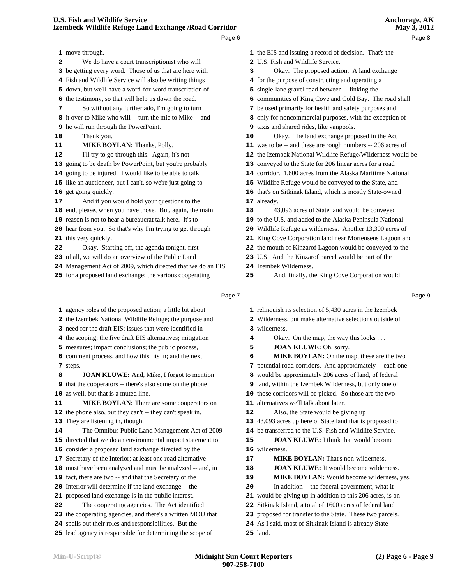|    | Page 6                                                                                                                |    | Page 8                                                                    |  |
|----|-----------------------------------------------------------------------------------------------------------------------|----|---------------------------------------------------------------------------|--|
|    | 1 move through.                                                                                                       |    | 1 the EIS and issuing a record of decision. That's the                    |  |
| 2  | We do have a court transcriptionist who will                                                                          |    | 2 U.S. Fish and Wildlife Service.                                         |  |
|    | 3 be getting every word. Those of us that are here with                                                               | 3  | Okay. The proposed action: A land exchange                                |  |
|    | 4 Fish and Wildlife Service will also be writing things                                                               |    | 4 for the purpose of constructing and operating a                         |  |
|    | 5 down, but we'll have a word-for-word transcription of                                                               |    | 5 single-lane gravel road between -- linking the                          |  |
|    | 6 the testimony, so that will help us down the road.                                                                  |    | 6 communities of King Cove and Cold Bay. The road shall                   |  |
| 7  | So without any further ado, I'm going to turn                                                                         |    | 7 be used primarily for health and safety purposes and                    |  |
|    | 8 it over to Mike who will -- turn the mic to Mike -- and                                                             |    | 8 only for noncommercial purposes, with the exception of                  |  |
|    | 9 he will run through the PowerPoint.                                                                                 |    | 9 taxis and shared rides, like vanpools.                                  |  |
| 10 | Thank you.                                                                                                            | 10 | Okay. The land exchange proposed in the Act                               |  |
| 11 | MIKE BOYLAN: Thanks, Polly.                                                                                           |    | 11 was to be -- and these are rough numbers -- 206 acres of               |  |
| 12 | I'll try to go through this. Again, it's not                                                                          |    | 12 the Izembek National Wildlife Refuge/Wilderness would be               |  |
|    | 13 going to be death by PowerPoint, but you're probably                                                               |    | 13 conveyed to the State for 206 linear acres for a road                  |  |
|    | 14 going to be injured. I would like to be able to talk                                                               |    | 14 corridor. 1,600 acres from the Alaska Maritime National                |  |
|    | 15 like an auctioneer, but I can't, so we're just going to                                                            |    | 15 Wildlife Refuge would be conveyed to the State, and                    |  |
|    | 16 get going quickly.                                                                                                 |    | 16 that's on Sitkinak Island, which is mostly State-owned                 |  |
| 17 | And if you would hold your questions to the                                                                           |    | 17 already.                                                               |  |
|    | 18 end, please, when you have those. But, again, the main                                                             | 18 | 43,093 acres of State land would be conveyed                              |  |
|    | 19 reason is not to hear a bureaucrat talk here. It's to                                                              |    | 19 to the U.S. and added to the Alaska Peninsula National                 |  |
|    | 20 hear from you. So that's why I'm trying to get through                                                             |    | 20 Wildlife Refuge as wilderness. Another 13,300 acres of                 |  |
|    | 21 this very quickly.                                                                                                 |    | 21 King Cove Corporation land near Mortensens Lagoon and                  |  |
| 22 | Okay. Starting off, the agenda tonight, first                                                                         |    | 22 the mouth of Kinzarof Lagoon would be conveyed to the                  |  |
|    | 23 of all, we will do an overview of the Public Land                                                                  |    | 23 U.S. And the Kinzarof parcel would be part of the                      |  |
|    | 24 Management Act of 2009, which directed that we do an EIS                                                           |    | 24 Izembek Wilderness.                                                    |  |
|    | 25 for a proposed land exchange; the various cooperating                                                              | 25 | And, finally, the King Cove Corporation would                             |  |
|    |                                                                                                                       |    |                                                                           |  |
|    | Page 7                                                                                                                |    | Page 9                                                                    |  |
|    | 1 agency roles of the proposed action; a little bit about                                                             |    | 1 relinquish its selection of 5,430 acres in the Izembek                  |  |
|    | 2 the Izembek National Wildlife Refuge; the purpose and                                                               |    | 2 Wilderness, but make alternative selections outside of                  |  |
|    | 3 need for the draft EIS; issues that were identified in                                                              |    | 3 wilderness.                                                             |  |
|    | 4 the scoping; the five draft EIS alternatives; mitigation                                                            | 4  | Okay. On the map, the way this looks                                      |  |
|    | 5 measures; impact conclusions; the public process,                                                                   | 5  | JOAN KLUWE: Oh, sorry.                                                    |  |
|    | 6 comment process, and how this fits in; and the next                                                                 | 6  | MIKE BOYLAN: On the map, these are the two                                |  |
|    | 7 steps.                                                                                                              |    | 7 potential road corridors. And approximately -- each one                 |  |
| 8  | <b>JOAN KLUWE:</b> And, Mike, I forgot to mention                                                                     |    | 8 would be approximately 206 acres of land, of federal                    |  |
|    | <b>9</b> that the cooperators -- there's also some on the phone                                                       |    | 9 land, within the Izembek Wilderness, but only one of                    |  |
|    | 10 as well, but that is a muted line.                                                                                 |    | 10 those corridors will be picked. So those are the two                   |  |
| 11 | <b>MIKE BOYLAN:</b> There are some cooperators on                                                                     | 11 | alternatives we'll talk about later.                                      |  |
|    | 12 the phone also, but they can't -- they can't speak in.                                                             | 12 | Also, the State would be giving up                                        |  |
|    | 13 They are listening in, though.                                                                                     |    | 13 43,093 acres up here of State land that is proposed to                 |  |
| 14 | The Omnibus Public Land Management Act of 2009                                                                        |    | 14 be transferred to the U.S. Fish and Wildlife Service.                  |  |
|    |                                                                                                                       |    |                                                                           |  |
|    |                                                                                                                       |    |                                                                           |  |
|    | 15 directed that we do an environmental impact statement to                                                           | 15 | <b>JOAN KLUWE:</b> I think that would become                              |  |
|    | 16 consider a proposed land exchange directed by the                                                                  | 17 | 16 wilderness.                                                            |  |
|    | 17 Secretary of the Interior; at least one road alternative                                                           |    | <b>MIKE BOYLAN:</b> That's non-wilderness.                                |  |
|    | 18 must have been analyzed and must be analyzed -- and, in                                                            | 18 | JOAN KLUWE: It would become wilderness.                                   |  |
|    | 19 fact, there are two -- and that the Secretary of the                                                               | 19 | MIKE BOYLAN: Would become wilderness, yes.                                |  |
|    | 20 Interior will determine if the land exchange -- the                                                                | 20 | In addition -- the federal government, what it                            |  |
|    | 21 proposed land exchange is in the public interest.                                                                  |    | 21 would be giving up in addition to this 206 acres, is on                |  |
|    | The cooperating agencies. The Act identified                                                                          |    | 22 Sitkinak Island, a total of 1600 acres of federal land                 |  |
| 22 | 23 the cooperating agencies, and there's a written MOU that                                                           |    | 23 proposed for transfer to the State. These two parcels.                 |  |
|    | 24 spells out their roles and responsibilities. But the<br>25 lead agency is responsible for determining the scope of |    | 24 As I said, most of Sitkinak Island is already State<br><b>25</b> land. |  |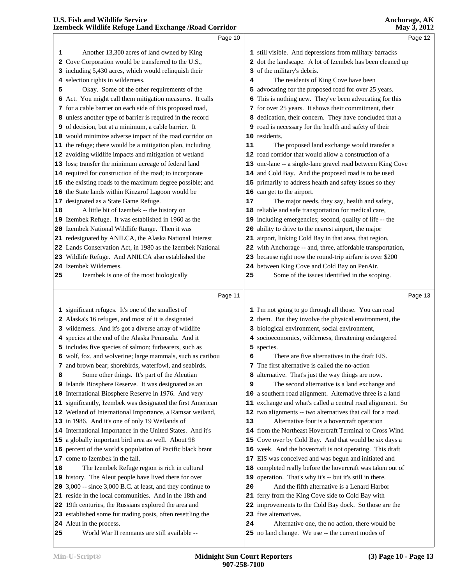| 1 still visible. And depressions from military barracks<br>2 dot the landscape. A lot of Izembek has been cleaned up<br>3 of the military's debris.<br>The residents of King Cove have been<br>4<br>5 advocating for the proposed road for over 25 years.<br>6 This is nothing new. They've been advocating for this<br>7 for over 25 years. It shows their commitment, their<br>8 dedication, their concern. They have concluded that a<br>9 road is necessary for the health and safety of their<br>10 residents.<br>The proposed land exchange would transfer a<br>11<br>12 road corridor that would allow a construction of a<br>13 one-lane -- a single-lane gravel road between King Cove<br>14 and Cold Bay. And the proposed road is to be used<br>15 primarily to address health and safety issues so they<br>16 can get to the airport.<br>17<br>The major needs, they say, health and safety,<br>18 reliable and safe transportation for medical care,<br>19 including emergencies; second, quality of life -- the<br>20 ability to drive to the nearest airport, the major<br>21 airport, linking Cold Bay in that area, that region,<br>22 with Anchorage -- and, three, affordable transportation,<br>23 because right now the round-trip airfare is over \$200<br>24 between King Cove and Cold Bay on PenAir.<br>Some of the issues identified in the scoping.<br>25<br>Page 11<br>Page 13<br>1 I'm not going to go through all those. You can read<br>2 them. But they involve the physical environment, the<br>3 biological environment, social environment,<br>4 socioeconomics, wilderness, threatening endangered<br>5 species.<br>There are five alternatives in the draft EIS.<br>6<br>7 The first alternative is called the no-action<br>8 alternative. That's just the way things are now.<br>9<br>The second alternative is a land exchange and<br>10 a southern road alignment. Alternative three is a land<br>11 exchange and what's called a central road alignment. So<br>12 two alignments -- two alternatives that call for a road.<br>13<br>Alternative four is a hovercraft operation<br>14 from the Northeast Hovercraft Terminal to Cross Wind |    | Page 10                                                                                                              |    | Page 12                                                    |  |
|------------------------------------------------------------------------------------------------------------------------------------------------------------------------------------------------------------------------------------------------------------------------------------------------------------------------------------------------------------------------------------------------------------------------------------------------------------------------------------------------------------------------------------------------------------------------------------------------------------------------------------------------------------------------------------------------------------------------------------------------------------------------------------------------------------------------------------------------------------------------------------------------------------------------------------------------------------------------------------------------------------------------------------------------------------------------------------------------------------------------------------------------------------------------------------------------------------------------------------------------------------------------------------------------------------------------------------------------------------------------------------------------------------------------------------------------------------------------------------------------------------------------------------------------------------------------------------------------------------------------------------------------------------------------------------------------------------------------------------------------------------------------------------------------------------------------------------------------------------------------------------------------------------------------------------------------------------------------------------------------------------------------------------------------------------------------------------------------------------------------------------------------------------------------------------|----|----------------------------------------------------------------------------------------------------------------------|----|------------------------------------------------------------|--|
|                                                                                                                                                                                                                                                                                                                                                                                                                                                                                                                                                                                                                                                                                                                                                                                                                                                                                                                                                                                                                                                                                                                                                                                                                                                                                                                                                                                                                                                                                                                                                                                                                                                                                                                                                                                                                                                                                                                                                                                                                                                                                                                                                                                    | 1  | Another 13,300 acres of land owned by King                                                                           |    |                                                            |  |
|                                                                                                                                                                                                                                                                                                                                                                                                                                                                                                                                                                                                                                                                                                                                                                                                                                                                                                                                                                                                                                                                                                                                                                                                                                                                                                                                                                                                                                                                                                                                                                                                                                                                                                                                                                                                                                                                                                                                                                                                                                                                                                                                                                                    |    | 2 Cove Corporation would be transferred to the U.S.,                                                                 |    |                                                            |  |
|                                                                                                                                                                                                                                                                                                                                                                                                                                                                                                                                                                                                                                                                                                                                                                                                                                                                                                                                                                                                                                                                                                                                                                                                                                                                                                                                                                                                                                                                                                                                                                                                                                                                                                                                                                                                                                                                                                                                                                                                                                                                                                                                                                                    |    | 3 including 5,430 acres, which would relinquish their                                                                |    |                                                            |  |
|                                                                                                                                                                                                                                                                                                                                                                                                                                                                                                                                                                                                                                                                                                                                                                                                                                                                                                                                                                                                                                                                                                                                                                                                                                                                                                                                                                                                                                                                                                                                                                                                                                                                                                                                                                                                                                                                                                                                                                                                                                                                                                                                                                                    |    | 4 selection rights in wilderness.                                                                                    |    |                                                            |  |
|                                                                                                                                                                                                                                                                                                                                                                                                                                                                                                                                                                                                                                                                                                                                                                                                                                                                                                                                                                                                                                                                                                                                                                                                                                                                                                                                                                                                                                                                                                                                                                                                                                                                                                                                                                                                                                                                                                                                                                                                                                                                                                                                                                                    | 5  | Okay. Some of the other requirements of the                                                                          |    |                                                            |  |
|                                                                                                                                                                                                                                                                                                                                                                                                                                                                                                                                                                                                                                                                                                                                                                                                                                                                                                                                                                                                                                                                                                                                                                                                                                                                                                                                                                                                                                                                                                                                                                                                                                                                                                                                                                                                                                                                                                                                                                                                                                                                                                                                                                                    |    | 6 Act. You might call them mitigation measures. It calls                                                             |    |                                                            |  |
|                                                                                                                                                                                                                                                                                                                                                                                                                                                                                                                                                                                                                                                                                                                                                                                                                                                                                                                                                                                                                                                                                                                                                                                                                                                                                                                                                                                                                                                                                                                                                                                                                                                                                                                                                                                                                                                                                                                                                                                                                                                                                                                                                                                    |    | 7 for a cable barrier on each side of this proposed road,                                                            |    |                                                            |  |
|                                                                                                                                                                                                                                                                                                                                                                                                                                                                                                                                                                                                                                                                                                                                                                                                                                                                                                                                                                                                                                                                                                                                                                                                                                                                                                                                                                                                                                                                                                                                                                                                                                                                                                                                                                                                                                                                                                                                                                                                                                                                                                                                                                                    |    | 8 unless another type of barrier is required in the record                                                           |    |                                                            |  |
|                                                                                                                                                                                                                                                                                                                                                                                                                                                                                                                                                                                                                                                                                                                                                                                                                                                                                                                                                                                                                                                                                                                                                                                                                                                                                                                                                                                                                                                                                                                                                                                                                                                                                                                                                                                                                                                                                                                                                                                                                                                                                                                                                                                    |    | 9 of decision, but at a minimum, a cable barrier. It                                                                 |    |                                                            |  |
|                                                                                                                                                                                                                                                                                                                                                                                                                                                                                                                                                                                                                                                                                                                                                                                                                                                                                                                                                                                                                                                                                                                                                                                                                                                                                                                                                                                                                                                                                                                                                                                                                                                                                                                                                                                                                                                                                                                                                                                                                                                                                                                                                                                    |    | 10 would minimize adverse impact of the road corridor on                                                             |    |                                                            |  |
|                                                                                                                                                                                                                                                                                                                                                                                                                                                                                                                                                                                                                                                                                                                                                                                                                                                                                                                                                                                                                                                                                                                                                                                                                                                                                                                                                                                                                                                                                                                                                                                                                                                                                                                                                                                                                                                                                                                                                                                                                                                                                                                                                                                    |    | 11 the refuge; there would be a mitigation plan, including                                                           |    |                                                            |  |
|                                                                                                                                                                                                                                                                                                                                                                                                                                                                                                                                                                                                                                                                                                                                                                                                                                                                                                                                                                                                                                                                                                                                                                                                                                                                                                                                                                                                                                                                                                                                                                                                                                                                                                                                                                                                                                                                                                                                                                                                                                                                                                                                                                                    |    | 12 avoiding wildlife impacts and mitigation of wetland                                                               |    |                                                            |  |
|                                                                                                                                                                                                                                                                                                                                                                                                                                                                                                                                                                                                                                                                                                                                                                                                                                                                                                                                                                                                                                                                                                                                                                                                                                                                                                                                                                                                                                                                                                                                                                                                                                                                                                                                                                                                                                                                                                                                                                                                                                                                                                                                                                                    |    | 13 loss; transfer the minimum acreage of federal land                                                                |    |                                                            |  |
|                                                                                                                                                                                                                                                                                                                                                                                                                                                                                                                                                                                                                                                                                                                                                                                                                                                                                                                                                                                                                                                                                                                                                                                                                                                                                                                                                                                                                                                                                                                                                                                                                                                                                                                                                                                                                                                                                                                                                                                                                                                                                                                                                                                    |    | 14 required for construction of the road; to incorporate                                                             |    |                                                            |  |
|                                                                                                                                                                                                                                                                                                                                                                                                                                                                                                                                                                                                                                                                                                                                                                                                                                                                                                                                                                                                                                                                                                                                                                                                                                                                                                                                                                                                                                                                                                                                                                                                                                                                                                                                                                                                                                                                                                                                                                                                                                                                                                                                                                                    |    | 15 the existing roads to the maximum degree possible; and                                                            |    |                                                            |  |
|                                                                                                                                                                                                                                                                                                                                                                                                                                                                                                                                                                                                                                                                                                                                                                                                                                                                                                                                                                                                                                                                                                                                                                                                                                                                                                                                                                                                                                                                                                                                                                                                                                                                                                                                                                                                                                                                                                                                                                                                                                                                                                                                                                                    |    | 16 the State lands within Kinzarof Lagoon would be                                                                   |    |                                                            |  |
|                                                                                                                                                                                                                                                                                                                                                                                                                                                                                                                                                                                                                                                                                                                                                                                                                                                                                                                                                                                                                                                                                                                                                                                                                                                                                                                                                                                                                                                                                                                                                                                                                                                                                                                                                                                                                                                                                                                                                                                                                                                                                                                                                                                    |    | 17 designated as a State Game Refuge.                                                                                |    |                                                            |  |
|                                                                                                                                                                                                                                                                                                                                                                                                                                                                                                                                                                                                                                                                                                                                                                                                                                                                                                                                                                                                                                                                                                                                                                                                                                                                                                                                                                                                                                                                                                                                                                                                                                                                                                                                                                                                                                                                                                                                                                                                                                                                                                                                                                                    | 18 | A little bit of Izembek -- the history on                                                                            |    |                                                            |  |
|                                                                                                                                                                                                                                                                                                                                                                                                                                                                                                                                                                                                                                                                                                                                                                                                                                                                                                                                                                                                                                                                                                                                                                                                                                                                                                                                                                                                                                                                                                                                                                                                                                                                                                                                                                                                                                                                                                                                                                                                                                                                                                                                                                                    |    | 19 Izembek Refuge. It was established in 1960 as the                                                                 |    |                                                            |  |
|                                                                                                                                                                                                                                                                                                                                                                                                                                                                                                                                                                                                                                                                                                                                                                                                                                                                                                                                                                                                                                                                                                                                                                                                                                                                                                                                                                                                                                                                                                                                                                                                                                                                                                                                                                                                                                                                                                                                                                                                                                                                                                                                                                                    |    | 20 Izembek National Wildlife Range. Then it was                                                                      |    |                                                            |  |
|                                                                                                                                                                                                                                                                                                                                                                                                                                                                                                                                                                                                                                                                                                                                                                                                                                                                                                                                                                                                                                                                                                                                                                                                                                                                                                                                                                                                                                                                                                                                                                                                                                                                                                                                                                                                                                                                                                                                                                                                                                                                                                                                                                                    |    | 21 redesignated by ANILCA, the Alaska National Interest                                                              |    |                                                            |  |
|                                                                                                                                                                                                                                                                                                                                                                                                                                                                                                                                                                                                                                                                                                                                                                                                                                                                                                                                                                                                                                                                                                                                                                                                                                                                                                                                                                                                                                                                                                                                                                                                                                                                                                                                                                                                                                                                                                                                                                                                                                                                                                                                                                                    |    | 22 Lands Conservation Act, in 1980 as the Izembek National                                                           |    |                                                            |  |
|                                                                                                                                                                                                                                                                                                                                                                                                                                                                                                                                                                                                                                                                                                                                                                                                                                                                                                                                                                                                                                                                                                                                                                                                                                                                                                                                                                                                                                                                                                                                                                                                                                                                                                                                                                                                                                                                                                                                                                                                                                                                                                                                                                                    |    | 23 Wildlife Refuge. And ANILCA also established the                                                                  |    |                                                            |  |
|                                                                                                                                                                                                                                                                                                                                                                                                                                                                                                                                                                                                                                                                                                                                                                                                                                                                                                                                                                                                                                                                                                                                                                                                                                                                                                                                                                                                                                                                                                                                                                                                                                                                                                                                                                                                                                                                                                                                                                                                                                                                                                                                                                                    |    | 24 Izembek Wilderness.                                                                                               |    |                                                            |  |
|                                                                                                                                                                                                                                                                                                                                                                                                                                                                                                                                                                                                                                                                                                                                                                                                                                                                                                                                                                                                                                                                                                                                                                                                                                                                                                                                                                                                                                                                                                                                                                                                                                                                                                                                                                                                                                                                                                                                                                                                                                                                                                                                                                                    | 25 | Izembek is one of the most biologically                                                                              |    |                                                            |  |
|                                                                                                                                                                                                                                                                                                                                                                                                                                                                                                                                                                                                                                                                                                                                                                                                                                                                                                                                                                                                                                                                                                                                                                                                                                                                                                                                                                                                                                                                                                                                                                                                                                                                                                                                                                                                                                                                                                                                                                                                                                                                                                                                                                                    |    |                                                                                                                      |    |                                                            |  |
|                                                                                                                                                                                                                                                                                                                                                                                                                                                                                                                                                                                                                                                                                                                                                                                                                                                                                                                                                                                                                                                                                                                                                                                                                                                                                                                                                                                                                                                                                                                                                                                                                                                                                                                                                                                                                                                                                                                                                                                                                                                                                                                                                                                    |    |                                                                                                                      |    |                                                            |  |
|                                                                                                                                                                                                                                                                                                                                                                                                                                                                                                                                                                                                                                                                                                                                                                                                                                                                                                                                                                                                                                                                                                                                                                                                                                                                                                                                                                                                                                                                                                                                                                                                                                                                                                                                                                                                                                                                                                                                                                                                                                                                                                                                                                                    |    | 1 significant refuges. It's one of the smallest of                                                                   |    |                                                            |  |
|                                                                                                                                                                                                                                                                                                                                                                                                                                                                                                                                                                                                                                                                                                                                                                                                                                                                                                                                                                                                                                                                                                                                                                                                                                                                                                                                                                                                                                                                                                                                                                                                                                                                                                                                                                                                                                                                                                                                                                                                                                                                                                                                                                                    |    | 2 Alaska's 16 refuges, and most of it is designated                                                                  |    |                                                            |  |
|                                                                                                                                                                                                                                                                                                                                                                                                                                                                                                                                                                                                                                                                                                                                                                                                                                                                                                                                                                                                                                                                                                                                                                                                                                                                                                                                                                                                                                                                                                                                                                                                                                                                                                                                                                                                                                                                                                                                                                                                                                                                                                                                                                                    |    |                                                                                                                      |    |                                                            |  |
|                                                                                                                                                                                                                                                                                                                                                                                                                                                                                                                                                                                                                                                                                                                                                                                                                                                                                                                                                                                                                                                                                                                                                                                                                                                                                                                                                                                                                                                                                                                                                                                                                                                                                                                                                                                                                                                                                                                                                                                                                                                                                                                                                                                    |    | 3 wilderness. And it's got a diverse array of wildlife                                                               |    |                                                            |  |
|                                                                                                                                                                                                                                                                                                                                                                                                                                                                                                                                                                                                                                                                                                                                                                                                                                                                                                                                                                                                                                                                                                                                                                                                                                                                                                                                                                                                                                                                                                                                                                                                                                                                                                                                                                                                                                                                                                                                                                                                                                                                                                                                                                                    |    | 4 species at the end of the Alaska Peninsula. And it                                                                 |    |                                                            |  |
|                                                                                                                                                                                                                                                                                                                                                                                                                                                                                                                                                                                                                                                                                                                                                                                                                                                                                                                                                                                                                                                                                                                                                                                                                                                                                                                                                                                                                                                                                                                                                                                                                                                                                                                                                                                                                                                                                                                                                                                                                                                                                                                                                                                    |    | 5 includes five species of salmon; furbearers, such as                                                               |    |                                                            |  |
|                                                                                                                                                                                                                                                                                                                                                                                                                                                                                                                                                                                                                                                                                                                                                                                                                                                                                                                                                                                                                                                                                                                                                                                                                                                                                                                                                                                                                                                                                                                                                                                                                                                                                                                                                                                                                                                                                                                                                                                                                                                                                                                                                                                    |    | 6 wolf, fox, and wolverine; large mammals, such as caribou                                                           |    |                                                            |  |
|                                                                                                                                                                                                                                                                                                                                                                                                                                                                                                                                                                                                                                                                                                                                                                                                                                                                                                                                                                                                                                                                                                                                                                                                                                                                                                                                                                                                                                                                                                                                                                                                                                                                                                                                                                                                                                                                                                                                                                                                                                                                                                                                                                                    |    | 7 and brown bear; shorebirds, waterfowl, and seabirds.                                                               |    |                                                            |  |
|                                                                                                                                                                                                                                                                                                                                                                                                                                                                                                                                                                                                                                                                                                                                                                                                                                                                                                                                                                                                                                                                                                                                                                                                                                                                                                                                                                                                                                                                                                                                                                                                                                                                                                                                                                                                                                                                                                                                                                                                                                                                                                                                                                                    | 8  | Some other things. It's part of the Aleutian                                                                         |    |                                                            |  |
|                                                                                                                                                                                                                                                                                                                                                                                                                                                                                                                                                                                                                                                                                                                                                                                                                                                                                                                                                                                                                                                                                                                                                                                                                                                                                                                                                                                                                                                                                                                                                                                                                                                                                                                                                                                                                                                                                                                                                                                                                                                                                                                                                                                    |    | 9 Islands Biosphere Reserve. It was designated as an                                                                 |    |                                                            |  |
|                                                                                                                                                                                                                                                                                                                                                                                                                                                                                                                                                                                                                                                                                                                                                                                                                                                                                                                                                                                                                                                                                                                                                                                                                                                                                                                                                                                                                                                                                                                                                                                                                                                                                                                                                                                                                                                                                                                                                                                                                                                                                                                                                                                    |    | 10 International Biosphere Reserve in 1976. And very                                                                 |    |                                                            |  |
|                                                                                                                                                                                                                                                                                                                                                                                                                                                                                                                                                                                                                                                                                                                                                                                                                                                                                                                                                                                                                                                                                                                                                                                                                                                                                                                                                                                                                                                                                                                                                                                                                                                                                                                                                                                                                                                                                                                                                                                                                                                                                                                                                                                    |    | 11 significantly, Izembek was designated the first American                                                          |    |                                                            |  |
|                                                                                                                                                                                                                                                                                                                                                                                                                                                                                                                                                                                                                                                                                                                                                                                                                                                                                                                                                                                                                                                                                                                                                                                                                                                                                                                                                                                                                                                                                                                                                                                                                                                                                                                                                                                                                                                                                                                                                                                                                                                                                                                                                                                    |    | 12 Wetland of International Importance, a Ramsar wetland,                                                            |    |                                                            |  |
|                                                                                                                                                                                                                                                                                                                                                                                                                                                                                                                                                                                                                                                                                                                                                                                                                                                                                                                                                                                                                                                                                                                                                                                                                                                                                                                                                                                                                                                                                                                                                                                                                                                                                                                                                                                                                                                                                                                                                                                                                                                                                                                                                                                    |    | 13 in 1986. And it's one of only 19 Wetlands of                                                                      |    |                                                            |  |
|                                                                                                                                                                                                                                                                                                                                                                                                                                                                                                                                                                                                                                                                                                                                                                                                                                                                                                                                                                                                                                                                                                                                                                                                                                                                                                                                                                                                                                                                                                                                                                                                                                                                                                                                                                                                                                                                                                                                                                                                                                                                                                                                                                                    |    | 14 International Importance in the United States. And it's                                                           |    |                                                            |  |
|                                                                                                                                                                                                                                                                                                                                                                                                                                                                                                                                                                                                                                                                                                                                                                                                                                                                                                                                                                                                                                                                                                                                                                                                                                                                                                                                                                                                                                                                                                                                                                                                                                                                                                                                                                                                                                                                                                                                                                                                                                                                                                                                                                                    |    | 15 a globally important bird area as well. About 98                                                                  |    | 15 Cove over by Cold Bay. And that would be six days a     |  |
|                                                                                                                                                                                                                                                                                                                                                                                                                                                                                                                                                                                                                                                                                                                                                                                                                                                                                                                                                                                                                                                                                                                                                                                                                                                                                                                                                                                                                                                                                                                                                                                                                                                                                                                                                                                                                                                                                                                                                                                                                                                                                                                                                                                    |    | 16 percent of the world's population of Pacific black brant                                                          |    | 16 week. And the hovercraft is not operating. This draft   |  |
|                                                                                                                                                                                                                                                                                                                                                                                                                                                                                                                                                                                                                                                                                                                                                                                                                                                                                                                                                                                                                                                                                                                                                                                                                                                                                                                                                                                                                                                                                                                                                                                                                                                                                                                                                                                                                                                                                                                                                                                                                                                                                                                                                                                    |    | 17 come to Izembek in the fall.                                                                                      |    | 17 EIS was conceived and was begun and initiated and       |  |
|                                                                                                                                                                                                                                                                                                                                                                                                                                                                                                                                                                                                                                                                                                                                                                                                                                                                                                                                                                                                                                                                                                                                                                                                                                                                                                                                                                                                                                                                                                                                                                                                                                                                                                                                                                                                                                                                                                                                                                                                                                                                                                                                                                                    | 18 | The Izembek Refuge region is rich in cultural                                                                        |    | 18 completed really before the hovercraft was taken out of |  |
|                                                                                                                                                                                                                                                                                                                                                                                                                                                                                                                                                                                                                                                                                                                                                                                                                                                                                                                                                                                                                                                                                                                                                                                                                                                                                                                                                                                                                                                                                                                                                                                                                                                                                                                                                                                                                                                                                                                                                                                                                                                                                                                                                                                    |    | 19 history. The Aleut people have lived there for over                                                               |    |                                                            |  |
|                                                                                                                                                                                                                                                                                                                                                                                                                                                                                                                                                                                                                                                                                                                                                                                                                                                                                                                                                                                                                                                                                                                                                                                                                                                                                                                                                                                                                                                                                                                                                                                                                                                                                                                                                                                                                                                                                                                                                                                                                                                                                                                                                                                    |    | 20 3,000 -- since 3,000 B.C. at least, and they continue to                                                          | 20 | And the fifth alternative is a Lenard Harbor               |  |
|                                                                                                                                                                                                                                                                                                                                                                                                                                                                                                                                                                                                                                                                                                                                                                                                                                                                                                                                                                                                                                                                                                                                                                                                                                                                                                                                                                                                                                                                                                                                                                                                                                                                                                                                                                                                                                                                                                                                                                                                                                                                                                                                                                                    |    | 21 reside in the local communities. And in the 18th and                                                              |    | 21 ferry from the King Cove side to Cold Bay with          |  |
| 19 operation. That's why it's -- but it's still in there.                                                                                                                                                                                                                                                                                                                                                                                                                                                                                                                                                                                                                                                                                                                                                                                                                                                                                                                                                                                                                                                                                                                                                                                                                                                                                                                                                                                                                                                                                                                                                                                                                                                                                                                                                                                                                                                                                                                                                                                                                                                                                                                          |    |                                                                                                                      |    |                                                            |  |
|                                                                                                                                                                                                                                                                                                                                                                                                                                                                                                                                                                                                                                                                                                                                                                                                                                                                                                                                                                                                                                                                                                                                                                                                                                                                                                                                                                                                                                                                                                                                                                                                                                                                                                                                                                                                                                                                                                                                                                                                                                                                                                                                                                                    |    |                                                                                                                      |    |                                                            |  |
| 22 improvements to the Cold Bay dock. So those are the<br>23 five alternatives.                                                                                                                                                                                                                                                                                                                                                                                                                                                                                                                                                                                                                                                                                                                                                                                                                                                                                                                                                                                                                                                                                                                                                                                                                                                                                                                                                                                                                                                                                                                                                                                                                                                                                                                                                                                                                                                                                                                                                                                                                                                                                                    |    | 22 19th centuries, the Russians explored the area and<br>23 established some fur trading posts, often resettling the |    |                                                            |  |

Alternative one, the no action, there would be

no land change. We use -- the current modes of

Aleut in the process.

World War II remnants are still available --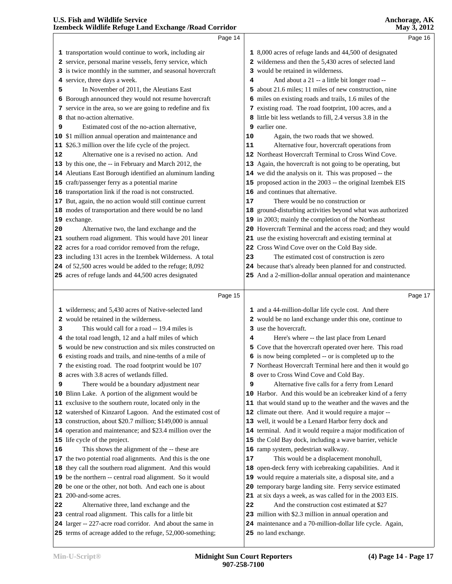|        | Page 14                                                                                                                  |    | Page 16                                                                                                            |  |
|--------|--------------------------------------------------------------------------------------------------------------------------|----|--------------------------------------------------------------------------------------------------------------------|--|
|        |                                                                                                                          |    |                                                                                                                    |  |
|        | 1 transportation would continue to work, including air                                                                   |    | 1 8,000 acres of refuge lands and 44,500 of designated                                                             |  |
|        | 2 service, personal marine vessels, ferry service, which                                                                 |    | 2 wilderness and then the 5,430 acres of selected land                                                             |  |
|        | 3 is twice monthly in the summer, and seasonal hovercraft                                                                |    | 3 would be retained in wilderness.                                                                                 |  |
|        | 4 service, three days a week.                                                                                            | 4  | And about a 21 -- a little bit longer road --                                                                      |  |
| 5      | In November of 2011, the Aleutians East                                                                                  |    | 5 about 21.6 miles; 11 miles of new construction, nine                                                             |  |
|        | 6 Borough announced they would not resume hovercraft                                                                     |    | 6 miles on existing roads and trails, 1.6 miles of the                                                             |  |
|        | 7 service in the area, so we are going to redefine and fix<br>that no-action alternative.                                |    | 7 existing road. The road footprint, 100 acres, and a<br>8 little bit less wetlands to fill, 2.4 versus 3.8 in the |  |
| 8<br>9 | Estimated cost of the no-action alternative,                                                                             |    | 9 earlier one.                                                                                                     |  |
|        | 10 \$1 million annual operation and maintenance and                                                                      | 10 | Again, the two roads that we showed.                                                                               |  |
|        | 11 \$26.3 million over the life cycle of the project.                                                                    | 11 | Alternative four, hovercraft operations from                                                                       |  |
| 12     | Alternative one is a revised no action. And                                                                              |    | 12 Northeast Hovercraft Terminal to Cross Wind Cove.                                                               |  |
|        | 13 by this one, the -- in February and March 2012, the                                                                   |    | 13 Again, the hovercraft is not going to be operating, but                                                         |  |
|        | 14 Aleutians East Borough identified an aluminum landing                                                                 |    | 14 we did the analysis on it. This was proposed -- the                                                             |  |
|        | 15 craft/passenger ferry as a potential marine                                                                           |    | 15 proposed action in the 2003 -- the original Izembek EIS                                                         |  |
|        | 16 transportation link if the road is not constructed.                                                                   |    | 16 and continues that alternative.                                                                                 |  |
|        | 17 But, again, the no action would still continue current                                                                | 17 | There would be no construction or                                                                                  |  |
|        | 18 modes of transportation and there would be no land                                                                    |    | 18 ground-disturbing activities beyond what was authorized                                                         |  |
|        | 19 exchange.                                                                                                             |    | 19 in 2003; mainly the completion of the Northeast                                                                 |  |
| 20     | Alternative two, the land exchange and the                                                                               |    | 20 Hovercraft Terminal and the access road; and they would                                                         |  |
|        | 21 southern road alignment. This would have 201 linear                                                                   |    | 21 use the existing hovercraft and existing terminal at                                                            |  |
|        | 22 acres for a road corridor removed from the refuge,                                                                    |    | 22 Cross Wind Cove over on the Cold Bay side.                                                                      |  |
|        | 23 including 131 acres in the Izembek Wilderness. A total                                                                | 23 | The estimated cost of construction is zero                                                                         |  |
|        | 24 of 52,500 acres would be added to the refuge; 8,092                                                                   |    | 24 because that's already been planned for and constructed.                                                        |  |
|        | 25 acres of refuge lands and 44,500 acres designated                                                                     |    | 25 And a 2-million-dollar annual operation and maintenance                                                         |  |
|        |                                                                                                                          |    |                                                                                                                    |  |
|        | Page 15                                                                                                                  |    | Page 17                                                                                                            |  |
|        | 1 wilderness; and 5,430 acres of Native-selected land                                                                    |    | 1 and a 44-million-dollar life cycle cost. And there                                                               |  |
|        | 2 would be retained in the wilderness.                                                                                   |    | 2 would be no land exchange under this one, continue to                                                            |  |
| з      | This would call for a road -- 19.4 miles is                                                                              |    | 3 use the hovercraft.                                                                                              |  |
|        | 4 the total road length, 12 and a half miles of which                                                                    | 4  | Here's where -- the last place from Lenard                                                                         |  |
|        | 5 would be new construction and six miles constructed on                                                                 |    | 5 Cove that the hovercraft operated over here. This road                                                           |  |
|        | 6 existing roads and trails, and nine-tenths of a mile of                                                                |    | 6 is now being completed -- or is completed up to the                                                              |  |
|        | 7 the existing road. The road footprint would be 107                                                                     |    | 7 Northeast Hovercraft Terminal here and then it would go                                                          |  |
| 8      | acres with 3.8 acres of wetlands filled.                                                                                 |    | 8 over to Cross Wind Cove and Cold Bay.                                                                            |  |
| 9      | There would be a boundary adjustment near                                                                                | 9  | Alternative five calls for a ferry from Lenard                                                                     |  |
|        | 10 Blinn Lake. A portion of the alignment would be                                                                       |    | 10 Harbor. And this would be an icebreaker kind of a ferry                                                         |  |
|        | 11 exclusive to the southern route, located only in the                                                                  |    | 11 that would stand up to the weather and the waves and the                                                        |  |
|        | 12 watershed of Kinzarof Lagoon. And the estimated cost of                                                               |    | 12 climate out there. And it would require a major --                                                              |  |
|        | 13 construction, about \$20.7 million; \$149,000 is annual                                                               |    | 13 well, it would be a Lenard Harbor ferry dock and                                                                |  |
|        | 14 operation and maintenance; and \$23.4 million over the                                                                |    | 14 terminal. And it would require a major modification of                                                          |  |
|        | 15 life cycle of the project.                                                                                            |    | 15 the Cold Bay dock, including a wave barrier, vehicle                                                            |  |
| 16     | This shows the alignment of the -- these are                                                                             |    | 16 ramp system, pedestrian walkway.                                                                                |  |
|        | 17 the two potential road alignments. And this is the one                                                                | 17 | This would be a displacement monohull,                                                                             |  |
|        | 18 they call the southern road alignment. And this would                                                                 |    | 18 open-deck ferry with icebreaking capabilities. And it                                                           |  |
|        | 19 be the northern -- central road alignment. So it would                                                                |    | 19 would require a materials site, a disposal site, and a                                                          |  |
|        | 20 be one or the other, not both. And each one is about                                                                  |    | 20 temporary barge landing site. Ferry service estimated                                                           |  |
|        |                                                                                                                          |    | 21 at six days a week, as was called for in the 2003 EIS.                                                          |  |
|        | 21 200-and-some acres.                                                                                                   |    |                                                                                                                    |  |
| 22     | Alternative three, land exchange and the                                                                                 | 22 | And the construction cost estimated at \$27                                                                        |  |
|        | 23 central road alignment. This calls for a little bit                                                                   |    | 23 million with \$2.3 million in annual operation and                                                              |  |
|        | 24 larger -- 227-acre road corridor. And about the same in<br>25 terms of acreage added to the refuge, 52,000-something; |    | 24 maintenance and a 70-million-dollar life cycle. Again,<br>25 no land exchange.                                  |  |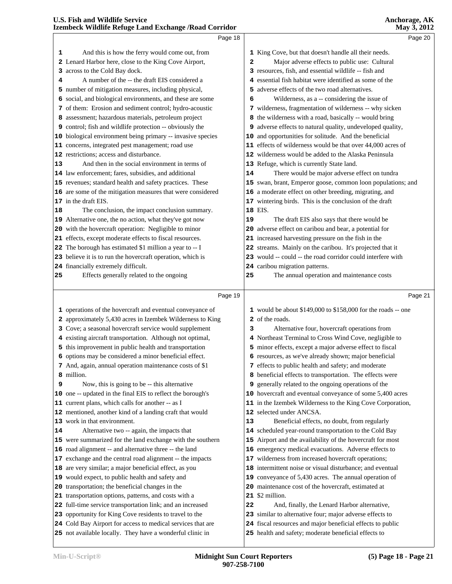|    |                                                                                                               |    | -,                                                                                     |  |
|----|---------------------------------------------------------------------------------------------------------------|----|----------------------------------------------------------------------------------------|--|
|    | Page 18                                                                                                       |    | Page 20                                                                                |  |
| ı  | And this is how the ferry would come out, from                                                                |    | 1 King Cove, but that doesn't handle all their needs.                                  |  |
|    | 2 Lenard Harbor here, close to the King Cove Airport,                                                         | 2  | Major adverse effects to public use: Cultural                                          |  |
|    | 3 across to the Cold Bay dock.                                                                                |    | 3 resources, fish, and essential wildlife -- fish and                                  |  |
| 4  | A number of the -- the draft EIS considered a                                                                 |    | 4 essential fish habitat were identified as some of the                                |  |
|    | 5 number of mitigation measures, including physical,                                                          |    | 5 adverse effects of the two road alternatives.                                        |  |
|    | 6 social, and biological environments, and these are some                                                     | 6  | Wilderness, as a -- considering the issue of                                           |  |
|    | 7 of them: Erosion and sediment control; hydro-acoustic                                                       |    | 7 wilderness, fragmentation of wilderness -- why sicken                                |  |
|    | 8 assessment; hazardous materials, petroleum project                                                          |    | 8 the wilderness with a road, basically -- would bring                                 |  |
|    | 9 control; fish and wildlife protection -- obviously the                                                      |    | 9 adverse effects to natural quality, undeveloped quality,                             |  |
|    | 10 biological environment being primary -- invasive species                                                   |    | 10 and opportunities for solitude. And the beneficial                                  |  |
|    | 11 concerns, integrated pest management; road use                                                             |    | 11 effects of wilderness would be that over 44,000 acres of                            |  |
|    | 12 restrictions; access and disturbance.                                                                      |    | 12 wilderness would be added to the Alaska Peninsula                                   |  |
| 13 | And then in the social environment in terms of                                                                |    | 13 Refuge, which is currently State land.                                              |  |
|    | 14 law enforcement; fares, subsidies, and additional                                                          | 14 | There would be major adverse effect on tundra                                          |  |
|    | 15 revenues; standard health and safety practices. These                                                      |    | 15 swan, brant, Emperor goose, common loon populations; and                            |  |
|    | 16 are some of the mitigation measures that were considered                                                   |    | 16 a moderate effect on other breeding, migrating, and                                 |  |
|    | 17 in the draft EIS.                                                                                          |    | 17 wintering birds. This is the conclusion of the draft                                |  |
| 18 | The conclusion, the impact conclusion summary.                                                                |    | 18 EIS.                                                                                |  |
|    | 19 Alternative one, the no action, what they've got now                                                       | 19 | The draft EIS also says that there would be                                            |  |
|    | 20 with the hovercraft operation: Negligible to minor                                                         |    | 20 adverse effect on caribou and bear, a potential for                                 |  |
|    | 21 effects, except moderate effects to fiscal resources.                                                      |    | 21 increased harvesting pressure on the fish in the                                    |  |
|    | 22 The borough has estimated \$1 million a year to -- I                                                       |    | 22 streams. Mainly on the caribou. It's projected that it                              |  |
|    | 23 believe it is to run the hovercraft operation, which is                                                    |    | 23 would -- could -- the road corridor could interfere with                            |  |
|    | 24 financially extremely difficult.                                                                           |    | 24 caribou migration patterns.                                                         |  |
| 25 | Effects generally related to the ongoing                                                                      | 25 | The annual operation and maintenance costs                                             |  |
|    | Page 19                                                                                                       |    | Page 21                                                                                |  |
|    |                                                                                                               |    |                                                                                        |  |
|    | 1 operations of the hovercraft and eventual conveyance of                                                     |    | 1 would be about \$149,000 to \$158,000 for the roads -- one                           |  |
|    | 2 approximately 5,430 acres in Izembek Wilderness to King                                                     |    | 2 of the roads.                                                                        |  |
|    | 3 Cove; a seasonal hovercraft service would supplement                                                        | з  | Alternative four, hovercraft operations from                                           |  |
|    | 4 existing aircraft transportation. Although not optimal,                                                     |    | 4 Northeast Terminal to Cross Wind Cove, negligible to                                 |  |
|    | 5 this improvement in public health and transportation                                                        |    | 5 minor effects, except a major adverse effect to fiscal                               |  |
|    | 6 options may be considered a minor beneficial effect.                                                        |    | 6 resources, as we've already shown; major beneficial                                  |  |
|    | 7 And, again, annual operation maintenance costs of \$1                                                       |    | 7 effects to public health and safety; and moderate                                    |  |
|    | 8 million.                                                                                                    |    | 8 beneficial effects to transportation. The effects were                               |  |
| 9  | Now, this is going to be -- this alternative                                                                  |    | 9 generally related to the ongoing operations of the                                   |  |
|    | 10 one -- updated in the final EIS to reflect the borough's                                                   |    | 10 hovercraft and eventual conveyance of some 5,400 acres                              |  |
|    | 11 current plans, which calls for another -- as I<br>12 mentioned, another kind of a landing craft that would |    | 11 in the Izembek Wilderness to the King Cove Corporation,<br>12 selected under ANCSA. |  |
|    | 13 work in that environment.                                                                                  | 13 | Beneficial effects, no doubt, from regularly                                           |  |
| 14 | Alternative two -- again, the impacts that                                                                    |    | 14 scheduled year-round transportation to the Cold Bay                                 |  |
|    | 15 were summarized for the land exchange with the southern                                                    | 15 | Airport and the availability of the hovercraft for most                                |  |
|    | 16 road alignment -- and alternative three -- the land                                                        |    | 16 emergency medical evacuations. Adverse effects to                                   |  |
|    | 17 exchange and the central road alignment -- the impacts                                                     | 17 | wilderness from increased hovercraft operations;                                       |  |
|    | 18 are very similar; a major beneficial effect, as you                                                        |    | 18 intermittent noise or visual disturbance; and eventual                              |  |
|    | 19 would expect, to public health and safety and                                                              |    | 19 conveyance of 5,430 acres. The annual operation of                                  |  |
|    | 20 transportation; the beneficial changes in the                                                              |    | 20 maintenance cost of the hovercraft, estimated at                                    |  |
|    | 21 transportation options, patterns, and costs with a                                                         |    | 21 \$2 million.                                                                        |  |
|    | 22 full-time service transportation link; and an increased                                                    | 22 | And, finally, the Lenard Harbor alternative,                                           |  |
|    | 23 opportunity for King Cove residents to travel to the                                                       |    | 23 similar to alternative four; major adverse effects to                               |  |
|    | 24 Cold Bay Airport for access to medical services that are                                                   |    | 24 fiscal resources and major beneficial effects to public                             |  |
|    |                                                                                                               |    |                                                                                        |  |

not available locally. They have a wonderful clinic in

health and safety; moderate beneficial effects to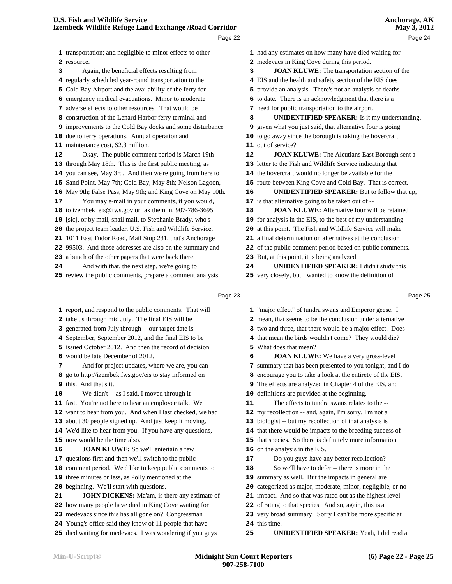|    | Page 22                                                                                                            |    | Page 24                                                                                                            |
|----|--------------------------------------------------------------------------------------------------------------------|----|--------------------------------------------------------------------------------------------------------------------|
|    |                                                                                                                    |    |                                                                                                                    |
|    | 1 transportation; and negligible to minor effects to other                                                         |    | 1 had any estimates on how many have died waiting for                                                              |
|    | 2 resource.                                                                                                        |    | 2 medevacs in King Cove during this period.                                                                        |
| з  | Again, the beneficial effects resulting from                                                                       | 3  | JOAN KLUWE: The transportation section of the<br>4 EIS and the health and safety section of the EIS does           |
|    | 4 regularly scheduled year-round transportation to the<br>5 Cold Bay Airport and the availability of the ferry for |    | 5 provide an analysis. There's not an analysis of deaths                                                           |
|    | 6 emergency medical evacuations. Minor to moderate                                                                 |    | 6 to date. There is an acknowledgment that there is a                                                              |
|    | 7 adverse effects to other resources. That would be                                                                |    | 7 need for public transportation to the airport.                                                                   |
|    | 8 construction of the Lenard Harbor ferry terminal and                                                             | 8  | <b>UNIDENTIFIED SPEAKER:</b> Is it my understanding,                                                               |
|    | 9 improvements to the Cold Bay docks and some disturbance                                                          |    | 9 given what you just said, that alternative four is going                                                         |
|    | 10 due to ferry operations. Annual operation and                                                                   |    | 10 to go away since the borough is taking the hovercraft                                                           |
|    | 11 maintenance cost, \$2.3 million.                                                                                |    | 11 out of service?                                                                                                 |
| 12 | Okay. The public comment period is March 19th                                                                      | 12 | JOAN KLUWE: The Aleutians East Borough sent a                                                                      |
|    | 13 through May 18th. This is the first public meeting, as                                                          |    | 13 letter to the Fish and Wildlife Service indicating that                                                         |
|    | 14 you can see, May 3rd. And then we're going from here to                                                         |    | 14 the hovercraft would no longer be available for the                                                             |
|    | 15 Sand Point, May 7th; Cold Bay, May 8th; Nelson Lagoon,                                                          |    | 15 route between King Cove and Cold Bay. That is correct.                                                          |
|    | 16 May 9th; False Pass, May 9th; and King Cove on May 10th.                                                        | 16 | UNIDENTIFIED SPEAKER: But to follow that up,                                                                       |
| 17 | You may e-mail in your comments, if you would,                                                                     |    | 17 is that alternative going to be taken out of --                                                                 |
|    | 18 to izembek_eis@fws.gov or fax them in, 907-786-3695                                                             | 18 | <b>JOAN KLUWE:</b> Alternative four will be retained                                                               |
|    | 19 [sic], or by mail, snail mail, to Stephanie Brady, who's                                                        |    | 19 for analysis in the EIS, to the best of my understanding                                                        |
|    | 20 the project team leader, U.S. Fish and Wildlife Service,                                                        | 20 | at this point. The Fish and Wildlife Service will make                                                             |
|    | 21 1011 East Tudor Road, Mail Stop 231, that's Anchorage                                                           | 21 | a final determination on alternatives at the conclusion                                                            |
|    | 22 99503. And those addresses are also on the summary and                                                          |    | 22 of the public comment period based on public comments.                                                          |
|    | 23 a bunch of the other papers that were back there.                                                               |    | 23 But, at this point, it is being analyzed.                                                                       |
| 24 | And with that, the next step, we're going to                                                                       | 24 | <b>UNIDENTIFIED SPEAKER: I didn't study this</b>                                                                   |
|    | 25 review the public comments, prepare a comment analysis                                                          |    | 25 very closely, but I wanted to know the definition of                                                            |
|    |                                                                                                                    |    |                                                                                                                    |
|    | Page 23                                                                                                            |    | Page 25                                                                                                            |
|    |                                                                                                                    |    |                                                                                                                    |
|    | 1 report, and respond to the public comments. That will<br>2 take us through mid July. The final EIS will be       |    | 1 "major effect" of tundra swans and Emperor geese. I<br>2 mean, that seems to be the conclusion under alternative |
|    | 3 generated from July through -- our target date is                                                                |    | 3 two and three, that there would be a major effect. Does                                                          |
|    | 4 September, September 2012, and the final EIS to be                                                               |    | 4 that mean the birds wouldn't come? They would die?                                                               |
|    | 5 issued October 2012. And then the record of decision                                                             |    | 5 What does that mean?                                                                                             |
|    | 6 would be late December of 2012.                                                                                  | 6  | <b>JOAN KLUWE:</b> We have a very gross-level                                                                      |
| 7  | And for project updates, where we are, you can                                                                     |    | 7 summary that has been presented to you tonight, and I do                                                         |
|    |                                                                                                                    |    |                                                                                                                    |
|    |                                                                                                                    |    |                                                                                                                    |
|    | 8 go to http://izembek.fws.gov/eis to stay informed on                                                             |    | 8 encourage you to take a look at the entirety of the EIS.                                                         |
|    | 9 this. And that's it.                                                                                             |    | 9 The effects are analyzed in Chapter 4 of the EIS, and                                                            |
|    | We didn't -- as I said, I moved through it                                                                         | 10 | definitions are provided at the beginning.                                                                         |
|    | 11 fast. You're not here to hear an employee talk. We                                                              | 11 | The effects to tundra swans relates to the --                                                                      |
|    | 12 want to hear from you. And when I last checked, we had                                                          |    | 12 my recollection -- and, again, I'm sorry, I'm not a                                                             |
| 10 | 13 about 30 people signed up. And just keep it moving.                                                             |    | 13 biologist -- but my recollection of that analysis is                                                            |
|    | 14 We'd like to hear from you. If you have any questions,<br>15 now would be the time also.                        |    | 14 that there would be impacts to the breeding success of                                                          |
|    |                                                                                                                    |    | 15 that species. So there is definitely more information                                                           |
|    | JOAN KLUWE: So we'll entertain a few<br>17 questions first and then we'll switch to the public                     | 17 | 16 on the analysis in the EIS.<br>Do you guys have any better recollection?                                        |
|    | 18 comment period. We'd like to keep public comments to                                                            | 18 | So we'll have to defer -- there is more in the                                                                     |
| 16 | 19 three minutes or less, as Polly mentioned at the                                                                |    | 19 summary as well. But the impacts in general are                                                                 |
|    | 20 beginning. We'll start with questions.                                                                          |    | 20 categorized as major, moderate, minor, negligible, or no                                                        |
| 21 | JOHN DICKENS: Ma'am, is there any estimate of                                                                      |    | 21 impact. And so that was rated out as the highest level                                                          |
|    | 22 how many people have died in King Cove waiting for                                                              |    | 22 of rating to that species. And so, again, this is a                                                             |
|    | 23 medevacs since this has all gone on? Congressman                                                                |    | 23 very broad summary. Sorry I can't be more specific at                                                           |
|    | 24 Young's office said they know of 11 people that have                                                            |    | 24 this time.                                                                                                      |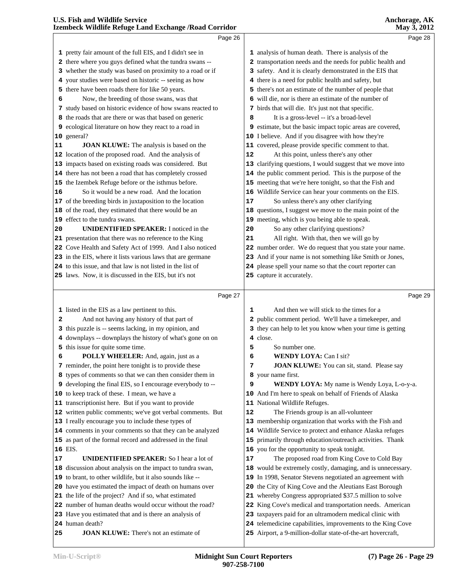|          | Page 26                                                                                                            |    |                                                                                                                            | Page 28 |
|----------|--------------------------------------------------------------------------------------------------------------------|----|----------------------------------------------------------------------------------------------------------------------------|---------|
|          |                                                                                                                    |    |                                                                                                                            |         |
|          | 1 pretty fair amount of the full EIS, and I didn't see in                                                          |    | 1 analysis of human death. There is analysis of the                                                                        |         |
|          | 2 there where you guys defined what the tundra swans --                                                            |    | 2 transportation needs and the needs for public health and                                                                 |         |
|          | 3 whether the study was based on proximity to a road or if<br>your studies were based on historic -- seeing as how |    | 3 safety. And it is clearly demonstrated in the EIS that<br>4 there is a need for public health and safety, but            |         |
| 4.<br>5. | there have been roads there for like 50 years.                                                                     |    | 5 there's not an estimate of the number of people that                                                                     |         |
| 6        | Now, the breeding of those swans, was that                                                                         |    | 6 will die, nor is there an estimate of the number of                                                                      |         |
|          | 7 study based on historic evidence of how swans reacted to                                                         |    | 7 birds that will die. It's just not that specific.                                                                        |         |
|          | 8 the roads that are there or was that based on generic                                                            | 8  | It is a gross-level -- it's a broad-level                                                                                  |         |
|          | 9 ecological literature on how they react to a road in                                                             |    | 9 estimate, but the basic impact topic areas are covered,                                                                  |         |
|          | 10 general?                                                                                                        |    | 10 I believe. And if you disagree with how they're                                                                         |         |
| 11       | <b>JOAN KLUWE:</b> The analysis is based on the                                                                    |    | 11 covered, please provide specific comment to that.                                                                       |         |
|          | 12 location of the proposed road. And the analysis of                                                              | 12 | At this point, unless there's any other                                                                                    |         |
|          | 13 impacts based on existing roads was considered. But                                                             |    | 13 clarifying questions, I would suggest that we move into                                                                 |         |
|          | 14 there has not been a road that has completely crossed                                                           |    | 14 the public comment period. This is the purpose of the                                                                   |         |
|          | 15 the Izembek Refuge before or the isthmus before.                                                                |    | 15 meeting that we're here tonight, so that the Fish and                                                                   |         |
| 16       | So it would be a new road. And the location                                                                        |    | 16 Wildlife Service can hear your comments on the EIS.                                                                     |         |
|          | 17 of the breeding birds in juxtaposition to the location                                                          | 17 | So unless there's any other clarifying                                                                                     |         |
|          | 18 of the road, they estimated that there would be an                                                              |    | 18 questions, I suggest we move to the main point of the                                                                   |         |
|          | 19 effect to the tundra swans.                                                                                     |    | 19 meeting, which is you being able to speak.                                                                              |         |
| 20       | <b>UNIDENTIFIED SPEAKER:</b> I noticed in the                                                                      | 20 | So any other clarifying questions?                                                                                         |         |
|          | 21 presentation that there was no reference to the King                                                            | 21 | All right. With that, then we will go by                                                                                   |         |
|          | 22 Cove Health and Safety Act of 1999. And I also noticed                                                          |    | 22 number order. We do request that you state your name.                                                                   |         |
|          | 23 in the EIS, where it lists various laws that are germane                                                        |    | 23 And if your name is not something like Smith or Jones,                                                                  |         |
|          | 24 to this issue, and that law is not listed in the list of                                                        |    | 24 please spell your name so that the court reporter can                                                                   |         |
|          | 25 laws. Now, it is discussed in the EIS, but it's not                                                             |    | 25 capture it accurately.                                                                                                  |         |
|          |                                                                                                                    |    |                                                                                                                            |         |
|          | Page 27                                                                                                            |    |                                                                                                                            | Page 29 |
|          | 1 listed in the EIS as a law pertinent to this.                                                                    | 1  | And then we will stick to the times for a                                                                                  |         |
| 2        | And not having any history of that part of                                                                         |    | 2 public comment period. We'll have a timekeeper, and                                                                      |         |
|          | 3 this puzzle is -- seems lacking, in my opinion, and                                                              |    | 3 they can help to let you know when your time is getting                                                                  |         |
|          | 4 downplays -- downplays the history of what's gone on on                                                          |    | 4 close.                                                                                                                   |         |
|          | 5 this issue for quite some time.                                                                                  | 5  | So number one.                                                                                                             |         |
| 6        | POLLY WHEELER: And, again, just as a                                                                               | 6  | <b>WENDY LOYA: Can I sit?</b>                                                                                              |         |
|          | 7 reminder, the point here tonight is to provide these                                                             | 7  | <b>JOAN KLUWE:</b> You can sit, stand. Please say                                                                          |         |
|          | 8 types of comments so that we can then consider them in                                                           |    | 8 your name first.                                                                                                         |         |
| 9        | developing the final EIS, so I encourage everybody to --                                                           | 9  | WENDY LOYA: My name is Wendy Loya, L-o-y-a.                                                                                |         |
|          | 10 to keep track of these. I mean, we have a                                                                       |    | 10 And I'm here to speak on behalf of Friends of Alaska                                                                    |         |
|          | 11 transcriptionist here. But if you want to provide                                                               |    | 11 National Wildlife Refuges.                                                                                              |         |
|          | 12 written public comments; we've got verbal comments. But                                                         | 12 | The Friends group is an all-volunteer                                                                                      |         |
|          | 13 I really encourage you to include these types of                                                                |    | 13 membership organization that works with the Fish and                                                                    |         |
|          |                                                                                                                    |    |                                                                                                                            |         |
|          | 14 comments in your comments so that they can be analyzed                                                          |    | 14 Wildlife Service to protect and enhance Alaska refuges                                                                  |         |
|          | 15 as part of the formal record and addressed in the final                                                         |    | 15 primarily through education/outreach activities. Thank                                                                  |         |
|          | 16 EIS.                                                                                                            |    | 16 you for the opportunity to speak tonight.                                                                               |         |
| 17       | <b>UNIDENTIFIED SPEAKER:</b> So I hear a lot of                                                                    | 17 | The proposed road from King Cove to Cold Bay                                                                               |         |
|          | 18 discussion about analysis on the impact to tundra swan,                                                         | 18 | would be extremely costly, damaging, and is unnecessary.                                                                   |         |
|          | 19 to brant, to other wildlife, but it also sounds like --                                                         |    | 19 In 1998, Senator Stevens negotiated an agreement with                                                                   |         |
|          | 20 have you estimated the impact of death on humans over                                                           |    | 20 the City of King Cove and the Aleutians East Borough                                                                    |         |
|          | 21 the life of the project? And if so, what estimated                                                              |    | 21 whereby Congress appropriated \$37.5 million to solve                                                                   |         |
|          | 22 number of human deaths would occur without the road?                                                            |    | 22 King Cove's medical and transportation needs. American                                                                  |         |
|          | 23 Have you estimated that and is there an analysis of                                                             |    | 23 taxpayers paid for an ultramodern medical clinic with                                                                   |         |
| 25       | 24 human death?<br>JOAN KLUWE: There's not an estimate of                                                          |    | 24 telemedicine capabilities, improvements to the King Cove<br>25 Airport, a 9-million-dollar state-of-the-art hovercraft, |         |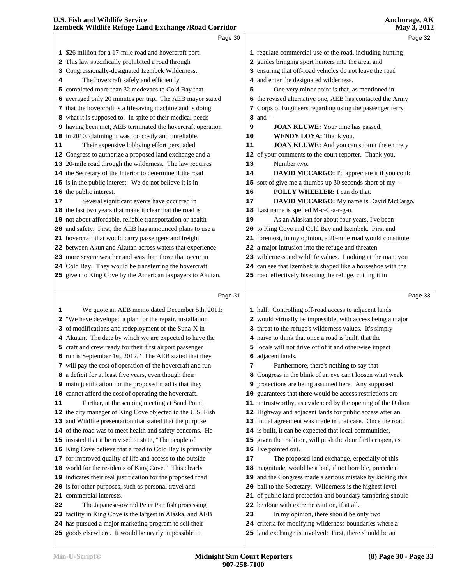|    | Page 30                                                     |    | Page 32                                                     |  |
|----|-------------------------------------------------------------|----|-------------------------------------------------------------|--|
|    |                                                             |    |                                                             |  |
|    | 1 \$26 million for a 17-mile road and hovercraft port.      |    | 1 regulate commercial use of the road, including hunting    |  |
|    | 2 This law specifically prohibited a road through           |    | 2 guides bringing sport hunters into the area, and          |  |
|    | 3 Congressionally-designated Izembek Wilderness.            |    | 3 ensuring that off-road vehicles do not leave the road     |  |
| 4  | The hovercraft safely and efficiently                       |    | 4 and enter the designated wilderness.                      |  |
|    | 5 completed more than 32 medevacs to Cold Bay that          | 5  | One very minor point is that, as mentioned in               |  |
|    | 6 averaged only 20 minutes per trip. The AEB mayor stated   |    | 6 the revised alternative one, AEB has contacted the Army   |  |
|    | 7 that the hovercraft is a lifesaving machine and is doing  |    | 7 Corps of Engineers regarding using the passenger ferry    |  |
|    | 8 what it is supposed to. In spite of their medical needs   |    | 8 and --                                                    |  |
|    | 9 having been met, AEB terminated the hovercraft operation  | 9  | <b>JOAN KLUWE:</b> Your time has passed.                    |  |
|    | 10 in 2010, claiming it was too costly and unreliable.      | 10 | WENDY LOYA: Thank you.                                      |  |
| 11 | Their expensive lobbying effort persuaded                   | 11 | JOAN KLUWE: And you can submit the entirety                 |  |
|    | 12 Congress to authorize a proposed land exchange and a     |    | 12 of your comments to the court reporter. Thank you.       |  |
|    | 13 20-mile road through the wilderness. The law requires    | 13 | Number two.                                                 |  |
|    | 14 the Secretary of the Interior to determine if the road   | 14 | DAVID MCCARGO: I'd appreciate it if you could               |  |
|    | 15 is in the public interest. We do not believe it is in    |    | 15 sort of give me a thumbs-up 30 seconds short of my --    |  |
|    | 16 the public interest.                                     | 16 | POLLY WHEELER: I can do that.                               |  |
| 17 | Several significant events have occurred in                 | 17 | DAVID MCCARGO: My name is David McCargo.                    |  |
|    | 18 the last two years that make it clear that the road is   |    | 18 Last name is spelled M-c-C-a-r-g-o.                      |  |
|    | 19 not about affordable, reliable transportation or health  | 19 | As an Alaskan for about four years, I've been               |  |
|    | 20 and safety. First, the AEB has announced plans to use a  |    | 20 to King Cove and Cold Bay and Izembek. First and         |  |
|    | 21 hovercraft that would carry passengers and freight       |    | 21 foremost, in my opinion, a 20-mile road would constitute |  |
|    | 22 between Akun and Akutan across waters that experience    |    | 22 a major intrusion into the refuge and threaten           |  |
|    | 23 more severe weather and seas than those that occur in    |    | 23 wilderness and wildlife values. Looking at the map, you  |  |
|    | 24 Cold Bay. They would be transferring the hovercraft      |    | 24 can see that Izembek is shaped like a horseshoe with the |  |
|    | 25 given to King Cove by the American taxpayers to Akutan.  |    | 25 road effectively bisecting the refuge, cutting it in     |  |
|    |                                                             |    |                                                             |  |
|    |                                                             |    |                                                             |  |
|    | Page 31                                                     |    | Page 33                                                     |  |
| ı  | We quote an AEB memo dated December 5th, 2011:              |    | 1 half. Controlling off-road access to adjacent lands       |  |
| 2  | "We have developed a plan for the repair, installation      |    | 2 would virtually be impossible, with access being a major  |  |
|    | 3 of modifications and redeployment of the Suna-X in        |    | 3 threat to the refuge's wilderness values. It's simply     |  |
|    | 4 Akutan. The date by which we are expected to have the     |    | 4 naive to think that once a road is built, that the        |  |
|    | 5 craft and crew ready for their first airport passenger    |    | 5 locals will not drive off of it and otherwise impact      |  |
|    | 6 run is September 1st, 2012." The AEB stated that they     |    | 6 adjacent lands.                                           |  |
|    | 7 will pay the cost of operation of the hovercraft and run  | 7  | Furthermore, there's nothing to say that                    |  |
|    | 8 a deficit for at least five years, even though their      |    | 8 Congress in the blink of an eye can't loosen what weak    |  |
|    | 9 main justification for the proposed road is that they     |    | 9 protections are being assumed here. Any supposed          |  |
|    | 10 cannot afford the cost of operating the hovercraft.      |    | 10 guarantees that there would be access restrictions are   |  |
| 11 | Further, at the scoping meeting at Sand Point,              |    | 11 untrustworthy, as evidenced by the opening of the Dalton |  |
|    | 12 the city manager of King Cove objected to the U.S. Fish  |    | 12 Highway and adjacent lands for public access after an    |  |
|    | 13 and Wildlife presentation that stated that the purpose   |    | 13 initial agreement was made in that case. Once the road   |  |
|    | 14 of the road was to meet health and safety concerns. He   |    | 14 is built, it can be expected that local communities,     |  |
|    | 15 insisted that it be revised to state, "The people of     |    | 15 given the tradition, will push the door further open, as |  |
|    | 16 King Cove believe that a road to Cold Bay is primarily   |    | 16 I've pointed out.                                        |  |
|    | 17 for improved quality of life and access to the outside   | 17 | The proposed land exchange, especially of this              |  |
|    | 18 world for the residents of King Cove." This clearly      |    | 18 magnitude, would be a bad, if not horrible, precedent    |  |
|    | 19 indicates their real justification for the proposed road |    | 19 and the Congress made a serious mistake by kicking this  |  |
|    | 20 is for other purposes, such as personal travel and       |    | 20 ball to the Secretary. Wilderness is the highest level   |  |
|    | 21 commercial interests.                                    |    | 21 of public land protection and boundary tampering should  |  |
| 22 | The Japanese-owned Peter Pan fish processing                |    | 22 be done with extreme caution, if at all.                 |  |
|    | 23 facility in King Cove is the largest in Alaska, and AEB  | 23 | In my opinion, there should be only two                     |  |

goods elsewhere. It would be nearly impossible to

land exchange is involved: First, there should be an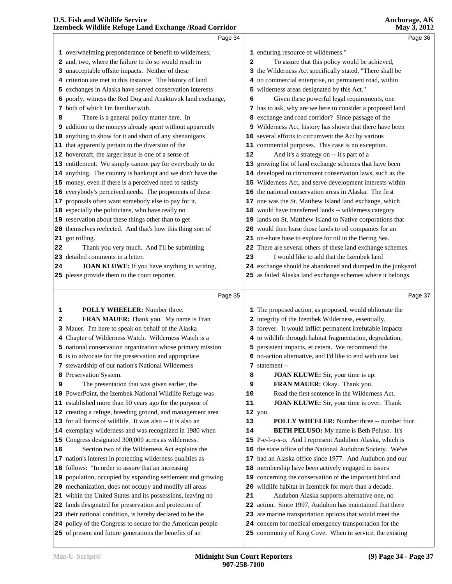|    | Page 34                                                                                                                |    | Page 36                                                                                                             |  |
|----|------------------------------------------------------------------------------------------------------------------------|----|---------------------------------------------------------------------------------------------------------------------|--|
|    | 1 overwhelming preponderance of benefit to wilderness;                                                                 |    | 1 enduring resource of wilderness."                                                                                 |  |
|    | 2 and, two, where the failure to do so would result in                                                                 | 2  | To assure that this policy would be achieved,                                                                       |  |
|    | 3 unacceptable offsite impacts. Neither of these                                                                       |    | 3 the Wilderness Act specifically stated, "There shall be                                                           |  |
|    | 4 criterion are met in this instance. The history of land                                                              |    | 4 no commercial enterprise, no permanent road, within                                                               |  |
|    | 5 exchanges in Alaska have served conservation interests                                                               |    | 5 wilderness areas designated by this Act."                                                                         |  |
|    | 6 poorly, witness the Red Dog and Anaktuvuk land exchange,                                                             | 6  | Given these powerful legal requirements, one                                                                        |  |
|    | 7 both of which I'm familiar with.                                                                                     |    | 7 has to ask, why are we here to consider a proposed land                                                           |  |
| 8  | There is a general policy matter here. In                                                                              |    | 8 exchange and road corridor? Since passage of the                                                                  |  |
|    | 9 addition to the moneys already spent without apparently                                                              |    | 9 Wilderness Act, history has shown that there have been                                                            |  |
|    | 10 anything to show for it and short of any shenanigans                                                                |    | 10 several efforts to circumvent the Act by various                                                                 |  |
|    | 11 that apparently pertain to the diversion of the                                                                     |    | 11 commercial purposes. This case is no exception.                                                                  |  |
|    | 12 hovercraft, the larger issue is one of a sense of                                                                   | 12 | And it's a strategy on -- it's part of a                                                                            |  |
|    | 13 entitlement. We simply cannot pay for everybody to do                                                               |    | 13 growing list of land exchange schemes that have been                                                             |  |
|    | 14 anything. The country is bankrupt and we don't have the                                                             |    | 14 developed to circumvent conservation laws, such as the                                                           |  |
|    | 15 money, even if there is a perceived need to satisfy                                                                 |    | 15 Wilderness Act, and serve development interests within                                                           |  |
|    | 16 everybody's perceived needs. The proponents of these                                                                |    | 16 the national conservation areas in Alaska. The first                                                             |  |
|    | 17 proposals often want somebody else to pay for it,                                                                   |    | 17 one was the St. Matthew Island land exchange, which                                                              |  |
|    | 18 especially the politicians, who have really no                                                                      |    | 18 would have transferred lands -- wilderness category                                                              |  |
|    | 19 reservation about these things other than to get                                                                    |    | 19 lands on St. Matthew Island to Native corporations that                                                          |  |
|    | 20 themselves reelected. And that's how this thing sort of                                                             |    | 20 would then lease those lands to oil companies for an                                                             |  |
|    | 21 got rolling.                                                                                                        |    | 21 on-shore base to explore for oil in the Bering Sea.                                                              |  |
| 22 | Thank you very much. And I'll be submitting                                                                            |    | 22 There are several others of these land exchange schemes.                                                         |  |
|    | 23 detailed comments in a letter.                                                                                      | 23 | I would like to add that the Izembek land                                                                           |  |
| 24 | JOAN KLUWE: If you have anything in writing,                                                                           |    | 24 exchange should be abandoned and dumped in the junkyard                                                          |  |
|    | 25 please provide them to the court reporter.                                                                          |    | 25 as failed Alaska land exchange schemes where it belongs.                                                         |  |
|    |                                                                                                                        |    |                                                                                                                     |  |
|    |                                                                                                                        |    |                                                                                                                     |  |
|    | Page 35                                                                                                                |    | Page 37                                                                                                             |  |
|    |                                                                                                                        |    |                                                                                                                     |  |
| 1  | POLLY WHEELER: Number three.                                                                                           |    | 1 The proposed action, as proposed, would obliterate the                                                            |  |
| 2  | FRAN MAUER: Thank you. My name is Fran                                                                                 |    | 2 integrity of the Izembek Wilderness, essentially,                                                                 |  |
|    | 3 Mauer. I'm here to speak on behalf of the Alaska                                                                     |    | 3 forever. It would inflict permanent irrefutable impacts                                                           |  |
|    | 4 Chapter of Wilderness Watch. Wilderness Watch is a                                                                   |    | 4 to wildlife through habitat fragmentation, degradation,                                                           |  |
|    | 5 national conservation organization whose primary mission                                                             |    | 5 persistent impacts, et cetera. We recommend the                                                                   |  |
|    | 6 is to advocate for the preservation and appropriate                                                                  |    | 6 no-action alternative, and I'd like to end with one last<br>7 statement --                                        |  |
|    | 7 stewardship of our nation's National Wilderness<br>8 Preservation System.                                            | 8  | <b>JOAN KLUWE:</b> Sir, your time is up.                                                                            |  |
| 9  | The presentation that was given earlier, the                                                                           | 9  | FRAN MAUER: Okay. Thank you.                                                                                        |  |
|    | 10 PowerPoint, the Izembek National Wildlife Refuge was                                                                | 10 | Read the first sentence in the Wilderness Act.                                                                      |  |
|    | 11 established more than 50 years ago for the purpose of                                                               | 11 | JOAN KLUWE: Sir, your time is over. Thank                                                                           |  |
|    | 12 creating a refuge, breeding ground, and management area                                                             |    | 12 you.                                                                                                             |  |
|    | 13 for all forms of wildlife. It was also -- it is also an                                                             | 13 | <b>POLLY WHEELER:</b> Number three -- number four.                                                                  |  |
|    | 14 exemplary wilderness and was recognized in 1980 when                                                                | 14 | <b>BETH PELUSO:</b> My name is Beth Peluso. It's                                                                    |  |
|    | 15 Congress designated 300,000 acres as wilderness.                                                                    |    | 15 P-e-l-u-s-o. And I represent Audubon Alaska, which is                                                            |  |
| 16 | Section two of the Wilderness Act explains the                                                                         |    | 16 the state office of the National Audubon Society. We've                                                          |  |
|    | 17 nation's interest in protecting wilderness qualities as                                                             |    | 17 had an Alaska office since 1977. And Audubon and our                                                             |  |
|    | 18 follows: "In order to assure that an increasing                                                                     | 18 | membership have been actively engaged in issues                                                                     |  |
|    | 19 population, occupied by expanding settlement and growing                                                            | 19 | concerning the conservation of the important bird and                                                               |  |
|    | 20 mechanization, does not occupy and modify all areas                                                                 |    | 20 wildlife habitat in Izembek for more than a decade.                                                              |  |
|    | 21 within the United States and its possessions, leaving no                                                            | 21 | Audubon Alaska supports alternative one, no                                                                         |  |
|    | 22 lands designated for preservation and protection of                                                                 |    | 22 action. Since 1997, Audubon has maintained that there                                                            |  |
|    | 23 their national condition, is hereby declared to be the                                                              |    | 23 are marine transportation options that would meet the                                                            |  |
|    | 24 policy of the Congress to secure for the American people<br>25 of present and future generations the benefits of an |    | 24 concern for medical emergency transportation for the<br>25 community of King Cove. When in service, the existing |  |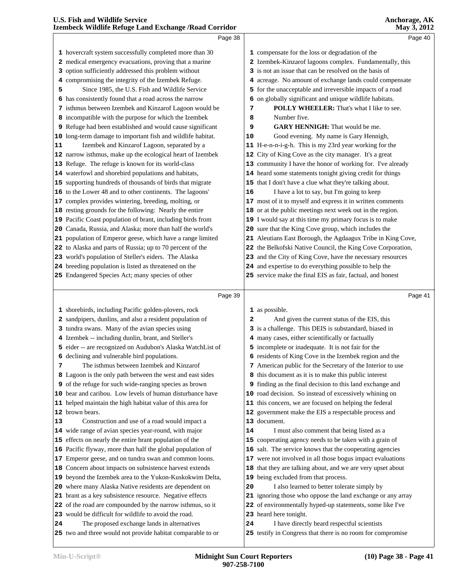|          | Izembeck Wildlife Refuge Land Exchange / Road Corridor                                               |    | <b>May 3, 2012</b>                                                    |  |
|----------|------------------------------------------------------------------------------------------------------|----|-----------------------------------------------------------------------|--|
|          | Page 38                                                                                              |    | Page 40                                                               |  |
|          | 1 hovercraft system successfully completed more than 30                                              |    | 1 compensate for the loss or degradation of the                       |  |
|          | 2 medical emergency evacuations, proving that a marine                                               |    | 2 Izembek-Kinzarof lagoons complex. Fundamentally, this               |  |
|          | 3 option sufficiently addressed this problem without                                                 |    | 3 is not an issue that can be resolved on the basis of                |  |
|          | 4 compromising the integrity of the Izembek Refuge.                                                  |    | 4 acreage. No amount of exchange lands could compensate               |  |
| 5        | Since 1985, the U.S. Fish and Wildlife Service                                                       |    | 5 for the unacceptable and irreversible impacts of a road             |  |
|          | 6 has consistently found that a road across the narrow                                               |    | 6 on globally significant and unique wildlife habitats.               |  |
|          | 7 isthmus between Izembek and Kinzarof Lagoon would be                                               | 7  | POLLY WHEELER: That's what I like to see.                             |  |
|          | 8 incompatible with the purpose for which the Izembek                                                | 8  | Number five.                                                          |  |
|          | 9 Refuge had been established and would cause significant                                            | 9  | <b>GARY HENNIGH:</b> That would be me.                                |  |
|          | 10 long-term damage to important fish and wildlife habitat.                                          | 10 | Good evening. My name is Gary Hennigh,                                |  |
| 11       | Izembek and Kinzarof Lagoon, separated by a                                                          |    | 11 H-e-n-n-i-g-h. This is my 23rd year working for the                |  |
|          | 12 narrow isthmus, make up the ecological heart of Izembek                                           |    | 12 City of King Cove as the city manager. It's a great                |  |
|          | 13 Refuge. The refuge is known for its world-class                                                   |    | 13 community I have the honor of working for. I've already            |  |
|          | 14 waterfowl and shorebird populations and habitats,                                                 |    | 14 heard some statements tonight giving credit for things             |  |
|          | 15 supporting hundreds of thousands of birds that migrate                                            |    | 15 that I don't have a clue what they're talking about.               |  |
|          | 16 to the Lower 48 and to other continents. The lagoons'                                             | 16 | I have a lot to say, but I'm going to keep                            |  |
|          | 17 complex provides wintering, breeding, molting, or                                                 |    | 17 most of it to myself and express it in written comments            |  |
|          | 18 resting grounds for the following: Nearly the entire                                              |    | 18 or at the public meetings next week out in the region.             |  |
|          | 19 Pacific Coast population of brant, including birds from                                           |    | 19 I would say at this time my primary focus is to make               |  |
|          | 20 Canada, Russia, and Alaska; more than half the world's                                            |    | 20 sure that the King Cove group, which includes the                  |  |
|          | 21 population of Emperor geese, which have a range limited                                           |    | 21 Aleutians East Borough, the Agdaagux Tribe in King Cove,           |  |
|          | 22 to Alaska and parts of Russia; up to 70 percent of the                                            |    | 22 the Belkofski Native Council, the King Cove Corporation,           |  |
|          | 23 world's population of Steller's eiders. The Alaska                                                |    | 23 and the City of King Cove, have the necessary resources            |  |
|          | 24 breeding population is listed as threatened on the                                                |    | 24 and expertise to do everything possible to help the                |  |
|          | 25 Endangered Species Act; many species of other                                                     |    | 25 service make the final EIS as fair, factual, and honest            |  |
|          |                                                                                                      |    |                                                                       |  |
|          | Page 39                                                                                              |    | Page 41                                                               |  |
|          | 1 shorebirds, including Pacific golden-plovers, rock                                                 |    | 1 as possible.                                                        |  |
|          | 2 sandpipers, dunlins, and also a resident population of                                             | 2  | And given the current status of the EIS, this                         |  |
|          | 3 tundra swans. Many of the avian species using                                                      |    | 3 is a challenge. This DEIS is substandard, biased in                 |  |
|          | 4 Izembek -- including dunlin, brant, and Steller's                                                  |    | 4 many cases, either scientifically or factually                      |  |
|          | 5 eider -- are recognized on Audubon's Alaska WatchList of                                           |    | 5 incomplete or inadequate. It is not fair for the                    |  |
|          | 6 declining and vulnerable bird populations.                                                         |    | 6 residents of King Cove in the Izembek region and the                |  |
| 7        | The isthmus between Izembek and Kinzarof                                                             |    | 7 American public for the Secretary of the Interior to use            |  |
|          | 8 Lagoon is the only path between the west and east sides                                            |    | 8 this document as it is to make this public interest                 |  |
|          | 9 of the refuge for such wide-ranging species as brown                                               |    | 9 finding as the final decision to this land exchange and             |  |
|          | 10 bear and caribou. Low levels of human disturbance have                                            |    | 10 road decision. So instead of excessively whining on                |  |
|          | 11 helped maintain the high habitat value of this area for                                           |    | 11 this concern, we are focused on helping the federal                |  |
|          | 12 brown bears.                                                                                      |    | 12 government make the EIS a respectable process and                  |  |
|          | Construction and use of a road would impact a                                                        |    | 13 document.                                                          |  |
|          | 14 wide range of avian species year-round, with major                                                | 14 | I must also comment that being listed as a                            |  |
|          | 15 effects on nearly the entire brant population of the                                              |    | 15 cooperating agency needs to be taken with a grain of               |  |
|          | 16 Pacific flyway, more than half the global population of                                           |    | 16 salt. The service knows that the cooperating agencies              |  |
|          | 17 Emperor geese, and on tundra swan and common loons.                                               |    | 17 were not involved in all those bogus impact evaluations            |  |
|          | 18 Concern about impacts on subsistence harvest extends                                              |    | 18 that they are talking about, and we are very upset about           |  |
|          | 19 beyond the Izembek area to the Yukon-Kuskokwim Delta,                                             |    | 19 being excluded from that process.                                  |  |
|          | 20 where many Alaska Native residents are dependent on                                               | 20 | I also learned to better tolerate simply by                           |  |
|          | 21 brant as a key subsistence resource. Negative effects                                             |    | 21 ignoring those who oppose the land exchange or any array           |  |
|          | 22 of the road are compounded by the narrow isthmus, so it                                           |    | 22 of environmentally hyped-up statements, some like I've             |  |
| 13<br>24 | 23 would be difficult for wildlife to avoid the road.<br>The proposed exchange lands in alternatives | 24 | 23 heard here tonight.<br>I have directly heard respectful scientists |  |

two and three would not provide habitat comparable to or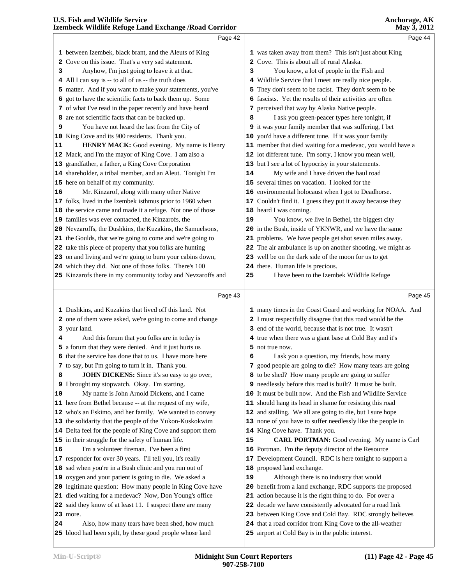|          | izembeek whume iscrage Land Exenange / Isbau Corridor       |    | 114, 3, 2012                                                |
|----------|-------------------------------------------------------------|----|-------------------------------------------------------------|
|          | Page 42                                                     |    | Page 44                                                     |
|          | 1 between Izembek, black brant, and the Aleuts of King      |    | 1 was taken away from them? This isn't just about King      |
|          | 2 Cove on this issue. That's a very sad statement.          |    | 2 Cove. This is about all of rural Alaska.                  |
| 3        | Anyhow, I'm just going to leave it at that.                 | з  | You know, a lot of people in the Fish and                   |
|          | 4 All I can say is -- to all of us -- the truth does        |    | 4 Wildlife Service that I meet are really nice people.      |
|          | 5 matter. And if you want to make your statements, you've   |    | 5 They don't seem to be racist. They don't seem to be       |
|          | 6 got to have the scientific facts to back them up. Some    |    | 6 fascists. Yet the results of their activities are often   |
|          | 7 of what I've read in the paper recently and have heard    |    | 7 perceived that way by Alaska Native people.               |
|          | 8 are not scientific facts that can be backed up.           | 8  | I ask you green-peacer types here tonight, if               |
| 9        | You have not heard the last from the City of                |    | 9 it was your family member that was suffering, I bet       |
|          | 10 King Cove and its 900 residents. Thank you.              |    | 10 you'd have a different tune. If it was your family       |
| 11       | HENRY MACK: Good evening. My name is Henry                  |    | 11 member that died waiting for a medevac, you would have a |
|          | 12 Mack, and I'm the mayor of King Cove. I am also a        |    | 12 lot different tune. I'm sorry, I know you mean well,     |
|          | 13 grandfather, a father, a King Cove Corporation           |    | 13 but I see a lot of hypocrisy in your statements.         |
|          | 14 shareholder, a tribal member, and an Aleut. Tonight I'm  | 14 | My wife and I have driven the haul road                     |
|          | 15 here on behalf of my community.                          |    | 15 several times on vacation. I looked for the              |
| 16       | Mr. Kinzarof, along with many other Native                  |    | 16 environmental holocaust when I got to Deadhorse.         |
|          | 17 folks, lived in the Izembek isthmus prior to 1960 when   |    | 17 Couldn't find it. I guess they put it away because they  |
|          | 18 the service came and made it a refuge. Not one of those  |    | 18 heard I was coming.                                      |
|          | 19 families was ever contacted, the Kinzarofs, the          | 19 | You know, we live in Bethel, the biggest city               |
|          | 20 Nevzaroffs, the Dushkins, the Kuzakins, the Samuelsons,  |    | 20 in the Bush, inside of YKNWR, and we have the same       |
|          | 21 the Goulds, that we're going to come and we're going to  |    | 21 problems. We have people get shot seven miles away.      |
|          | 22 take this piece of property that you folks are hunting   |    | 22 The air ambulance is up on another shooting, we might as |
|          | 23 on and living and we're going to burn your cabins down,  |    | 23 well be on the dark side of the moon for us to get       |
|          | 24 which they did. Not one of those folks. There's 100      |    | 24 there. Human life is precious.                           |
|          | 25 Kinzarofs there in my community today and Nevzaroffs and | 25 | I have been to the Izembek Wildlife Refuge                  |
|          |                                                             |    |                                                             |
|          |                                                             |    |                                                             |
|          | Page 43                                                     |    | Page 45                                                     |
|          | 1 Dushkins, and Kuzakins that lived off this land. Not      |    | 1 many times in the Coast Guard and working for NOAA. And   |
|          | 2 one of them were asked, we're going to come and change    |    | 2 I must respectfully disagree that this road would be the  |
|          | 3 your land.                                                |    | 3 end of the world, because that is not true. It wasn't     |
| 4        | And this forum that you folks are in today is               |    | 4 true when there was a giant base at Cold Bay and it's     |
|          | 5 a forum that they were denied. And it just hurts us       |    | 5 not true now.                                             |
|          | 6 that the service has done that to us. I have more here    | 6  | I ask you a question, my friends, how many                  |
|          | 7 to say, but I'm going to turn it in. Thank you.           |    | 7 good people are going to die? How many tears are going    |
| 8        | JOHN DICKENS: Since it's so easy to go over,                |    | 8 to be shed? How many people are going to suffer           |
|          | 9 I brought my stopwatch. Okay. I'm starting.               |    | 9 needlessly before this road is built? It must be built.   |
|          | My name is John Arnold Dickens, and I came                  |    | 10 It must be built now. And the Fish and Wildlife Service  |
|          | 11 here from Bethel because -- at the request of my wife,   |    | 11 should hang its head in shame for resisting this road    |
|          | 12 who's an Eskimo, and her family. We wanted to convey     |    | 12 and stalling. We all are going to die, but I sure hope   |
|          | 13 the solidarity that the people of the Yukon-Kuskokwim    |    | 13 none of you have to suffer needlessly like the people in |
|          | 14 Delta feel for the people of King Cove and support them  |    | 14 King Cove have. Thank you.                               |
|          | 15 in their struggle for the safety of human life.          | 15 | CARL PORTMAN: Good evening. My name is Carl                 |
|          | I'm a volunteer fireman. I've been a first                  |    | 16 Portman. I'm the deputy director of the Resource         |
|          | 17 responder for over 30 years. I'll tell you, it's really  |    | 17 Development Council. RDC is here tonight to support a    |
|          | 18 sad when you're in a Bush clinic and you run out of      |    | 18 proposed land exchange.                                  |
|          | 19 oxygen and your patient is going to die. We asked a      | 19 | Although there is no industry that would                    |
|          | 20 legitimate question: How many people in King Cove have   |    | 20 benefit from a land exchange, RDC supports the proposed  |
|          | 21 died waiting for a medevac? Now, Don Young's office      |    | 21 action because it is the right thing to do. For over a   |
|          | 22 said they know of at least 11. I suspect there are many  |    | 22 decade we have consistently advocated for a road link    |
| 10<br>16 | <b>23</b> more.                                             |    | 23 between King Cove and Cold Bay. RDC strongly believes    |
| 24       | Also, how many tears have been shed, how much               |    | 24 that a road corridor from King Cove to the all-weather   |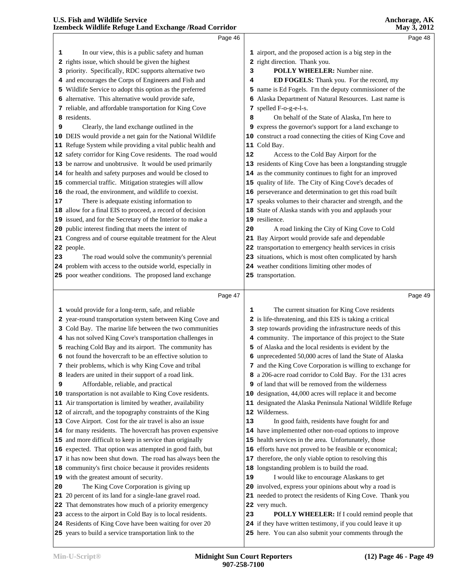|    | Page 46                                                                                                                |    | Page 48                                                                                                            |  |
|----|------------------------------------------------------------------------------------------------------------------------|----|--------------------------------------------------------------------------------------------------------------------|--|
| 1  | In our view, this is a public safety and human                                                                         |    | 1 airport, and the proposed action is a big step in the                                                            |  |
|    | 2 rights issue, which should be given the highest                                                                      |    | 2 right direction. Thank you.                                                                                      |  |
|    | 3 priority. Specifically, RDC supports alternative two                                                                 | 3  | POLLY WHEELER: Number nine.                                                                                        |  |
|    | 4 and encourages the Corps of Engineers and Fish and                                                                   | 4  | ED FOGELS: Thank you. For the record, my                                                                           |  |
|    | 5 Wildlife Service to adopt this option as the preferred                                                               |    | 5 name is Ed Fogels. I'm the deputy commissioner of the                                                            |  |
|    | 6 alternative. This alternative would provide safe,                                                                    |    | 6 Alaska Department of Natural Resources. Last name is                                                             |  |
|    | 7 reliable, and affordable transportation for King Cove                                                                |    | 7 spelled F-o-g-e-l-s.                                                                                             |  |
|    | 8 residents.                                                                                                           |    |                                                                                                                    |  |
| 9  | Clearly, the land exchange outlined in the                                                                             | 8  | On behalf of the State of Alaska, I'm here to                                                                      |  |
|    |                                                                                                                        |    | 9 express the governor's support for a land exchange to                                                            |  |
|    | 10 DEIS would provide a net gain for the National Wildlife                                                             |    | 10 construct a road connecting the cities of King Cove and                                                         |  |
|    | 11 Refuge System while providing a vital public health and                                                             |    | 11 Cold Bay.                                                                                                       |  |
|    | 12 safety corridor for King Cove residents. The road would                                                             | 12 | Access to the Cold Bay Airport for the                                                                             |  |
|    | 13 be narrow and unobtrusive. It would be used primarily                                                               |    | 13 residents of King Cove has been a longstanding struggle                                                         |  |
|    | 14 for health and safety purposes and would be closed to                                                               |    | 14 as the community continues to fight for an improved                                                             |  |
|    | 15 commercial traffic. Mitigation strategies will allow                                                                |    | 15 quality of life. The City of King Cove's decades of                                                             |  |
|    | 16 the road, the environment, and wildlife to coexist.                                                                 |    | 16 perseverance and determination to get this road built                                                           |  |
| 17 | There is adequate existing information to                                                                              |    | 17 speaks volumes to their character and strength, and the                                                         |  |
|    | 18 allow for a final EIS to proceed, a record of decision                                                              |    | 18 State of Alaska stands with you and applauds your                                                               |  |
|    | 19 issued, and for the Secretary of the Interior to make a                                                             |    | 19 resilience.                                                                                                     |  |
|    | 20 public interest finding that meets the intent of                                                                    | 20 | A road linking the City of King Cove to Cold                                                                       |  |
|    | 21 Congress and of course equitable treatment for the Aleut                                                            |    | 21 Bay Airport would provide safe and dependable                                                                   |  |
|    | 22 people.                                                                                                             |    | 22 transportation to emergency health services in crisis                                                           |  |
| 23 | The road would solve the community's perennial                                                                         |    | 23 situations, which is most often complicated by harsh                                                            |  |
|    | 24 problem with access to the outside world, especially in                                                             |    | 24 weather conditions limiting other modes of                                                                      |  |
|    | 25 poor weather conditions. The proposed land exchange                                                                 |    | 25 transportation.                                                                                                 |  |
|    |                                                                                                                        |    |                                                                                                                    |  |
|    |                                                                                                                        |    | Page 49                                                                                                            |  |
|    | Page 47                                                                                                                |    |                                                                                                                    |  |
|    | 1 would provide for a long-term, safe, and reliable                                                                    | 1  | The current situation for King Cove residents                                                                      |  |
|    | 2 year-round transportation system between King Cove and                                                               |    | 2 is life-threatening, and this EIS is taking a critical                                                           |  |
|    | 3 Cold Bay. The marine life between the two communities                                                                |    | 3 step towards providing the infrastructure needs of this                                                          |  |
|    | 4 has not solved King Cove's transportation challenges in                                                              |    | 4 community. The importance of this project to the State                                                           |  |
|    | 5 reaching Cold Bay and its airport. The community has                                                                 |    | 5 of Alaska and the local residents is evident by the                                                              |  |
|    | 6 not found the hovercraft to be an effective solution to                                                              |    | 6 unprecedented 50,000 acres of land the State of Alaska                                                           |  |
|    | 7 their problems, which is why King Cove and tribal                                                                    |    | 7 and the King Cove Corporation is willing to exchange for                                                         |  |
|    | 8 leaders are united in their support of a road link.                                                                  |    | 8 a 206-acre road corridor to Cold Bay. For the 131 acres                                                          |  |
| 9  | Affordable, reliable, and practical                                                                                    |    | 9 of land that will be removed from the wilderness                                                                 |  |
|    | 10 transportation is not available to King Cove residents.                                                             |    | 10 designation, 44,000 acres will replace it and become                                                            |  |
|    | 11 Air transportation is limited by weather, availability                                                              |    | 11 designated the Alaska Peninsula National Wildlife Refuge                                                        |  |
|    | 12 of aircraft, and the topography constraints of the King                                                             |    | 12 Wilderness.                                                                                                     |  |
|    | 13 Cove Airport. Cost for the air travel is also an issue                                                              | 13 | In good faith, residents have fought for and                                                                       |  |
|    | 14 for many residents. The hovercraft has proven expensive                                                             |    | 14 have implemented other non-road options to improve                                                              |  |
|    | 15 and more difficult to keep in service than originally                                                               |    | 15 health services in the area. Unfortunately, those                                                               |  |
|    | 16 expected. That option was attempted in good faith, but                                                              |    | 16 efforts have not proved to be feasible or economical;                                                           |  |
|    | 17 it has now been shut down. The road has always been the                                                             |    | 17 therefore, the only viable option to resolving this                                                             |  |
|    | 18 community's first choice because it provides residents                                                              |    | 18 longstanding problem is to build the road.                                                                      |  |
|    | 19 with the greatest amount of security.                                                                               | 19 | I would like to encourage Alaskans to get                                                                          |  |
| 20 | The King Cove Corporation is giving up                                                                                 |    | 20 involved, express your opinions about why a road is                                                             |  |
|    | 21 20 percent of its land for a single-lane gravel road.                                                               |    | 21 needed to protect the residents of King Cove. Thank you                                                         |  |
|    | 22 That demonstrates how much of a priority emergency                                                                  |    | 22 very much.                                                                                                      |  |
|    | 23 access to the airport in Cold Bay is to local residents.<br>24 Residents of King Cove have been waiting for over 20 | 23 | <b>POLLY WHEELER:</b> If I could remind people that<br>24 if they have written testimony, if you could leave it up |  |

years to build a service transportation link to the

here. You can also submit your comments through the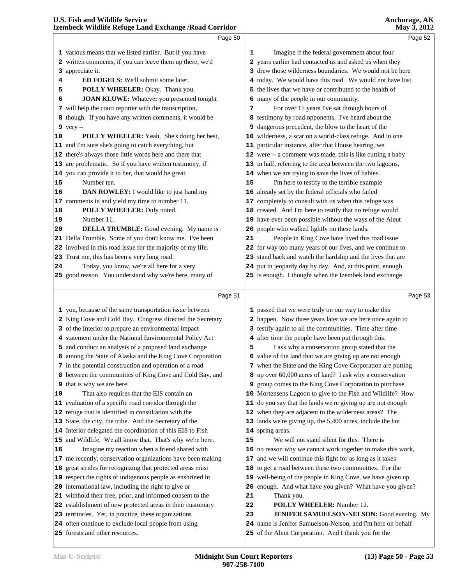|    | LECHNOCOS TERRITO INCREAD LATINI L'ACHANGO / INVAN COLLINOI                                                   |    | 1710 y <i>3</i> , 2012                                                                                    |
|----|---------------------------------------------------------------------------------------------------------------|----|-----------------------------------------------------------------------------------------------------------|
|    | Page 50                                                                                                       |    | Page 52                                                                                                   |
|    | 1 various means that we listed earlier. But if you have                                                       | 1  | Imagine if the federal government about four                                                              |
|    | 2 written comments, if you can leave them up there, we'd                                                      |    | 2 years earlier had contacted us and asked us when they                                                   |
|    | 3 appreciate it.                                                                                              |    | 3 drew those wilderness boundaries. We would not be here                                                  |
| 4  | ED FOGELS: We'll submit some later.                                                                           |    | 4 today. We would have this road. We would not have lost                                                  |
| 5  | POLLY WHEELER: Okay. Thank you.                                                                               |    | 5 the lives that we have or contributed to the health of                                                  |
| 6  | JOAN KLUWE: Whatever you presented tonight                                                                    |    | 6 many of the people in our community.                                                                    |
|    | 7 will help the court reporter with the transcription,                                                        | 7  | For over 15 years I've sat through hours of                                                               |
|    | 8 though. If you have any written comments, it would be                                                       |    | 8 testimony by road opponents. I've heard about the                                                       |
|    | 9 very --                                                                                                     |    | 9 dangerous precedent, the blow to the heart of the                                                       |
| 10 | POLLY WHEELER: Yeah. She's doing her best,                                                                    |    | 10 wilderness, a scar on a world-class refuge. And in one                                                 |
|    | 11 and I'm sure she's going to catch everything, but                                                          |    | 11 particular instance, after that House hearing, we                                                      |
|    | 12 there's always those little words here and there that                                                      |    | 12 were -- a comment was made, this is like cutting a baby                                                |
|    | 13 are problematic. So if you have written testimony, if                                                      |    | 13 in half, referring to the area between the two lagoons,                                                |
|    | 14 you can provide it to her, that would be great.                                                            |    | 14 when we are trying to save the lives of babies.                                                        |
| 15 | Number ten.                                                                                                   | 15 | I'm here to testify to the terrible example                                                               |
| 16 | DAN ROWLEY: I would like to just hand my                                                                      |    | 16 already set by the federal officials who failed                                                        |
|    | 17 comments in and yield my time to number 11.                                                                |    | 17 completely to consult with us when this refuge was                                                     |
| 18 | POLLY WHEELER: Duly noted.                                                                                    |    | 18 created. And I'm here to testify that no refuge would                                                  |
| 19 | Number 11.                                                                                                    |    | 19 have ever been possible without the ways of the Aleut                                                  |
| 20 | <b>DELLA TRUMBLE:</b> Good evening. My name is                                                                |    | 20 people who walked lightly on these lands.                                                              |
|    | 21 Della Trumble. Some of you don't know me. I've been                                                        | 21 | People in King Cove have lived this road issue                                                            |
|    | 22 involved in this road issue for the majority of my life.                                                   |    | 22 for way too many years of our lives, and we continue to                                                |
|    | 23 Trust me, this has been a very long road.                                                                  |    | 23 stand back and watch the hardship and the lives that are                                               |
| 24 | Today, you know, we're all here for a very                                                                    |    | 24 put in jeopardy day by day. And, at this point, enough                                                 |
|    | 25 good reason. You understand why we're here, many of                                                        |    | 25 is enough. I thought when the Izembek land exchange                                                    |
|    |                                                                                                               |    |                                                                                                           |
|    | Page 51                                                                                                       |    | Page 53                                                                                                   |
|    |                                                                                                               |    |                                                                                                           |
|    |                                                                                                               |    |                                                                                                           |
|    | 1 you, because of the same transportation issue between                                                       |    | 1 passed that we were truly on our way to make this                                                       |
|    | 2 King Cove and Cold Bay. Congress directed the Secretary                                                     |    | 2 happen. Now three years later we are here once again to                                                 |
|    | 3 of the Interior to prepare an environmental impact                                                          |    | 3 testify again to all the communities. Time after time                                                   |
|    | 4 statement under the National Environmental Policy Act                                                       |    | 4 after time the people have been put through this.                                                       |
|    | 5 and conduct an analysis of a proposed land exchange                                                         | 5  | I ask why a conservation group stated that the                                                            |
|    | 6 among the State of Alaska and the King Cove Corporation                                                     |    | 6 value of the land that we are giving up are not enough                                                  |
|    | 7 in the potential construction and operation of a road                                                       |    | 7 when the State and the King Cove Corporation are putting                                                |
|    | 8 between the communities of King Cove and Cold Bay, and                                                      |    | 8 up over 60,000 acres of land? I ask why a conservation                                                  |
|    | <b>9</b> that is why we are here.                                                                             | 9  | group comes to the King Cove Corporation to purchase                                                      |
| 10 | That also requires that the EIS contain an                                                                    |    | 10 Mortensens Lagoon to give to the Fish and Wildlife? How                                                |
|    | 11 evaluation of a specific road corridor through the                                                         |    | 11 do you say that the lands we're giving up are not enough                                               |
|    | 12 refuge that is identified in consultation with the                                                         |    | 12 when they are adjacent to the wilderness areas? The                                                    |
|    | 13 State, the city, the tribe. And the Secretary of the                                                       |    | 13 lands we're giving up, the 5,400 acres, include the hot                                                |
|    | 14 Interior delegated the coordination of this EIS to Fish                                                    |    | 14 spring areas.                                                                                          |
|    | 15 and Wildlife. We all know that. That's why we're here.                                                     | 15 | We will not stand silent for this. There is                                                               |
| 16 | Imagine my reaction when a friend shared with                                                                 |    | 16 no reason why we cannot work together to make this work,                                               |
|    | 17 me recently, conservation organizations have been making                                                   |    | 17 and we will continue this fight for as long as it takes                                                |
|    | 18 great strides for recognizing that protected areas must                                                    |    | 18 to get a road between these two communities. For the                                                   |
|    | 19 respect the rights of indigenous people as enshrined in                                                    |    | 19 well-being of the people in King Cove, we have given up                                                |
|    | 20 international law, including the right to give or                                                          |    | 20 enough. And what have you given? What have you given?                                                  |
|    | 21 withhold their free, prior, and informed consent to the                                                    | 21 | Thank you.                                                                                                |
|    | 22 establishment of new protected areas in their customary                                                    | 22 | POLLY WHEELER: Number 12.                                                                                 |
|    | 23 territories. Yet, in practice, these organizations<br>24 often continue to exclude local people from using | 23 | JENIFER SAMUELSON-NELSON: Good evening. My<br>24 name is Jenifer Samuelson-Nelson, and I'm here on behalf |

forests and other resources.

of the Aleut Corporation. And I thank you for the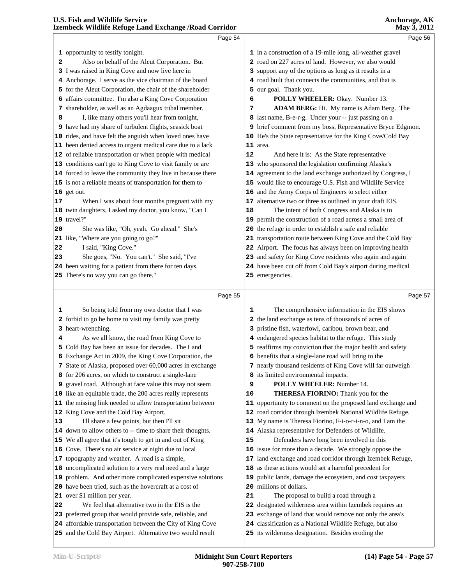|    | izembeck whame Ketuge Land Exchange / Koad Corridor                                                                     |    |                                                                                                                 | NIAY 3, 2012 |
|----|-------------------------------------------------------------------------------------------------------------------------|----|-----------------------------------------------------------------------------------------------------------------|--------------|
|    | Page 54                                                                                                                 |    | Page 56                                                                                                         |              |
|    | 1 opportunity to testify tonight.                                                                                       |    | 1 in a construction of a 19-mile long, all-weather gravel                                                       |              |
| 2  | Also on behalf of the Aleut Corporation. But                                                                            |    | 2 road on 227 acres of land. However, we also would                                                             |              |
|    | 3 I was raised in King Cove and now live here in                                                                        |    | 3 support any of the options as long as it results in a                                                         |              |
|    | 4 Anchorage. I serve as the vice chairman of the board                                                                  |    | 4 road built that connects the communities, and that is                                                         |              |
|    | 5 for the Aleut Corporation, the chair of the shareholder                                                               |    | 5 our goal. Thank you.                                                                                          |              |
|    | 6 affairs committee. I'm also a King Cove Corporation                                                                   | 6  | POLLY WHEELER: Okay. Number 13.                                                                                 |              |
|    | 7 shareholder, as well as an Agdaagux tribal member.                                                                    | 7  | ADAM BERG: Hi. My name is Adam Berg. The                                                                        |              |
| 8  | I, like many others you'll hear from tonight,                                                                           |    | 8 last name, B-e-r-g. Under your -- just passing on a                                                           |              |
|    | 9 have had my share of turbulent flights, seasick boat                                                                  |    | 9 brief comment from my boss, Representative Bryce Edgmon.                                                      |              |
|    | 10 rides, and have felt the anguish when loved ones have                                                                |    | 10 He's the State representative for the King Cove/Cold Bay                                                     |              |
|    | 11 been denied access to urgent medical care due to a lack                                                              |    | 11 area.                                                                                                        |              |
|    | 12 of reliable transportation or when people with medical                                                               | 12 | And here it is: As the State representative                                                                     |              |
|    | 13 conditions can't go to King Cove to visit family or are                                                              |    | 13 who sponsored the legislation confirming Alaska's                                                            |              |
|    | 14 forced to leave the community they live in because there                                                             |    | 14 agreement to the land exchange authorized by Congress, I                                                     |              |
|    | 15 is not a reliable means of transportation for them to                                                                |    | 15 would like to encourage U.S. Fish and Wildlife Service                                                       |              |
|    | 16 get out.                                                                                                             |    | 16 and the Army Corps of Engineers to select either                                                             |              |
| 17 | When I was about four months pregnant with my                                                                           |    | 17 alternative two or three as outlined in your draft EIS.                                                      |              |
|    | 18 twin daughters, I asked my doctor, you know, "Can I                                                                  | 18 | The intent of both Congress and Alaska is to                                                                    |              |
|    | 19 travel?"                                                                                                             |    | 19 permit the construction of a road across a small area of                                                     |              |
| 20 | She was like, "Oh, yeah. Go ahead." She's                                                                               |    | 20 the refuge in order to establish a safe and reliable                                                         |              |
|    | 21 like, "Where are you going to go?"                                                                                   |    | 21 transportation route between King Cove and the Cold Bay                                                      |              |
| 22 | I said, "King Cove."                                                                                                    |    | 22 Airport. The focus has always been on improving health                                                       |              |
| 23 | She goes, "No. You can't." She said, "I've                                                                              |    | 23 and safety for King Cove residents who again and again                                                       |              |
|    | 24 been waiting for a patient from there for ten days.                                                                  |    | 24 have been cut off from Cold Bay's airport during medical                                                     |              |
|    | 25 There's no way you can go there."                                                                                    |    | 25 emergencies.                                                                                                 |              |
|    |                                                                                                                         |    |                                                                                                                 |              |
|    | Page 55                                                                                                                 |    | Page 57                                                                                                         |              |
| 1  |                                                                                                                         | 1  |                                                                                                                 |              |
|    | So being told from my own doctor that I was<br>2 forbid to go he home to visit my family was pretty                     |    | The comprehensive information in the EIS shows<br>2 the land exchange as tens of thousands of acres of          |              |
|    | 3 heart-wrenching.                                                                                                      |    | 3 pristine fish, waterfowl, caribou, brown bear, and                                                            |              |
| 4  | As we all know, the road from King Cove to                                                                              |    | 4 endangered species habitat to the refuge. This study                                                          |              |
|    | 5 Cold Bay has been an issue for decades. The Land                                                                      |    | 5 reaffirms my conviction that the major health and safety                                                      |              |
|    | <b>6</b> Exchange Act in 2009, the King Cove Corporation, the                                                           |    | 6 benefits that a single-lane road will bring to the                                                            |              |
|    | 7 State of Alaska, proposed over 60,000 acres in exchange                                                               |    | 7 nearly thousand residents of King Cove will far outweigh                                                      |              |
|    | 8 for 206 acres, on which to construct a single-lane                                                                    |    | 8 its limited environmental impacts.                                                                            |              |
|    | 9 gravel road. Although at face value this may not seem                                                                 | 9  | <b>POLLY WHEELER:</b> Number 14.                                                                                |              |
|    | 10 like an equitable trade, the 200 acres really represents                                                             | 10 | THERESA FIORINO: Thank you for the                                                                              |              |
|    | 11 the missing link needed to allow transportation between                                                              |    | 11 opportunity to comment on the proposed land exchange and                                                     |              |
|    | 12 King Cove and the Cold Bay Airport.                                                                                  |    | 12 road corridor through Izembek National Wildlife Refuge.                                                      |              |
| 13 | I'll share a few points, but then I'll sit                                                                              |    | 13 My name is Theresa Fiorino, F-i-o-r-i-n-o, and I am the                                                      |              |
|    | 14 down to allow others to -- time to share their thoughts.                                                             |    | 14 Alaska representative for Defenders of Wildlife.                                                             |              |
|    | 15 We all agree that it's tough to get in and out of King                                                               | 15 | Defenders have long been involved in this                                                                       |              |
|    | 16 Cove. There's no air service at night due to local                                                                   |    | 16 issue for more than a decade. We strongly oppose the                                                         |              |
|    | 17 topography and weather. A road is a simple,                                                                          |    | 17 land exchange and road corridor through Izembek Refuge,                                                      |              |
|    | 18 uncomplicated solution to a very real need and a large                                                               |    | 18 as these actions would set a harmful precedent for                                                           |              |
|    | 19 problem. And other more complicated expensive solutions                                                              |    | 19 public lands, damage the ecosystem, and cost taxpayers                                                       |              |
|    | 20 have been tried, such as the hovercraft at a cost of                                                                 |    | 20 millions of dollars.                                                                                         |              |
|    | 21 over \$1 million per year.                                                                                           | 21 | The proposal to build a road through a                                                                          |              |
| 22 | We feel that alternative two in the EIS is the                                                                          |    | 22 designated wilderness area within Izembek requires an                                                        |              |
|    | 23 preferred group that would provide safe, reliable, and                                                               |    | 23 exchange of land that would remove not only the area's                                                       |              |
|    | 24 affordable transportation between the City of King Cove<br>25 and the Cold Bay Airport. Alternative two would result |    | 24 classification as a National Wildlife Refuge, but also<br>25 its wilderness designation. Besides eroding the |              |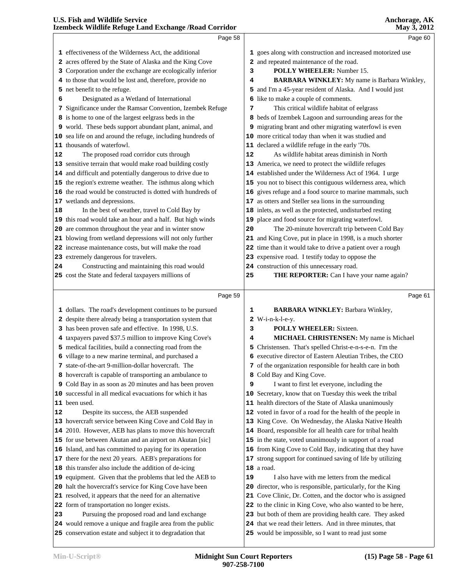|    | membeen whume iterage mana machange / itoma Corrito<br>Page 58                                            |    | 1114, 0, 012<br>Page 60                                                                                                |  |
|----|-----------------------------------------------------------------------------------------------------------|----|------------------------------------------------------------------------------------------------------------------------|--|
|    |                                                                                                           |    |                                                                                                                        |  |
|    | 1 effectiveness of the Wilderness Act, the additional                                                     |    | 1 goes along with construction and increased motorized use                                                             |  |
|    | 2 acres offered by the State of Alaska and the King Cove                                                  |    | 2 and repeated maintenance of the road.                                                                                |  |
|    | 3 Corporation under the exchange are ecologically inferior                                                | 3  | POLLY WHEELER: Number 15.                                                                                              |  |
|    | 4 to those that would be lost and, therefore, provide no                                                  | 4  | <b>BARBARA WINKLEY:</b> My name is Barbara Winkley,                                                                    |  |
|    | 5 net benefit to the refuge.                                                                              |    | 5 and I'm a 45-year resident of Alaska. And I would just                                                               |  |
| 6  | Designated as a Wetland of International                                                                  |    | 6 like to make a couple of comments.                                                                                   |  |
|    | 7 Significance under the Ramsar Convention, Izembek Refuge                                                | 7  | This critical wildlife habitat of eelgrass                                                                             |  |
|    | 8 is home to one of the largest eelgrass beds in the                                                      |    | 8 beds of Izembek Lagoon and surrounding areas for the                                                                 |  |
|    | 9 world. These beds support abundant plant, animal, and                                                   |    | 9 migrating brant and other migrating waterfowl is even                                                                |  |
|    | 10 sea life on and around the refuge, including hundreds of                                               |    | 10 more critical today than when it was studied and                                                                    |  |
|    | 11 thousands of waterfowl.                                                                                |    | 11 declared a wildlife refuge in the early '70s.                                                                       |  |
| 12 | The proposed road corridor cuts through                                                                   | 12 | As wildlife habitat areas diminish in North                                                                            |  |
|    | 13 sensitive terrain that would make road building costly                                                 |    | 13 America, we need to protect the wildlife refuges                                                                    |  |
|    | 14 and difficult and potentially dangerous to drive due to                                                |    | 14 established under the Wilderness Act of 1964. I urge                                                                |  |
|    | 15 the region's extreme weather. The isthmus along which                                                  |    | 15 you not to bisect this contiguous wilderness area, which                                                            |  |
|    | 16 the road would be constructed is dotted with hundreds of                                               |    | 16 gives refuge and a food source to marine mammals, such                                                              |  |
|    | 17 wetlands and depressions.                                                                              |    | 17 as otters and Steller sea lions in the surrounding                                                                  |  |
| 18 | In the best of weather, travel to Cold Bay by                                                             |    | 18 inlets, as well as the protected, undisturbed resting                                                               |  |
|    | 19 this road would take an hour and a half. But high winds                                                |    | 19 place and food source for migrating waterfowl.                                                                      |  |
|    | 20 are common throughout the year and in winter snow                                                      | 20 | The 20-minute hovercraft trip between Cold Bay                                                                         |  |
|    | 21 blowing from wetland depressions will not only further                                                 |    | 21 and King Cove, put in place in 1998, is a much shorter                                                              |  |
|    | 22 increase maintenance costs, but will make the road                                                     |    | 22 time than it would take to drive a patient over a rough                                                             |  |
|    | 23 extremely dangerous for travelers.                                                                     |    | 23 expensive road. I testify today to oppose the                                                                       |  |
| 24 | Constructing and maintaining this road would                                                              |    | 24 construction of this unnecessary road.                                                                              |  |
|    | 25 cost the State and federal taxpayers millions of                                                       | 25 | THE REPORTER: Can I have your name again?                                                                              |  |
|    |                                                                                                           |    |                                                                                                                        |  |
|    |                                                                                                           |    |                                                                                                                        |  |
|    | Page 59                                                                                                   |    | Page 61                                                                                                                |  |
|    |                                                                                                           |    |                                                                                                                        |  |
|    | 1 dollars. The road's development continues to be pursued                                                 | 1  | <b>BARBARA WINKLEY: Barbara Winkley,</b>                                                                               |  |
|    | 2 despite there already being a transportation system that                                                |    | $2$ W-i-n-k-l-e-y.                                                                                                     |  |
|    | 3 has been proven safe and effective. In 1998, U.S.                                                       | 3  | <b>POLLY WHEELER:</b> Sixteen.                                                                                         |  |
|    | 4 taxpayers paved \$37.5 million to improve King Cove's                                                   | 4  | MICHAEL CHRISTENSEN: My name is Michael                                                                                |  |
|    | 5 medical facilities, build a connecting road from the                                                    |    | 5 Christensen. That's spelled Christ-e-n-s-e-n. I'm the                                                                |  |
|    | 6 village to a new marine terminal, and purchased a                                                       |    | 6 executive director of Eastern Aleutian Tribes, the CEO                                                               |  |
|    | 7 state-of-the-art 9-million-dollar hovercraft. The                                                       |    | 7 of the organization responsible for health care in both                                                              |  |
|    | 8 hovercraft is capable of transporting an ambulance to                                                   |    | 8 Cold Bay and King Cove.                                                                                              |  |
|    | 9 Cold Bay in as soon as 20 minutes and has been proven                                                   | 9  | I want to first let everyone, including the                                                                            |  |
|    | 10 successful in all medical evacuations for which it has                                                 |    | 10 Secretary, know that on Tuesday this week the tribal                                                                |  |
|    | 11 been used.                                                                                             |    | 11 health directors of the State of Alaska unanimously                                                                 |  |
| 12 | Despite its success, the AEB suspended                                                                    |    | 12 voted in favor of a road for the health of the people in                                                            |  |
|    | 13 hovercraft service between King Cove and Cold Bay in                                                   |    | 13 King Cove. On Wednesday, the Alaska Native Health                                                                   |  |
|    | 14 2010. However, AEB has plans to move this hovercraft                                                   |    | 14 Board, responsible for all health care for tribal health                                                            |  |
|    | 15 for use between Akutan and an airport on Akutan [sic]                                                  |    | 15 in the state, voted unanimously in support of a road                                                                |  |
|    | 16 Island, and has committed to paying for its operation                                                  |    | 16 from King Cove to Cold Bay, indicating that they have                                                               |  |
|    | 17 there for the next 20 years. AEB's preparations for                                                    |    | 17 strong support for continued saving of life by utilizing                                                            |  |
|    | 18 this transfer also include the addition of de-icing                                                    |    | 18 a road.                                                                                                             |  |
|    | 19 equipment. Given that the problems that led the AEB to                                                 | 19 | I also have with me letters from the medical                                                                           |  |
|    | 20 halt the hovercraft's service for King Cove have been                                                  |    | 20 director, who is responsible, particularly, for the King                                                            |  |
|    | 21 resolved, it appears that the need for an alternative                                                  |    | 21 Cove Clinic, Dr. Cotten, and the doctor who is assigned                                                             |  |
|    | 22 form of transportation no longer exists.                                                               |    | 22 to the clinic in King Cove, who also wanted to be here,                                                             |  |
| 23 | Pursuing the proposed road and land exchange<br>24 would remove a unique and fragile area from the public |    | 23 but both of them are providing health care. They asked<br>24 that we read their letters. And in three minutes, that |  |

conservation estate and subject it to degradation that

would be impossible, so I want to read just some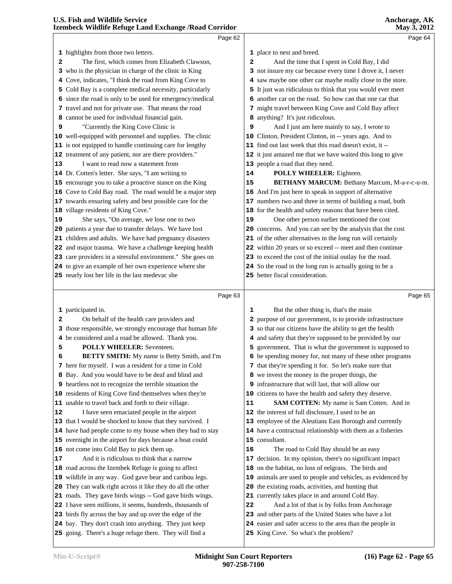|    | Page 62                                                     |    | Page 64                                                                           |  |
|----|-------------------------------------------------------------|----|-----------------------------------------------------------------------------------|--|
|    | 1 highlights from those two letters.                        |    | 1 place to nest and breed.                                                        |  |
| 2  | The first, which comes from Elizabeth Clawson,              | 2  | And the time that I spent in Cold Bay, I did                                      |  |
|    | 3 who is the physician in charge of the clinic in King      |    | 3 not insure my car because every time I drove it, I never                        |  |
|    | 4 Cove, indicates, "I think the road from King Cove to      | 4  | saw maybe one other car maybe really close to the store.                          |  |
|    | 5 Cold Bay is a complete medical necessity, particularly    |    | 5 It just was ridiculous to think that you would ever meet                        |  |
|    | since the road is only to be used for emergency/medical     | 6  | another car on the road. So how can that one car that                             |  |
| 6  | 7 travel and not for private use. That means the road       |    |                                                                                   |  |
|    |                                                             |    | 7 might travel between King Cove and Cold Bay affect                              |  |
|    | 8 cannot be used for individual financial gain.             |    | 8 anything? It's just ridiculous.<br>And I just am here mainly to say, I wrote to |  |
| 9  | "Currently the King Cove Clinic is                          | 9  |                                                                                   |  |
|    | 10 well-equipped with personnel and supplies. The clinic    |    | 10 Clinton, President Clinton, in -- years ago. And to                            |  |
|    | 11 is not equipped to handle continuing care for lengthy    |    | 11 find out last week that this road doesn't exist, it --                         |  |
|    | 12 treatment of any patient, nor are there providers."      |    | 12 it just amazed me that we have waited this long to give                        |  |
| 13 | I want to read now a statement from                         |    | 13 people a road that they need.                                                  |  |
|    | 14 Dr. Cotten's letter. She says, "I am writing to          | 14 | POLLY WHEELER: Eighteen.                                                          |  |
|    | 15 encourage you to take a proactive stance on the King     | 15 | BETHANY MARCUM: Bethany Marcum, M-a-r-c-u-m.                                      |  |
|    | 16 Cove to Cold Bay road. The road would be a major step    |    | 16 And I'm just here to speak in support of alternative                           |  |
|    | 17 towards ensuring safety and best possible care for the   |    | 17 numbers two and three in terms of building a road, both                        |  |
|    | 18 village residents of King Cove."                         |    | 18 for the health and safety reasons that have been cited.                        |  |
| 19 | She says, "On average, we lose one to two                   | 19 | One other person earlier mentioned the cost                                       |  |
|    | 20 patients a year due to transfer delays. We have lost     |    | 20 concerns. And you can see by the analysis that the cost                        |  |
|    | 21 children and adults. We have had pregnancy disasters     |    | 21 of the other alternatives in the long run will certainly                       |  |
|    | 22 and major trauma. We have a challenge keeping health     |    | 22 within 20 years or so exceed -- meet and then continue                         |  |
|    | 23 care providers in a stressful environment." She goes on  |    | 23 to exceed the cost of the initial outlay for the road.                         |  |
|    | 24 to give an example of her own experience where she       |    | 24 So the road in the long run is actually going to be a                          |  |
|    | 25 nearly lost her life in the last medevac she             |    | 25 better fiscal consideration.                                                   |  |
|    | Page 63                                                     |    | Page 65                                                                           |  |
|    |                                                             |    |                                                                                   |  |
|    | 1 participated in.                                          | 1  | But the other thing is, that's the main                                           |  |
| 2  | On behalf of the health care providers and                  | 2  | purpose of our government, is to provide infrastructure                           |  |
|    | 3 those responsible, we strongly encourage that human life  |    | 3 so that our citizens have the ability to get the health                         |  |
|    | 4 be considered and a road be allowed. Thank you.           |    | 4 and safety that they're supposed to be provided by our                          |  |
| 5  | <b>POLLY WHEELER:</b> Seventeen.                            |    | 5 government. That is what the government is supposed to                          |  |
| 6  | BETTY SMITH: My name is Betty Smith, and I'm                |    | 6 be spending money for, not many of these other programs                         |  |
|    | 7 here for myself. I was a resident for a time in Cold      |    | 7 that they're spending it for. So let's make sure that                           |  |
|    | 8 Bay. And you would have to be deaf and blind and          |    | 8 we invest the money in the proper things, the                                   |  |
|    | 9 heartless not to recognize the terrible situation the     |    | 9 infrastructure that will last, that will allow our                              |  |
|    | 10 residents of King Cove find themselves when they're      |    | 10 citizens to have the health and safety they deserve.                           |  |
|    | 11 unable to travel back and forth to their village.        | 11 | <b>SAM COTTEN:</b> My name is Sam Cotten. And in                                  |  |
| 12 | I have seen emaciated people in the airport                 |    | 12 the interest of full disclosure, I used to be an                               |  |
|    | 13 that I would be shocked to know that they survived. I    |    | 13 employee of the Aleutians East Borough and currently                           |  |
|    | 14 have had people come to my house when they had to stay   |    | 14 have a contractual relationship with them as a fisheries                       |  |
|    | 15 overnight in the airport for days because a boat could   |    | 15 consultant.                                                                    |  |
|    | 16 not come into Cold Bay to pick them up.                  | 16 | The road to Cold Bay should be an easy                                            |  |
| 17 | And it is ridiculous to think that a narrow                 |    | 17 decision. In my opinion, there's no significant impact                         |  |
|    | 18 road across the Izembek Refuge is going to affect        |    | 18 on the habitat, no loss of eelgrass. The birds and                             |  |
|    | 19 wildlife in any way. God gave bear and caribou legs.     |    | 19 animals are used to people and vehicles, as evidenced by                       |  |
|    | 20 They can walk right across it like they do all the other |    | 20 the existing roads, activities, and hunting that                               |  |
|    | 21 roads. They gave birds wings -- God gave birds wings.    |    | 21 currently takes place in and around Cold Bay.                                  |  |
|    | 22 I have seen millions, it seems, hundreds, thousands of   | 22 | And a lot of that is by folks from Anchorage                                      |  |
|    | 23 birds fly across the bay and up over the edge of the     |    | 23 and other parts of the United States who have a lot                            |  |
|    | 24 bay. They don't crash into anything. They just keep      |    | 24 easier and safer access to the area than the people in                         |  |
|    | 25 going. There's a huge refuge there. They will find a     |    | 25 King Cove. So what's the problem?                                              |  |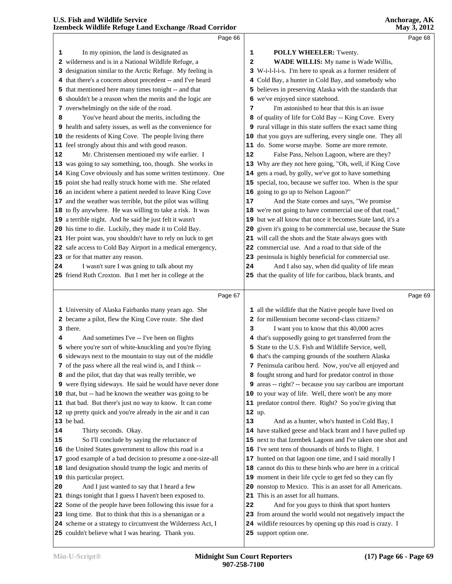|    | Page 66                                                                                                           |        |                                                                                     | Page 68 |
|----|-------------------------------------------------------------------------------------------------------------------|--------|-------------------------------------------------------------------------------------|---------|
| 1  | In my opinion, the land is designated as                                                                          | 1      | POLLY WHEELER: Twenty.                                                              |         |
|    | 2 wilderness and is in a National Wildlife Refuge, a                                                              | 2      | WADE WILLIS: My name is Wade Willis,                                                |         |
|    | 3 designation similar to the Arctic Refuge. My feeling is                                                         |        | 3 W-i-l-l-i-s. I'm here to speak as a former resident of                            |         |
|    | 4 that there's a concern about precedent -- and I've heard                                                        |        | 4 Cold Bay, a hunter in Cold Bay, and somebody who                                  |         |
| 5  | that mentioned here many times tonight -- and that                                                                |        | 5 believes in preserving Alaska with the standards that                             |         |
| 6  | shouldn't be a reason when the merits and the logic are                                                           |        | 6 we've enjoyed since statehood.                                                    |         |
|    | 7 overwhelmingly on the side of the road.                                                                         | 7      | I'm astonished to hear that this is an issue                                        |         |
| 8  | You've heard about the merits, including the                                                                      |        | 8 of quality of life for Cold Bay -- King Cove. Every                               |         |
|    | 9 health and safety issues, as well as the convenience for                                                        |        | 9 rural village in this state suffers the exact same thing                          |         |
|    | 10 the residents of King Cove. The people living there                                                            |        | 10 that you guys are suffering, every single one. They all                          |         |
|    | 11 feel strongly about this and with good reason.                                                                 |        | 11 do. Some worse maybe. Some are more remote.                                      |         |
| 12 | Mr. Christensen mentioned my wife earlier. I                                                                      | 12     | False Pass, Nelson Lagoon, where are they?                                          |         |
|    | 13 was going to say something, too, though. She works in                                                          |        | 13 Why are they not here going, "Oh, well, if King Cove                             |         |
|    | 14 King Cove obviously and has some written testimony. One                                                        |        | 14 gets a road, by golly, we've got to have something                               |         |
|    | 15 point she had really struck home with me. She related                                                          |        | 15 special, too, because we suffer too. When is the spur                            |         |
|    | 16 an incident where a patient needed to leave King Cove                                                          |        | 16 going to go up to Nelson Lagoon?"                                                |         |
|    | 17 and the weather was terrible, but the pilot was willing                                                        | 17     | And the State comes and says, "We promise                                           |         |
|    | 18 to fly anywhere. He was willing to take a risk. It was                                                         |        | 18 we're not going to have commercial use of that road,"                            |         |
|    | 19 a terrible night. And he said he just felt it wasn't                                                           |        | 19 but we all know that once it becomes State land, it's a                          |         |
|    | 20 his time to die. Luckily, they made it to Cold Bay.                                                            |        | 20 given it's going to be commercial use, because the State                         |         |
|    | 21 Her point was, you shouldn't have to rely on luck to get                                                       |        | 21 will call the shots and the State always goes with                               |         |
|    | 22 safe access to Cold Bay Airport in a medical emergency,                                                        |        | 22 commercial use. And a road to that side of the                                   |         |
|    | 23 or for that matter any reason.                                                                                 |        | 23 peninsula is highly beneficial for commercial use.                               |         |
| 24 | I wasn't sure I was going to talk about my                                                                        | 24     | And I also say, when did quality of life mean                                       |         |
|    | 25 friend Ruth Croxton. But I met her in college at the                                                           |        | 25 that the quality of life for caribou, black brants, and                          |         |
|    |                                                                                                                   |        |                                                                                     |         |
|    |                                                                                                                   |        |                                                                                     |         |
|    | Page 67                                                                                                           |        |                                                                                     | Page 69 |
|    | 1 University of Alaska Fairbanks many years ago. She                                                              |        | 1 all the wildlife that the Native people have lived on                             |         |
|    | 2 became a pilot, flew the King Cove route. She died                                                              |        | 2 for millennium become second-class citizens?                                      |         |
|    | 3 there.                                                                                                          | 3      | I want you to know that this 40,000 acres                                           |         |
| 4  | And sometimes I've -- I've been on flights                                                                        |        | 4 that's supposedly going to get transferred from the                               |         |
|    | 5 where you're sort of white-knuckling and you're flying                                                          |        | 5 State to the U.S. Fish and Wildlife Service, well,                                |         |
|    | 6 sideways next to the mountain to stay out of the middle                                                         |        | 6 that's the camping grounds of the southern Alaska                                 |         |
|    | 7 of the pass where all the real wind is, and I think --                                                          |        | 7 Peninsula caribou herd. Now, you've all enjoyed and                               |         |
|    | 8 and the pilot, that day that was really terrible, we                                                            |        | 8 fought strong and hard for predator control in those                              |         |
|    | 9 were flying sideways. He said he would have never done                                                          |        | 9 areas -- right? -- because you say caribou are important                          |         |
|    | 10 that, but -- had he known the weather was going to be                                                          |        | 10 to your way of life. Well, there won't be any more                               |         |
|    | 11 that bad. But there's just no way to know. It can come                                                         |        | 11 predator control there. Right? So you're giving that                             |         |
|    | 12 up pretty quick and you're already in the air and it can                                                       | 12 up. |                                                                                     |         |
|    | 13 be bad.                                                                                                        | 13     | And as a hunter, who's hunted in Cold Bay, I                                        |         |
| 14 | Thirty seconds. Okay.                                                                                             |        | 14 have stalked geese and black brant and I have pulled up                          |         |
| 15 | So I'll conclude by saying the reluctance of                                                                      |        | 15 next to that Izembek Lagoon and I've taken one shot and                          |         |
|    | 16 the United States government to allow this road is a                                                           |        | 16 I've sent tens of thousands of birds to flight. I                                |         |
|    | 17 good example of a bad decision to presume a one-size-all                                                       |        | 17 hunted on that lagoon one time, and I said morally I                             |         |
|    | 18 land designation should trump the logic and merits of                                                          |        | 18 cannot do this to these birds who are here in a critical                         |         |
|    | 19 this particular project.                                                                                       |        | 19 moment in their life cycle to get fed so they can fly                            |         |
| 20 | And I just wanted to say that I heard a few                                                                       |        | 20 nonstop to Mexico. This is an asset for all Americans.                           |         |
|    | 21 things tonight that I guess I haven't been exposed to.                                                         |        | 21 This is an asset for all humans.                                                 |         |
|    | 22 Some of the people have been following this issue for a                                                        | 22     | And for you guys to think that sport hunters                                        |         |
|    | 23 long time. But to think that this is a shenanigan or a                                                         |        | 23 from around the world would not negatively impact the                            |         |
|    | 24 scheme or a strategy to circumvent the Wilderness Act, I<br>25 couldn't believe what I was hearing. Thank you. |        | 24 wildlife resources by opening up this road is crazy. I<br>25 support option one. |         |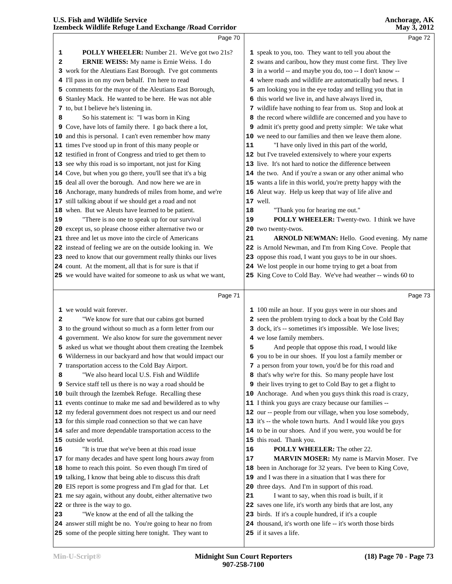|              | <b>U.S. Fish and Wildlife Service</b><br>Izembeck Wildlife Refuge Land Exchange / Road Corridor |    | Anchorage, AK<br>May 3, 2012                                |
|--------------|-------------------------------------------------------------------------------------------------|----|-------------------------------------------------------------|
|              | Page 70                                                                                         |    | Page 72                                                     |
| 1            | <b>POLLY WHEELER:</b> Number 21. We've got two 21s?                                             |    | 1 speak to you, too. They want to tell you about the        |
| $\mathbf{z}$ | ERNIE WEISS: My name is Ernie Weiss. I do                                                       |    | 2 swans and caribou, how they must come first. They live    |
|              | 3 work for the Aleutians East Borough. I've got comments                                        |    | 3 in a world -- and maybe you do, too -- I don't know --    |
|              | 4 I'll pass in on my own behalf. I'm here to read                                               |    | 4 where roads and wildlife are automatically bad news. I    |
|              | 5 comments for the mayor of the Aleutians East Borough,                                         |    | 5 am looking you in the eye today and telling you that in   |
|              | 6 Stanley Mack. He wanted to be here. He was not able                                           |    | 6 this world we live in, and have always lived in,          |
|              | 7 to, but I believe he's listening in.                                                          |    | 7 wildlife have nothing to fear from us. Stop and look at   |
| 8            | So his statement is: "I was born in King                                                        |    | 8 the record where wildlife are concerned and you have to   |
|              | 9 Cove, have lots of family there. I go back there a lot,                                       |    | 9 admit it's pretty good and pretty simple: We take what    |
|              | 10 and this is personal. I can't even remember how many                                         |    | 10 we need to our families and then we leave them alone.    |
|              | 11 times I've stood up in front of this many people or                                          | 11 | "I have only lived in this part of the world,               |
|              | 12 testified in front of Congress and tried to get them to                                      |    | 12 but I've traveled extensively to where your experts      |
|              | 13 see why this road is so important, not just for King                                         |    | 13 live. It's not hard to notice the difference between     |
|              | 14 Cove, but when you go there, you'll see that it's a big                                      |    | 14 the two. And if you're a swan or any other animal who    |
|              | 15 deal all over the borough. And now here we are in                                            |    | 15 wants a life in this world, you're pretty happy with the |
|              | 16 Anchorage, many hundreds of miles from home, and we're                                       |    | 16 Aleut way. Help us keep that way of life alive and       |
|              | 17 still talking about if we should get a road and not                                          |    | $17$ well.                                                  |
|              | 18 when. But we Aleuts have learned to be patient.                                              | 18 | "Thank you for hearing me out."                             |
| 19           | "There is no one to speak up for our survival                                                   | 19 | POLLY WHEELER: Twenty-two. I think we have                  |
|              | 20 except us, so please choose either alternative two or                                        |    | 20 two twenty-twos.                                         |
|              | 21 three and let us move into the circle of Americans                                           | 21 | <b>ARNOLD NEWMAN:</b> Hello. Good evening. My name          |
|              | 22 instead of feeling we are on the outside looking in. We                                      |    | 22 is Arnold Newman, and I'm from King Cove. People that    |
|              | 23 need to know that our government really thinks our lives                                     |    | 23 oppose this road, I want you guys to be in our shoes.    |
|              | 24 count. At the moment, all that is for sure is that if                                        |    | 24 We lost people in our home trying to get a boat from     |
|              | 25 we would have waited for someone to ask us what we want,                                     |    | 25 King Cove to Cold Bay. We've had weather -- winds 60 to  |
|              | Page 71                                                                                         |    | Page 73                                                     |

|    | Page <i>I</i> I                                                 |    | Page 13                                                           |  |
|----|-----------------------------------------------------------------|----|-------------------------------------------------------------------|--|
|    | 1 we would wait forever.                                        |    | 1 100 mile an hour. If you guys were in our shoes and             |  |
| 2  | "We know for sure that our cabins got burned                    |    | 2 seen the problem trying to dock a boat by the Cold Bay          |  |
|    | 3 to the ground without so much as a form letter from our       |    | 3 dock, it's -- sometimes it's impossible. We lose lives;         |  |
|    | 4 government. We also know for sure the government never        |    | 4 we lose family members.                                         |  |
|    | 5 asked us what we thought about them creating the Izembek      | 5  | And people that oppose this road, I would like                    |  |
|    | 6 Wilderness in our backyard and how that would impact our      |    | 6 you to be in our shoes. If you lost a family member or          |  |
|    | 7 transportation access to the Cold Bay Airport.                |    | 7 a person from your town, you'd be for this road and             |  |
| 8  | "We also heard local U.S. Fish and Wildlife                     |    | 8 that's why we're for this. So many people have lost             |  |
|    | <b>9</b> Service staff tell us there is no way a road should be |    | <b>9</b> their lives trying to get to Cold Bay to get a flight to |  |
|    | 10 built through the Izembek Refuge. Recalling these            |    | 10 Anchorage. And when you guys think this road is crazy,         |  |
|    | 11 events continue to make me sad and bewildered as to why      |    | 11 I think you guys are crazy because our families --             |  |
|    | 12 my federal government does not respect us and our need       |    | 12 our -- people from our village, when you lose somebody,        |  |
|    | 13 for this simple road connection so that we can have          |    | 13 it's -- the whole town hurts. And I would like you guys        |  |
|    | 14 safer and more dependable transportation access to the       |    | 14 to be in our shoes. And if you were, you would be for          |  |
|    | 15 outside world.                                               |    | 15 this road. Thank you.                                          |  |
| 16 | "It is true that we've been at this road issue                  | 16 | <b>POLLY WHEELER:</b> The other 22.                               |  |
|    | 17 for many decades and have spent long hours away from         | 17 | <b>MARVIN MOSER:</b> My name is Marvin Moser. I've                |  |
|    | 18 home to reach this point. So even though I'm tired of        |    | 18 been in Anchorage for 32 years. I've been to King Cove,        |  |
|    | 19 talking, I know that being able to discuss this draft        |    | 19 and I was there in a situation that I was there for            |  |
|    | 20 EIS report is some progress and I'm glad for that. Let       |    | 20 three days. And I'm in support of this road.                   |  |
|    | 21 me say again, without any doubt, either alternative two      | 21 | I want to say, when this road is built, if it                     |  |
|    | 22 or three is the way to go.                                   |    | 22 saves one life, it's worth any birds that are lost, any        |  |
| 23 | "We know at the end of all the talking the                      |    | 23 birds. If it's a couple hundred, if it's a couple              |  |
|    | 24 answer still might be no. You're going to hear no from       |    | 24 thousand, it's worth one life -- it's worth those birds        |  |
|    | 25 some of the people sitting here tonight. They want to        |    | 25 if it saves a life.                                            |  |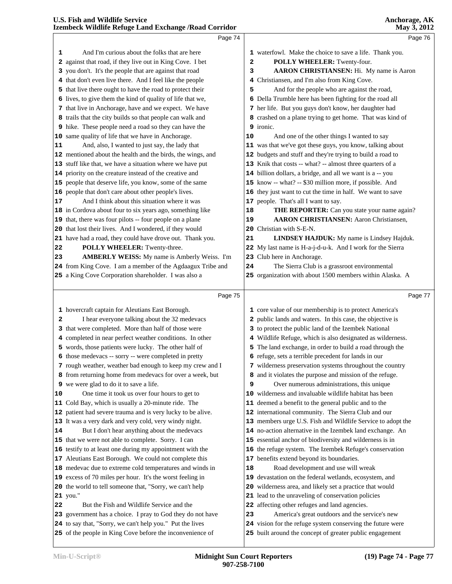|          | Page 74                                                                                                                |    | Page 76                                                                                                                |  |
|----------|------------------------------------------------------------------------------------------------------------------------|----|------------------------------------------------------------------------------------------------------------------------|--|
| 1        | And I'm curious about the folks that are here                                                                          |    | 1 waterfowl. Make the choice to save a life. Thank you.                                                                |  |
|          | 2 against that road, if they live out in King Cove. I bet                                                              | 2  | POLLY WHEELER: Twenty-four.                                                                                            |  |
|          | 3 you don't. It's the people that are against that road                                                                | 3  | AARON CHRISTIANSEN: Hi. My name is Aaron                                                                               |  |
|          | 4 that don't even live there. And I feel like the people                                                               |    | 4 Christiansen, and I'm also from King Cove.                                                                           |  |
|          | 5 that live there ought to have the road to protect their                                                              | 5  | And for the people who are against the road,                                                                           |  |
|          | 6 lives, to give them the kind of quality of life that we,                                                             |    | 6 Della Trumble here has been fighting for the road all                                                                |  |
|          | 7 that live in Anchorage, have and we expect. We have                                                                  |    | 7 her life. But you guys don't know, her daughter had                                                                  |  |
|          | 8 trails that the city builds so that people can walk and                                                              |    | 8 crashed on a plane trying to get home. That was kind of                                                              |  |
|          | 9 hike. These people need a road so they can have the                                                                  |    | 9 ironic.                                                                                                              |  |
|          | 10 same quality of life that we have in Anchorage.                                                                     | 10 | And one of the other things I wanted to say                                                                            |  |
| 11       | And, also, I wanted to just say, the lady that                                                                         |    | 11 was that we've got these guys, you know, talking about                                                              |  |
|          | 12 mentioned about the health and the birds, the wings, and                                                            |    | 12 budgets and stuff and they're trying to build a road to                                                             |  |
|          | 13 stuff like that, we have a situation where we have put                                                              |    | 13 Knik that costs -- what? -- almost three quarters of a                                                              |  |
|          | 14 priority on the creature instead of the creative and                                                                |    | 14 billion dollars, a bridge, and all we want is a -- you                                                              |  |
|          | 15 people that deserve life, you know, some of the same                                                                |    | 15 know -- what? -- \$30 million more, if possible. And                                                                |  |
|          | 16 people that don't care about other people's lives.                                                                  |    | 16 they just want to cut the time in half. We want to save                                                             |  |
| 17       | And I think about this situation where it was                                                                          |    | 17 people. That's all I want to say.                                                                                   |  |
|          | 18 in Cordova about four to six years ago, something like                                                              | 18 | THE REPORTER: Can you state your name again?                                                                           |  |
|          | 19 that, there was four pilots -- four people on a plane                                                               | 19 | <b>AARON CHRISTIANSEN:</b> Aaron Christiansen,                                                                         |  |
|          | 20 that lost their lives. And I wondered, if they would                                                                |    | 20 Christian with S-E-N.                                                                                               |  |
|          | 21 have had a road, they could have drove out. Thank you.                                                              | 21 | LINDSEY HAJDUK: My name is Lindsey Hajduk.                                                                             |  |
| 22       | POLLY WHEELER: Twenty-three.                                                                                           |    | 22 My last name is H-a-j-d-u-k. And I work for the Sierra                                                              |  |
| 23       | AMBERLY WEISS: My name is Amberly Weiss. I'm                                                                           |    | 23 Club here in Anchorage.                                                                                             |  |
|          | 24 from King Cove. I am a member of the Agdaagux Tribe and                                                             | 24 | The Sierra Club is a grassroot environmental                                                                           |  |
|          | 25 a King Cove Corporation shareholder. I was also a                                                                   |    | 25 organization with about 1500 members within Alaska. A                                                               |  |
|          |                                                                                                                        |    |                                                                                                                        |  |
|          |                                                                                                                        |    |                                                                                                                        |  |
|          | Page 75                                                                                                                |    | Page 77                                                                                                                |  |
|          | 1 hovercraft captain for Aleutians East Borough.                                                                       |    | 1 core value of our membership is to protect America's                                                                 |  |
| 2        | I hear everyone talking about the 32 medevacs                                                                          |    | 2 public lands and waters. In this case, the objective is                                                              |  |
|          | 3 that were completed. More than half of those were                                                                    |    | 3 to protect the public land of the Izembek National                                                                   |  |
|          | 4 completed in near perfect weather conditions. In other                                                               |    | 4 Wildlife Refuge, which is also designated as wilderness.                                                             |  |
|          | 5 words, those patients were lucky. The other half of                                                                  |    | 5 The land exchange, in order to build a road through the                                                              |  |
|          | 6 those medevacs -- sorry -- were completed in pretty                                                                  |    | 6 refuge, sets a terrible precedent for lands in our                                                                   |  |
|          | 7 rough weather, weather bad enough to keep my crew and I                                                              |    | 7 wilderness preservation systems throughout the country                                                               |  |
|          | 8 from returning home from medevacs for over a week, but                                                               |    | 8 and it violates the purpose and mission of the refuge.                                                               |  |
|          | 9 we were glad to do it to save a life.                                                                                | 9  | Over numerous administrations, this unique                                                                             |  |
|          | One time it took us over four hours to get to                                                                          |    | 10 wilderness and invaluable wildlife habitat has been                                                                 |  |
|          | 11 Cold Bay, which is usually a 20-minute ride. The                                                                    |    | 11 deemed a benefit to the general public and to the                                                                   |  |
|          | 12 patient had severe trauma and is very lucky to be alive.                                                            |    | 12 international community. The Sierra Club and our                                                                    |  |
|          | 13 It was a very dark and very cold, very windy night.                                                                 |    | 13 members urge U.S. Fish and Wildlife Service to adopt the                                                            |  |
| 10<br>14 | But I don't hear anything about the medevacs                                                                           |    | 14 no-action alternative in the Izembek land exchange. An                                                              |  |
|          | 15 that we were not able to complete. Sorry. I can                                                                     |    | 15 essential anchor of biodiversity and wilderness is in                                                               |  |
|          | 16 testify to at least one during my appointment with the                                                              |    | 16 the refuge system. The Izembek Refuge's conservation                                                                |  |
|          | 17 Aleutians East Borough. We could not complete this                                                                  |    | 17 benefits extend beyond its boundaries.                                                                              |  |
|          | 18 medevac due to extreme cold temperatures and winds in                                                               | 18 | Road development and use will wreak                                                                                    |  |
|          | 19 excess of 70 miles per hour. It's the worst feeling in                                                              |    | 19 devastation on the federal wetlands, ecosystem, and                                                                 |  |
|          | 20 the world to tell someone that, "Sorry, we can't help                                                               |    | 20 wilderness area, and likely set a practice that would                                                               |  |
|          | 21 you."                                                                                                               |    | 21 lead to the unraveling of conservation policies                                                                     |  |
|          | But the Fish and Wildlife Service and the                                                                              |    | 22 affecting other refuges and land agencies.                                                                          |  |
|          | 23 government has a choice. I pray to God they do not have                                                             | 23 | America's great outdoors and the service's new                                                                         |  |
| 22       | 24 to say that, "Sorry, we can't help you." Put the lives<br>25 of the people in King Cove before the inconvenience of |    | 24 vision for the refuge system conserving the future were<br>25 built around the concept of greater public engagement |  |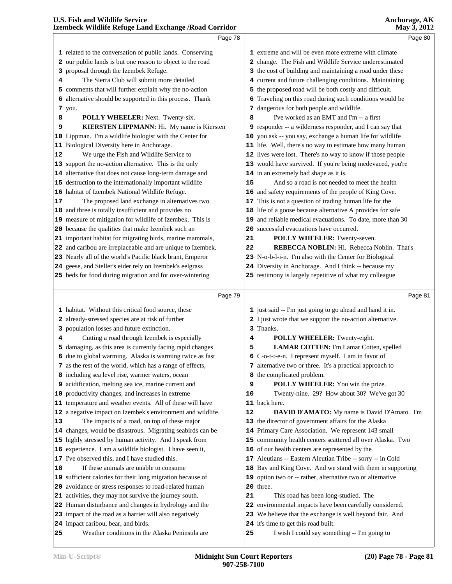|    | Page 78                                                                               |    | Page 80                                                                                  |
|----|---------------------------------------------------------------------------------------|----|------------------------------------------------------------------------------------------|
|    | 1 related to the conversation of public lands. Conserving                             |    | 1 extreme and will be even more extreme with climate                                     |
|    | 2 our public lands is but one reason to object to the road                            |    | 2 change. The Fish and Wildlife Service underestimated                                   |
| 3  | proposal through the Izembek Refuge.                                                  |    | 3 the cost of building and maintaining a road under these                                |
| 4  | The Sierra Club will submit more detailed                                             |    | 4 current and future challenging conditions. Maintaining                                 |
| 5. | comments that will further explain why the no-action                                  |    | 5 the proposed road will be both costly and difficult.                                   |
| 6  | alternative should be supported in this process. Thank                                | 6  | Traveling on this road during such conditions would be                                   |
|    | <b>7</b> you.                                                                         |    | 7 dangerous for both people and wildlife.                                                |
| 8  | POLLY WHEELER: Next. Twenty-six.                                                      | 8  | I've worked as an EMT and I'm -- a first                                                 |
| 9  | KIERSTEN LIPPMANN: Hi. My name is Kiersten                                            |    | 9 responder -- a wilderness responder, and I can say that                                |
|    | 10 Lippman. I'm a wildlife biologist with the Center for                              |    | 10 you ask -- you say, exchange a human life for wildlife                                |
|    | 11 Biological Diversity here in Anchorage.                                            |    | 11 life. Well, there's no way to estimate how many human                                 |
| 12 | We urge the Fish and Wildlife Service to                                              |    | 12 lives were lost. There's no way to know if those people                               |
|    | 13 support the no-action alternative. This is the only                                |    | 13 would have survived. If you're being medevaced, you're                                |
|    |                                                                                       |    |                                                                                          |
|    | 14 alternative that does not cause long-term damage and                               |    | 14 in an extremely bad shape as it is.<br>And so a road is not needed to meet the health |
|    | 15 destruction to the internationally important wildlife                              | 15 |                                                                                          |
|    | 16 habitat of Izembek National Wildlife Refuge.                                       |    | 16 and safety requirements of the people of King Cove.                                   |
| 17 | The proposed land exchange in alternatives two                                        |    | 17 This is not a question of trading human life for the                                  |
|    | 18 and three is totally insufficient and provides no                                  |    | 18 life of a goose because alternative A provides for safe                               |
|    | 19 measure of mitigation for wildlife of Izembek. This is                             |    | 19 and reliable medical evacuations. To date, more than 30                               |
|    | 20 because the qualities that make Izembek such an                                    |    | 20 successful evacuations have occurred.                                                 |
|    | 21 important habitat for migrating birds, marine mammals,                             | 21 | POLLY WHEELER: Twenty-seven.                                                             |
|    | 22 and caribou are irreplaceable and are unique to Izembek.                           | 22 | REBECCA NOBLIN: Hi. Rebecca Noblin. That's                                               |
|    | 23 Nearly all of the world's Pacific black brant, Emperor                             |    | 23 N-o-b-l-i-n. I'm also with the Center for Biological                                  |
|    | 24 geese, and Steller's eider rely on Izembek's eelgrass                              |    | 24 Diversity in Anchorage. And I think -- because my                                     |
|    | 25 beds for food during migration and for over-wintering                              |    | 25 testimony is largely repetitive of what my colleague                                  |
|    |                                                                                       |    |                                                                                          |
|    |                                                                                       |    |                                                                                          |
|    | Page 79                                                                               |    | Page 81                                                                                  |
|    | 1 habitat. Without this critical food source, these                                   |    | 1 just said -- I'm just going to go ahead and hand it in.                                |
|    | 2 already-stressed species are at risk of further                                     |    | 2 I just wrote that we support the no-action alternative.                                |
| 3  | population losses and future extinction.                                              |    | 3 Thanks.                                                                                |
| 4  | Cutting a road through Izembek is especially                                          | 4  | POLLY WHEELER: Twenty-eight.                                                             |
|    | 5 damaging, as this area is currently facing rapid changes                            | 5  | LAMAR COTTEN: I'm Lamar Cotten, spelled                                                  |
|    | 6 due to global warming. Alaska is warming twice as fast                              |    | 6 C-o-t-t-e-n. I represent myself. I am in favor of                                      |
|    | 7 as the rest of the world, which has a range of effects,                             |    | 7 alternative two or three. It's a practical approach to                                 |
|    | 8 including sea level rise, warmer waters, ocean                                      |    | 8 the complicated problem.                                                               |
|    | 9 acidification, melting sea ice, marine current and                                  | 9  | POLLY WHEELER: You win the prize.                                                        |
|    | 10 productivity changes, and increases in extreme                                     | 10 | Twenty-nine. 29? How about 30? We've got 30                                              |
|    | 11 temperature and weather events. All of these will have                             |    | 11 back here.                                                                            |
|    | 12 a negative impact on Izembek's environment and wildlife.                           | 12 | DAVID D'AMATO: My name is David D'Amato. I'm                                             |
| 13 | The impacts of a road, on top of these major                                          |    | 13 the director of government affairs for the Alaska                                     |
|    | 14 changes, would be disastrous. Migrating seabirds can be                            |    | 14 Primary Care Association. We represent 143 small                                      |
|    | 15 highly stressed by human activity. And I speak from                                |    | 15 community health centers scattered all over Alaska. Two                               |
|    | 16 experience. I am a wildlife biologist. I have seen it,                             |    | 16 of our health centers are represented by the                                          |
|    | 17 I've observed this, and I have studied this.                                       |    | 17 Aleutians -- Eastern Aleutian Tribe -- sorry -- in Cold                               |
| 18 | If these animals are unable to consume                                                |    | 18 Bay and King Cove. And we stand with them in supporting                               |
|    | 19 sufficient calories for their long migration because of                            |    | 19 option two or -- rather, alternative two or alternative                               |
|    | 20 avoidance or stress responses to road-related human                                |    | 20 three.                                                                                |
|    | 21 activities, they may not survive the journey south.                                | 21 | This road has been long-studied. The                                                     |
|    | 22 Human disturbance and changes in hydrology and the                                 |    | 22 environmental impacts have been carefully considered.                                 |
|    | 23 impact of the road as a barrier will also negatively                               |    | 23 We believe that the exchange is well beyond fair. And                                 |
| 25 | 24 impact caribou, bear, and birds.<br>Weather conditions in the Alaska Peninsula are | 25 | 24 it's time to get this road built.<br>I wish I could say something -- I'm going to     |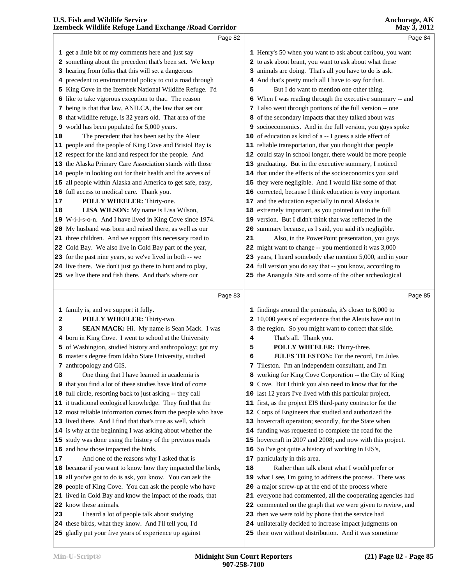|    | LECHIDCCK WHUMC INTUEL Land EXCHANGE / INDAU COLLIQUE                                                 |    | $111a$ y $3, 2012$                                                                                            |  |
|----|-------------------------------------------------------------------------------------------------------|----|---------------------------------------------------------------------------------------------------------------|--|
|    | Page 82                                                                                               |    | Page 84                                                                                                       |  |
|    | 1 get a little bit of my comments here and just say                                                   |    | 1 Henry's 50 when you want to ask about caribou, you want                                                     |  |
|    | 2 something about the precedent that's been set. We keep                                              |    | 2 to ask about brant, you want to ask about what these                                                        |  |
|    | 3 hearing from folks that this will set a dangerous                                                   |    | 3 animals are doing. That's all you have to do is ask.                                                        |  |
|    | 4 precedent to environmental policy to cut a road through                                             |    | 4 And that's pretty much all I have to say for that.                                                          |  |
|    | 5 King Cove in the Izembek National Wildlife Refuge. I'd                                              | 5  | But I do want to mention one other thing.                                                                     |  |
|    | 6 like to take vigorous exception to that. The reason                                                 |    | 6 When I was reading through the executive summary -- and                                                     |  |
|    | 7 being is that that law, ANILCA, the law that set out                                                |    | 7 I also went through portions of the full version -- one                                                     |  |
|    | 8 that wildlife refuge, is 32 years old. That area of the                                             |    | 8 of the secondary impacts that they talked about was                                                         |  |
|    | 9 world has been populated for 5,000 years.                                                           |    | 9 socioeconomics. And in the full version, you guys spoke                                                     |  |
| 10 | The precedent that has been set by the Aleut                                                          |    | 10 of education as kind of a -- I guess a side effect of                                                      |  |
|    | 11 people and the people of King Cove and Bristol Bay is                                              |    | 11 reliable transportation, that you thought that people                                                      |  |
|    | 12 respect for the land and respect for the people. And                                               |    | 12 could stay in school longer, there would be more people                                                    |  |
|    | 13 the Alaska Primary Care Association stands with those                                              |    | 13 graduating. But in the executive summary, I noticed                                                        |  |
|    | 14 people in looking out for their health and the access of                                           |    | 14 that under the effects of the socioeconomics you said                                                      |  |
|    | 15 all people within Alaska and America to get safe, easy,                                            |    | 15 they were negligible. And I would like some of that                                                        |  |
|    | 16 full access to medical care. Thank you.                                                            |    | 16 corrected, because I think education is very important                                                     |  |
| 17 | POLLY WHEELER: Thirty-one.                                                                            |    | 17 and the education especially in rural Alaska is                                                            |  |
| 18 | LISA WILSON: My name is Lisa Wilson,                                                                  |    | 18 extremely important, as you pointed out in the full                                                        |  |
|    | 19 W-i-l-s-o-n. And I have lived in King Cove since 1974.                                             |    | 19 version. But I didn't think that was reflected in the                                                      |  |
|    | 20 My husband was born and raised there, as well as our                                               |    | 20 summary because, as I said, you said it's negligible.                                                      |  |
|    | 21 three children. And we support this necessary road to                                              | 21 | Also, in the PowerPoint presentation, you guys                                                                |  |
|    | 22 Cold Bay. We also live in Cold Bay part of the year,                                               |    | 22 might want to change -- you mentioned it was 3,000                                                         |  |
|    | 23 for the past nine years, so we've lived in both -- we                                              |    | 23 years, I heard somebody else mention 5,000, and in your                                                    |  |
|    | 24 live there. We don't just go there to hunt and to play,                                            |    | 24 full version you do say that -- you know, according to                                                     |  |
|    | 25 we live there and fish there. And that's where our                                                 |    | 25 the Anangula Site and some of the other archeological                                                      |  |
|    |                                                                                                       |    |                                                                                                               |  |
|    |                                                                                                       |    |                                                                                                               |  |
|    | Page 83                                                                                               |    | Page 85                                                                                                       |  |
|    |                                                                                                       |    |                                                                                                               |  |
|    | 1 family is, and we support it fully.                                                                 |    | 1 findings around the peninsula, it's closer to 8,000 to                                                      |  |
| 2  | POLLY WHEELER: Thirty-two.                                                                            |    | 2 10,000 years of experience that the Aleuts have out in                                                      |  |
| з  | SEAN MACK: Hi. My name is Sean Mack. I was                                                            |    | 3 the region. So you might want to correct that slide.                                                        |  |
|    | 4 born in King Cove. I went to school at the University                                               | 4  | That's all. Thank you.                                                                                        |  |
|    | 5 of Washington, studied history and anthropology; got my                                             | 5  | POLLY WHEELER: Thirty-three.                                                                                  |  |
|    | 6 master's degree from Idaho State University, studied                                                | 6  | JULES TILESTON: For the record, I'm Jules                                                                     |  |
|    | 7 anthropology and GIS.                                                                               |    | 7 Tileston. I'm an independent consultant, and I'm                                                            |  |
| 8  | One thing that I have learned in academia is                                                          |    | 8 working for King Cove Corporation -- the City of King                                                       |  |
|    | 9 that you find a lot of these studies have kind of come                                              |    | 9 Cove. But I think you also need to know that for the                                                        |  |
|    | 10 full circle, resorting back to just asking -- they call                                            |    | 10 last 12 years I've lived with this particular project,                                                     |  |
|    | 11 it traditional ecological knowledge. They find that the                                            |    | 11 first, as the project EIS third-party contractor for the                                                   |  |
|    | 12 most reliable information comes from the people who have                                           |    | 12 Corps of Engineers that studied and authorized the                                                         |  |
|    | 13 lived there. And I find that that's true as well, which                                            |    | 13 hovercraft operation; secondly, for the State when                                                         |  |
|    | 14 is why at the beginning I was asking about whether the                                             |    | 14 funding was requested to complete the road for the                                                         |  |
|    | 15 study was done using the history of the previous roads                                             |    | 15 hovercraft in 2007 and 2008; and now with this project.                                                    |  |
|    | 16 and how those impacted the birds.                                                                  |    | 16 So I've got quite a history of working in EIS's,                                                           |  |
| 17 | And one of the reasons why I asked that is                                                            |    | 17 particularly in this area.                                                                                 |  |
|    | 18 because if you want to know how they impacted the birds,                                           | 18 | Rather than talk about what I would prefer or                                                                 |  |
|    | 19 all you've got to do is ask, you know. You can ask the                                             |    | 19 what I see, I'm going to address the process. There was                                                    |  |
|    | 20 people of King Cove. You can ask the people who have                                               |    | 20 a major screw-up at the end of the process where                                                           |  |
|    | 21 lived in Cold Bay and know the impact of the roads, that                                           |    | 21 everyone had commented, all the cooperating agencies had                                                   |  |
|    | 22 know these animals.                                                                                |    | 22 commented on the graph that we were given to review, and                                                   |  |
| 23 | I heard a lot of people talk about studying<br>24 these birds, what they know. And I'll tell you, I'd |    | 23 then we were told by phone that the service had<br>24 unilaterally decided to increase impact judgments on |  |

their own without distribution. And it was sometime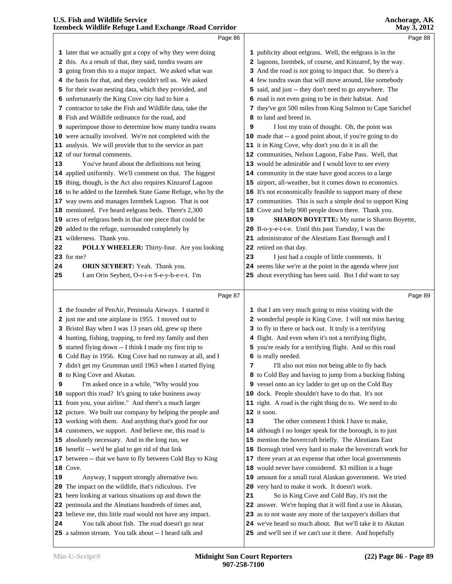|    | Page 86                                                                                                     |    | Page 88                                                                                                                 |  |
|----|-------------------------------------------------------------------------------------------------------------|----|-------------------------------------------------------------------------------------------------------------------------|--|
|    | 1 later that we actually got a copy of why they were doing                                                  |    | 1 publicity about eelgrass. Well, the eelgrass is in the                                                                |  |
|    | 2 this. As a result of that, they said, tundra swans are                                                    |    | 2 lagoons, Izembek, of course, and Kinzarof, by the way.                                                                |  |
| 3  | going from this to a major impact. We asked what was                                                        |    | 3 And the road is not going to impact that. So there's a                                                                |  |
|    | 4 the basis for that, and they couldn't tell us. We asked                                                   |    | 4 few tundra swan that will move around, like somebody                                                                  |  |
|    | 5 for their swan nesting data, which they provided, and                                                     | 5. | said, and just -- they don't need to go anywhere. The                                                                   |  |
|    | 6 unfortunately the King Cove city had to hire a                                                            |    | 6 road is not even going to be in their habitat. And                                                                    |  |
|    | 7 contractor to take the Fish and Wildlife data, take the                                                   |    | 7 they've got 500 miles from King Salmon to Cape Sarichef                                                               |  |
|    | 8 Fish and Wildlife ordinance for the road, and                                                             |    | 8 to land and breed in.                                                                                                 |  |
|    | <b>9</b> superimpose those to determine how many tundra swans                                               | 9  | I lost my train of thought. Oh, the point was                                                                           |  |
|    | 10 were actually involved. We're not completed with the                                                     |    | 10 made that -- a good point about, if you're going to do                                                               |  |
|    | 11 analysis. We will provide that to the service as part                                                    |    | 11 it in King Cove, why don't you do it in all the                                                                      |  |
|    | 12 of our formal comments.                                                                                  |    | 12 communities, Nelson Lagoon, False Pass. Well, that                                                                   |  |
| 13 | You've heard about the definitions not being                                                                |    | 13 would be admirable and I would love to see every                                                                     |  |
|    | 14 applied uniformly. We'll comment on that. The biggest                                                    |    | 14 community in the state have good access to a large                                                                   |  |
|    | 15 thing, though, is the Act also requires Kinzarof Lagoon                                                  |    | 15 airport, all-weather, but it comes down to economics.                                                                |  |
|    | 16 to be added to the Izembek State Game Refuge, who by the                                                 |    | 16 It's not economically feasible to support many of these                                                              |  |
|    | 17 way owns and manages Izembek Lagoon. That is not                                                         |    | 17 communities. This is such a simple deal to support King                                                              |  |
|    | 18 mentioned. I've heard eelgrass beds. There's 2,300                                                       |    | 18 Cove and help 900 people down there. Thank you.                                                                      |  |
|    | 19 acres of eelgrass beds in that one piece that could be                                                   | 19 | <b>SHARON BOYETTE:</b> My name is Sharon Boyette,                                                                       |  |
|    | 20 added to the refuge, surrounded completely by                                                            |    | 20 B-o-y-e-t-t-e. Until this past Tuesday, I was the                                                                    |  |
|    | 21 wilderness. Thank you.                                                                                   |    | 21 administrator of the Aleutians East Borough and I                                                                    |  |
| 22 | POLLY WHEELER: Thirty-four. Are you looking                                                                 |    | 22 retired on that day.                                                                                                 |  |
|    | 23 for me?                                                                                                  | 23 | I just had a couple of little comments. It                                                                              |  |
| 24 | ORIN SEYBERT: Yeah. Thank you.                                                                              |    | 24 seems like we're at the point in the agenda where just                                                               |  |
| 25 | I am Orin Seybert, O-r-i-n S-e-y-b-e-r-t. I'm                                                               |    | 25 about everything has been said. But I did want to say                                                                |  |
|    |                                                                                                             |    |                                                                                                                         |  |
|    |                                                                                                             |    |                                                                                                                         |  |
|    | Page 87                                                                                                     |    | Page 89                                                                                                                 |  |
|    | 1 the founder of PenAir, Peninsula Airways. I started it                                                    |    | 1 that I am very much going to miss visiting with the                                                                   |  |
|    | 2 just me and one airplane in 1955. I moved out to                                                          |    | 2 wonderful people in King Cove. I will not miss having                                                                 |  |
|    | 3 Bristol Bay when I was 13 years old, grew up there                                                        |    | 3 to fly in there or back out. It truly is a terrifying                                                                 |  |
|    | 4 hunting, fishing, trapping, to feed my family and then                                                    |    | 4 flight. And even when it's not a terrifying flight,                                                                   |  |
|    | 5 started flying down -- I think I made my first trip to                                                    |    | 5 you're ready for a terrifying flight. And so this road                                                                |  |
|    | 6 Cold Bay in 1956. King Cove had no runway at all, and I                                                   |    | 6 is really needed.                                                                                                     |  |
|    | 7 didn't get my Grumman until 1963 when I started flying                                                    | 7  | I'll also not miss not being able to fly back                                                                           |  |
|    | 8 to King Cove and Akutan.                                                                                  |    | 8 to Cold Bay and having to jump from a bucking fishing                                                                 |  |
| 9  | I'm asked once in a while, "Why would you                                                                   |    | 9 vessel onto an icy ladder to get up on the Cold Bay                                                                   |  |
|    | 10 support this road? It's going to take business away                                                      |    | 10 dock. People shouldn't have to do that. It's not                                                                     |  |
|    | 11 from you, your airline." And there's a much larger                                                       |    | 11 right. A road is the right thing do to. We need to do                                                                |  |
|    | 12 picture. We built our company by helping the people and                                                  |    | 12 it soon.                                                                                                             |  |
|    | 13 working with them. And anything that's good for our                                                      | 13 | The other comment I think I have to make,                                                                               |  |
|    | 14 customers, we support. And believe me, this road is                                                      |    | 14 although I no longer speak for the borough, is to just                                                               |  |
|    | 15 absolutely necessary. And in the long run, we                                                            |    | 15 mention the hovercraft briefly. The Aleutians East                                                                   |  |
|    | 16 benefit -- we'd be glad to get rid of that link                                                          |    | 16 Borough tried very hard to make the hovercraft work for                                                              |  |
|    | 17 between -- that we have to fly between Cold Bay to King                                                  | 17 | three years at an expense that other local governments                                                                  |  |
|    | 18 Cove.                                                                                                    | 18 | would never have considered. \$3 million is a huge                                                                      |  |
| 19 | Anyway, I support strongly alternative two.                                                                 | 19 | amount for a small rural Alaskan government. We tried                                                                   |  |
|    | 20 The impact on the wildlife, that's ridiculous. I've                                                      |    | 20 very hard to make it work. It doesn't work.                                                                          |  |
|    | 21 been looking at various situations up and down the                                                       | 21 | So in King Cove and Cold Bay, it's not the                                                                              |  |
|    | 22 peninsula and the Aleutians hundreds of times and,                                                       |    | 22 answer. We're hoping that it will find a use in Akutan,                                                              |  |
| 24 | 23 believe me, this little road would not have any impact.<br>You talk about fish. The road doesn't go near |    | 23 as to not waste any more of the taxpayer's dollars that<br>24 we've heard so much about. But we'll take it to Akutan |  |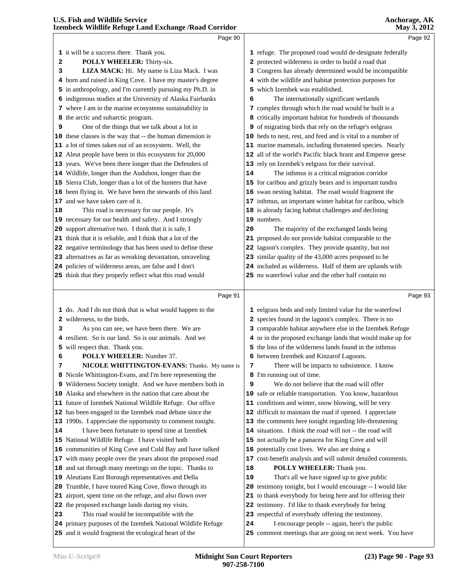|          | Page 90                                                                                                                  |    | Page 92                                                                                                              |  |
|----------|--------------------------------------------------------------------------------------------------------------------------|----|----------------------------------------------------------------------------------------------------------------------|--|
|          | 1 it will be a success there. Thank you.                                                                                 |    | 1 refuge. The proposed road would de-designate federally                                                             |  |
|          |                                                                                                                          |    |                                                                                                                      |  |
| 2        | POLLY WHEELER: Thirty-six.                                                                                               |    | 2 protected wilderness in order to build a road that<br>3 Congress has already determined would be incompatible      |  |
| з        | LIZA MACK: Hi. My name is Liza Mack. I was                                                                               |    |                                                                                                                      |  |
| 4        | born and raised in King Cove. I have my master's degree                                                                  |    | 4 with the wildlife and habitat protection purposes for                                                              |  |
|          | 5 in anthropology, and I'm currently pursuing my Ph.D. in                                                                |    | 5 which Izembek was established.                                                                                     |  |
|          | 6 indigenous studies at the University of Alaska Fairbanks                                                               | 6  | The internationally significant wetlands                                                                             |  |
|          | 7 where I am in the marine ecosystems sustainability in                                                                  |    | 7 complex through which the road would be built is a                                                                 |  |
|          | 8 the arctic and subarctic program.                                                                                      |    | 8 critically important habitat for hundreds of thousands                                                             |  |
| 9        | One of the things that we talk about a lot in                                                                            |    | 9 of migrating birds that rely on the refuge's eelgrass                                                              |  |
|          | 10 these classes is the way that -- the human dimension is                                                               |    | 10 beds to nest, rest, and feed and is vital to a number of                                                          |  |
|          | 11 a lot of times taken out of an ecosystem. Well, the                                                                   |    | 11 marine mammals, including threatened species. Nearly                                                              |  |
|          | 12 Aleut people have been in this ecosystem for 20,000                                                                   |    | 12 all of the world's Pacific black brant and Emperor geese                                                          |  |
|          | 13 years. We've been there longer than the Defenders of                                                                  |    | 13 rely on Izembek's eelgrass for their survival.                                                                    |  |
|          | 14 Wildlife, longer than the Audubon, longer than the                                                                    | 14 | The isthmus is a critical migration corridor                                                                         |  |
|          | 15 Sierra Club, longer than a lot of the hunters that have                                                               |    | 15 for caribou and grizzly bears and is important tundra                                                             |  |
|          | 16 been flying in. We have been the stewards of this land                                                                |    | 16 swan nesting habitat. The road would fragment the                                                                 |  |
|          | 17 and we have taken care of it.                                                                                         |    | 17 isthmus, an important winter habitat for caribou, which                                                           |  |
| 18       | This road is necessary for our people. It's                                                                              |    | 18 is already facing habitat challenges and declining<br>19 numbers.                                                 |  |
|          | 19 necessary for our health and safety. And I strongly                                                                   |    |                                                                                                                      |  |
|          | 20 support alternative two. I think that it is safe, I                                                                   | 20 | The majority of the exchanged lands being                                                                            |  |
|          | 21 think that it is reliable, and I think that a lot of the                                                              |    | 21 proposed do not provide habitat comparable to the                                                                 |  |
|          | 22 negative terminology that has been used to define these<br>23 alternatives as far as wreaking devastation, unraveling |    | 22 lagoon's complex. They provide quantity, but not<br>23 similar quality of the 43,000 acres proposed to be         |  |
|          | 24 policies of wilderness areas, are false and I don't                                                                   |    | 24 included as wilderness. Half of them are uplands with                                                             |  |
|          | 25 think that they properly reflect what this road would                                                                 |    | 25 no waterfowl value and the other half contain no                                                                  |  |
|          |                                                                                                                          |    |                                                                                                                      |  |
|          | Page 91                                                                                                                  |    | Page 93                                                                                                              |  |
|          |                                                                                                                          |    |                                                                                                                      |  |
|          |                                                                                                                          |    |                                                                                                                      |  |
|          | 1 do. And I do not think that is what would happen to the                                                                |    | 1 eelgrass beds and only limited value for the waterfowl                                                             |  |
|          | 2 wilderness, to the birds.                                                                                              |    | 2 species found in the lagoon's complex. There is no                                                                 |  |
| 3        | As you can see, we have been there. We are                                                                               |    | 3 comparable habitat anywhere else in the Izembek Refuge                                                             |  |
| 4        | resilient. So is our land. So is our animals. And we                                                                     |    | 4 or in the proposed exchange lands that would make up for                                                           |  |
| 5        | will respect that. Thank you.                                                                                            |    | 5 the loss of the wilderness lands found in the isthmus                                                              |  |
| 6        | POLLY WHEELER: Number 37.                                                                                                |    | 6 between Izembek and Kinzarof Lagoons.                                                                              |  |
| 7        | NICOLE WHITTINGTON-EVANS: Thanks. My name is                                                                             | 7  | There will be impacts to subsistence. I know                                                                         |  |
|          | 8 Nicole Whittington-Evans, and I'm here representing the                                                                | 9  | 8 I'm running out of time.<br>We do not believe that the road will offer                                             |  |
|          | 9 Wilderness Society tonight. And we have members both in<br>10 Alaska and elsewhere in the nation that care about the   |    |                                                                                                                      |  |
|          |                                                                                                                          |    | 10 safe or reliable transportation. You know, hazardous<br>11 conditions and winter, snow blowing, will be very      |  |
|          | 11 future of Izembek National Wildlife Refuge. Our office                                                                |    |                                                                                                                      |  |
|          | 12 has been engaged in the Izembek road debate since the                                                                 |    | 12 difficult to maintain the road if opened. I appreciate                                                            |  |
|          | 13 1990s. I appreciate the opportunity to comment tonight.<br>I have been fortunate to spend time at Izembek             |    | 13 the comments here tonight regarding life-threatening<br>14 situations. I think the road will not -- the road will |  |
|          |                                                                                                                          |    |                                                                                                                      |  |
|          | 15 National Wildlife Refuge. I have visited both<br>16 communities of King Cove and Cold Bay and have talked             |    | 15 not actually be a panacea for King Cove and will<br>16 potentially cost lives. We also are doing a                |  |
|          | 17 with many people over the years about the proposed road                                                               |    | 17 cost-benefit analysis and will submit detailed comments.                                                          |  |
|          | 18 and sat through many meetings on the topic. Thanks to                                                                 | 18 | POLLY WHEELER: Thank you.                                                                                            |  |
|          | 19 Aleutians East Borough representatives and Della                                                                      | 19 | That's all we have signed up to give public                                                                          |  |
|          | 20 Trumble, I have toured King Cove, flown through its                                                                   |    | 20 testimony tonight, but I would encourage -- I would like                                                          |  |
|          | 21 airport, spent time on the refuge, and also flown over                                                                |    | 21 to thank everybody for being here and for offering their                                                          |  |
|          | 22 the proposed exchange lands during my visits.                                                                         |    | 22 testimony. I'd like to thank everybody for being                                                                  |  |
| 14<br>23 | This road would be incompatible with the                                                                                 |    | 23 respectful of everybody offering the testimony.                                                                   |  |
|          | 24 primary purposes of the Izembek National Wildlife Refuge                                                              | 24 | I encourage people -- again, here's the public                                                                       |  |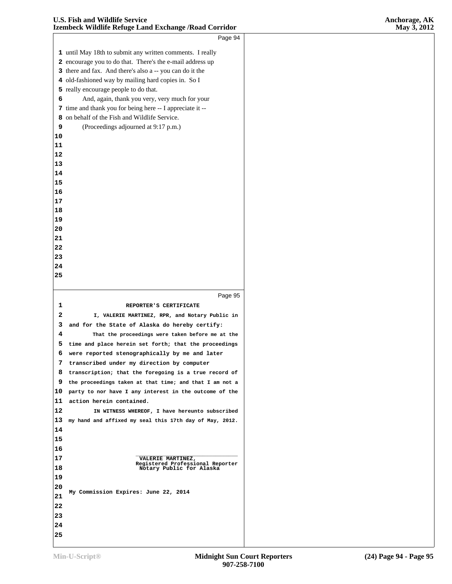|    | Page 94                                                      |
|----|--------------------------------------------------------------|
|    |                                                              |
|    | 1 until May 18th to submit any written comments. I really    |
|    | 2 encourage you to do that. There's the e-mail address up    |
|    | 3 there and fax. And there's also a -- you can do it the     |
|    | 4 old-fashioned way by mailing hard copies in. So I          |
|    | 5 really encourage people to do that.                        |
| 6  | And, again, thank you very, very much for your               |
|    | 7 time and thank you for being here -- I appreciate it --    |
| 8  | on behalf of the Fish and Wildlife Service.                  |
| 9  | (Proceedings adjourned at 9:17 p.m.)                         |
| 10 |                                                              |
| 11 |                                                              |
| 12 |                                                              |
| 13 |                                                              |
| 14 |                                                              |
| 15 |                                                              |
| 16 |                                                              |
| 17 |                                                              |
| 18 |                                                              |
| 19 |                                                              |
| 20 |                                                              |
| 21 |                                                              |
| 22 |                                                              |
| 23 |                                                              |
| 24 |                                                              |
| 25 |                                                              |
|    |                                                              |
|    | Page 95                                                      |
| 1  | REPORTER'S CERTIFICATE                                       |
| 2  | I, VALERIE MARTINEZ, RPR, and Notary Public in               |
| 3  | and for the State of Alaska do hereby certify:               |
| 4  | That the proceedings were taken before me at the             |
| 5  | time and place herein set forth; that the proceedings        |
| 6  | were reported stenographically by me and later               |
| 7  | transcribed under my direction by computer                   |
| 8  | transcription; that the foregoing is a true record of        |
| 9  | the proceedings taken at that time; and that I am not a      |
| 10 | party to nor have I any interest in the outcome of the       |
| 11 | action herein contained.                                     |
| 12 | IN WITNESS WHEREOF, I have hereunto subscribed               |
| 13 | my hand and affixed my seal this 17th day of May, 2012.      |
| 14 |                                                              |
| 15 |                                                              |
| 16 |                                                              |
| 17 | VALERIE MARTINEZ,                                            |
| 18 | Registered Professional Reporter<br>Notary Public for Alaska |
| 19 |                                                              |
| 20 |                                                              |
| 21 | My Commission Expires: June 22, 2014                         |
| 22 |                                                              |
| 23 |                                                              |
|    |                                                              |
| 24 |                                                              |
| 25 |                                                              |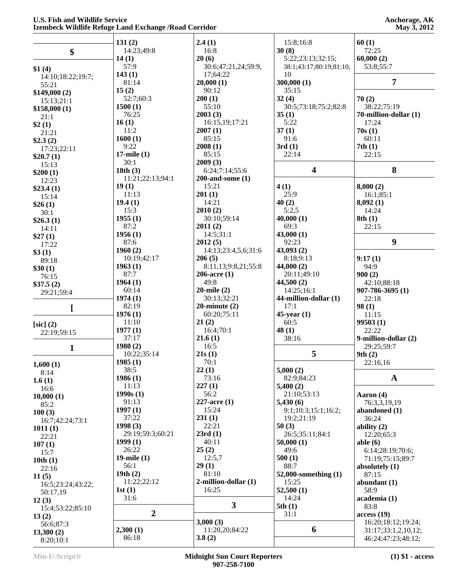|                   | 131(2)           | 2.4(1)                    | 15:8;16:8                 | 60(1)                 |
|-------------------|------------------|---------------------------|---------------------------|-----------------------|
| \$                | 14:23;49:8       | 16:8                      | 30(8)                     | 72:25                 |
|                   | 14(1)            | 20(6)                     | 5:22;23:13;32:15;         | 60,000(2)             |
|                   | 57:9             | 30:6;47:21,24;59:9,       | 38:1;43:17;80:19;81:10,   | 53:8;55:7             |
| \$1(4)            | 143(1)           | 17:64:22                  | 10                        |                       |
| 14:10;18:22;19:7; | 81:14            | 20,000(1)                 | 300,000(1)                | $\overline{7}$        |
| 55:21             | 15(2)            | 90:12                     | 35:15                     |                       |
| \$149,000(2)      | 52:7;60:3        |                           |                           |                       |
| 15:13:21:1        |                  | 200(1)                    | 32(4)                     | 70(2)                 |
| \$158,000(1)      | 1500(1)          | 55:10                     | 30:5;73:18;75:2;82:8      | 38:22;75:19           |
| 21:1              | 76:25            | 2003(3)                   | 35(1)                     | 70-million-dollar (1) |
| \$2(1)            | 16(1)            | 16:15,19;17:21            | 5:22                      | 17:24                 |
| 21:21             | 11:2             | 2007(1)                   | 37(1)                     | 70s(1)                |
| \$2.3(2)          | 1600(1)          | 85:15                     | 91:6                      | 60:11                 |
| 17:23;22:11       | 9:22             | 2008(1)                   | 3rd(1)                    | 7th(1)                |
| \$20.7(1)         | $17$ -mile $(1)$ | 85:15                     | 22:14                     | 22:15                 |
| 15:13             | 30:1             | 2009(3)                   |                           |                       |
| \$200(1)          | 18th(3)          | 6:24;7:14;55:6            | $\overline{\mathbf{4}}$   | 8                     |
| 12:23             | 11:21;22:13;94:1 | $200$ -and-some $(1)$     |                           |                       |
|                   | 19(1)            | 15:21                     | 4(1)                      | 8,000(2)              |
| \$23.4(1)         | 11:13            | 201(1)                    | 25:9                      | 16:1;85:1             |
| 15:14             | 19.4(1)          | 14:21                     | 40(2)                     |                       |
| \$26(1)           | 15:3             | 2010(2)                   | 5:2,5                     | 8,092(1)              |
| 30:1              |                  |                           |                           | 14:24                 |
| \$26.3(1)         | 1955(1)          | 30:10;59:14               | 40,000(1)                 | 8th(1)                |
| 14:11             | 87:2             | 2011(2)                   | 69:3                      | 22:15                 |
| \$27(1)           | 1956(1)          | 14:5;31:1                 | 43,000(1)                 |                       |
| 17:22             | 87:6             | 2012(5)                   | 92:23                     | 9                     |
| \$3(1)            | 1960(2)          | 14:13;23:4,5,6;31:6       | 43,093(2)                 |                       |
| 89:18             | 10:19;42:17      | 206(5)                    | 8:18;9:13                 | 9:17(1)               |
| \$30(1)           | 1963(1)          | 8:11,13;9:8,21;55:8       | 44,000(2)                 | 94:9                  |
| 76:15             | 87:7             | 206-acre $(1)$            | 20:11;49:10               | 900(2)                |
| \$37.5(2)         | 1964(1)          | 49:8                      | 44,500(2)                 | 42:10;88:18           |
|                   | 60:14            | $20$ -mile $(2)$          | 14:25;16:1                | 907-786-3695 (1)      |
| 29:21;59:4        | 1974(1)          | 30:13;32:21               | 44-million-dollar (1)     | 22:18                 |
|                   | 82:19            | $20$ -minute $(2)$        | 17:1                      | 98(1)                 |
| ſ                 | 1976(1)          | 60:20;75:11               | $45$ -year $(1)$          |                       |
|                   | 11:10            |                           | 60:5                      | 11:15                 |
| $[sic]$ (2)       |                  | 21(2)                     |                           | 99503(1)              |
| 22:19;59:15       | 1977(1)          | 16:4;70:1                 | 48(1)                     | 22:22                 |
|                   | 37:17            | 21.6(1)                   | 38:16                     | 9-million-dollar (2)  |
| $\mathbf{1}$      | 1980(2)          | 16:5                      |                           | 29:25;59:7            |
|                   | 10:22;35:14      | 21s(1)                    | 5                         | 9th(2)                |
| 1,600(1)          | 1985(1)          | 70:1                      |                           | 22:16,16              |
| 8:14              | 38:5             | 22(1)                     | 5,000(2)                  |                       |
| 1.6(1)            | 1986(1)          | 73:16                     | 82:9;84:23                | $\mathbf{A}$          |
| 16:6              | 11:13            | 227(1)                    | 5,400(2)                  |                       |
|                   | 1990s(1)         | 56:2                      | 21:10;53:13               | Aaron (4)             |
| 10,000(1)         | 91:13            | $227$ -acre $(1)$         | 5,430(6)                  | 76:3,3,19,19          |
| 85:2              | 1997(1)          | 15:24                     | 9:1;10:3;15:1;16:2;       | abandoned (1)         |
| 100(3)            | 37:22            | 231(1)                    | 19:2;21:19                | 36:24                 |
| 16:7;42:24;73:1   | 1998(3)          | 22:21                     | 50(3)                     |                       |
| 1011(1)           | 29:19;59:3;60:21 | 23rd(1)                   |                           | ability $(2)$         |
| 22:21             |                  |                           | 26:5;35:11;84:1           | 12:20;65:3            |
| 107(1)            | 1999(1)          | 40:11                     | 50,000(1)                 | able $(6)$            |
| 15:7              | 26:22            | 25(2)                     | 49:6                      | 6:14;28:19;70:6;      |
| 10th(1)           | 19-mile $(1)$    | 12:5,7                    | 500(1)                    | 71:19;75:15;89:7      |
| 22:16             | 56:1             | 29(1)                     | 88:7                      | absolutely $(1)$      |
| 11(5)             | 19th $(2)$       | 81:10                     | $52,000$ -something $(1)$ | 87:15                 |
| 16:5;23:24;43:22; | 11:22;22:12      | $2$ -million-dollar $(1)$ | 15:25                     | abundant $(1)$        |
| 50:17,19          | 1st(1)           | 16:25                     | 52,500(1)                 | 58:9                  |
| 12(3)             | 31:6             |                           | 14:24                     | academia (1)          |
|                   |                  | $\mathbf{3}$              | 5th(1)                    | 83:8                  |
| 15:4;53:22;85:10  | $\overline{2}$   |                           | 31:1                      | access(19)            |
| 13(2)             |                  | 3,000(3)                  |                           | 16:20;18:12;19:24;    |
| 56:6;87:3         | 2,300(1)         | 11:20,20;84:22            | 6                         |                       |
| 13,300(2)         |                  |                           |                           | 31:17;33:1,2,10,12;   |
| 8:20;10:1         | 86:18            | 3.8(2)                    |                           | 46:24;47:23;48:12;    |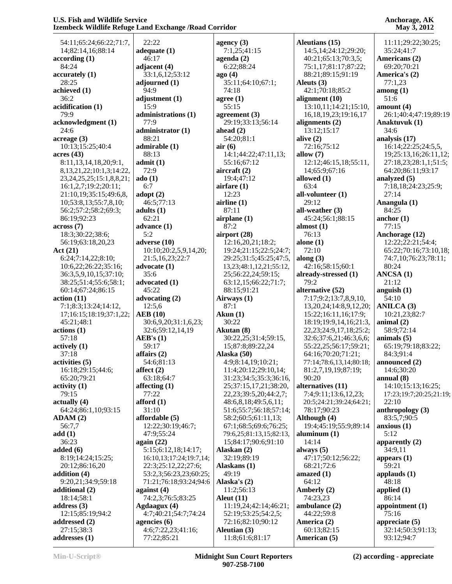54:11;65:24;66:22;71:7, 14;82:14,16;88:14 **according (1)** 84:24 **accurately (1)** 28:25 **achieved (1)** 36:2 **acidification (1)** 79:9 **acknowledgment (1)** 24:6 **acreage (3)** 10:13;15:25;40:4 **acres (43)** 8:11,13,14,18,20;9:1, 8,13,21,22;10:1,3;14:22, 23,24,25,25;15:1,8,8,21; 16:1,2,7;19:2;20:11; 21:10,19;35:15;49:6,8, 10;53:8,13;55:7,8,10; 56:2;57:2;58:2;69:3; 86:19;92:23 **across (7)** 18:3;30:22;38:6; 56:19;63:18,20,23 **Act (21)** 6:24;7:14,22;8:10; 10:6,22;26:22;35:16; 36:3,5,9,10,15;37:10; 38:25;51:4;55:6;58:1; 60:14;67:24;86:15 **action (11)** 7:1;8:3;13:24;14:12, 17;16:15;18:19;37:1,22; 45:21;48:1 **actions (1)** 57:18 **actively (1)** 37:18 **activities (5)** 16:18;29:15;44:6; 65:20;79:21 **activity (1)** 79:15 **actually (4)** 64:24;86:1,10;93:15 **ADAM (2)** 56:7,7 **add (1)** 36:23 **added (6)** 8:19;14:24;15:25; 20:12;86:16,20 **addition (4)** 9:20,21;34:9;59:18 **additional (2)** 18:14;58:1 **address (3)** 12:15;85:19;94:2 **addressed (2)** 27:15;38:3 **addresses (1)**

 22:22 **adequate (1)** 46:17 **adjacent (4)** 33:1,6,12;53:12 **adjourned (1)** 94:9 **adjustment (1)** 15:9 **administrations (1)** 77:9 **administrator (1)** 88:21 **admirable (1)** 88:13 **admit (1)** 72:9 **ado (1)** 6:7 **adopt (2)** 46:5;77:13 **adults (1)** 62:21 **advance (1)** 5:2 **adverse (10)** 10:10;20:2,5,9,14,20; 21:5,16,23;22:7 **advocate (1)** 35:6 **advocated (1)** 45:22 **advocating (2)** 12:5,6 **AEB (10)** 30:6,9,20;31:1,6,23; 32:6;59:12,14,19 **AEB's (1)** 59:17 **affairs (2)** 54:6;81:13 **affect (2)** 63:18;64:7 **affecting (1)** 77:22 **afford (1)** 31:10 **affordable (5)** 12:22;30:19;46:7; 47:9;55:24 **again (22)** 5:15;6:12,18;14:17; 16:10,13;17:24;19:7,14; 22:3;25:12,22;27:6; 53:2,3;56:23,23;60:25; 71:21;76:18;93:24;94:6 **against (4)** 74:2,3;76:5;83:25 **Agdaagux (4)** 4:7;40:21;54:7;74:24 **agencies (6)** 4:6;7:22,23;41:16; 77:22;85:21 **ago (4) air (6)**

**agency (3)** 7:1,25;41:15 **agenda (2)** 6:22;88:24 35:11;64:10;67:1; 74:18 **agree (1)** 55:15 **agreement (3)** 29:19;33:13;56:14 **ahead (2)** 54:20;81:1 14:1;44:22;47:11,13; 55:16;67:12 **aircraft (2)** 19:4;47:12 **airfare (1)** 12:23 **airline (1)** 87:11 **airplane (1)** 87:2 **airport (28)** 12:16,20,21;18:2; 19:24;21:15;22:5;24:7; 29:25;31:5;45:25;47:5, 13,23;48:1,12,21;55:12, 25;56:22,24;59:15; 63:12,15;66:22;71:7; 88:15;91:21 **Airways (1)** 87:1 **Akun (1)** 30:22 **Akutan (8)** 30:22,25;31:4;59:15, 15;87:8;89:22,24 **Alaska (50)** 4:9;8:14,19;10:21; 11:4;20:12;29:10,14; 31:23;34:5;35:3;36:16, 25;37:15,17,21;38:20, 22,23;39:5,20;44:2,7; 48:6,8,18;49:5,6,11; 51:6;55:7;56:18;57:14; 58:2;60:5;61:11,13; 67:1;68:5;69:6;76:25; 79:6,25;81:13,15;82:13, 15;84:17;90:6;91:10 **Alaskan (2)** 32:19;89:19 **Alaskans (1)** 49:19 **Alaska's (2)** 11:2;56:13 **Aleut (11)** 11:19,24;42:14;46:21; 52:19;53:25;54:2,5; 72:16;82:10;90:12 **Aleutian (3)** 11:8;61:6;81:17 **America (2)** 60:13;82:15 **American (5)**

**Aleutians (15)** 14:5,14;24:12;29:20; 40:21;65:13;70:3,5; 75:1,17;81:17;87:22; 88:21;89:15;91:19 **Aleuts (3)** 42:1;70:18;85:2 **alignment (10)** 13:10,11;14:21;15:10, 16,18,19,23;19:16,17 **alignments (2)** 13:12;15:17 **alive (2)** 72:16;75:12 **allow (7)** 12:12;46:15,18;55:11, 14;65:9;67:16 **allowed (1)** 63:4 **all-volunteer (1)** 29:12 **all-weather (3)** 45:24;56:1;88:15 **almost (1)** 76:13 **alone (1)** 72:10 **along (3)** 42:16;58:15;60:1 **already-stressed (1)** 79:2 **alternative (52)** 7:17;9:2;13:7,8,9,10, 13,20,24;14:8,9,12,20; 15:22;16:11,16;17:9; 18:19;19:9,14,16;21:3, 22,23;24:9,17,18;25:2; 32:6;37:6,21;46:3,6,6; 55:22,25;56:17;59:21; 64:16;70:20;71:21; 77:14;78:6,13,14;80:18; 81:2,7,19,19;87:19; 90:20 **alternatives (11)** 7:4;9:11;13:6,12,23; 20:5;24:21;39:24;64:21; 78:17;90:23 **Although (4)** 19:4;45:19;55:9;89:14 **aluminum (1)** 14:14 **always (5)** 47:17;50:12;56:22; 68:21;72:6 **amazed (1)** 64:12 **Amberly (2)** 74:23,23 **ambulance (2)** 44:22;59:8

**Anchorage, AK May 3, 2012**

 11:11;29:22;30:25; 35:24;41:7 **Americans (2)** 69:20;70:21 **America's (2)** 77:1,23 **among (1)** 51:6 **amount (4)** 26:1;40:4;47:19;89:19 **Anaktuvuk (1)** 34:6 **analysis (17)** 16:14;22:25;24:5,5, 19;25:13,16;26:11,12; 27:18,23;28:1,1;51:5; 64:20;86:11;93:17 **analyzed (5)** 7:18,18;24:23;25:9; 27:14 **Anangula (1)** 84:25 **anchor (1)** 77:15 **Anchorage (12)** 12:22;22:21;54:4; 65:22;70:16;73:10,18; 74:7,10;76:23;78:11; 80:24 **ANCSA (1)** 21:12 **anguish (1)** 54:10 **ANILCA (3)** 10:21,23;82:7 **animal (2)** 58:9;72:14 **animals (5)** 65:19;79:18;83:22; 84:3;91:4 **announced (2)** 14:6;30:20 **annual (8)** 14:10;15:13;16:25; 17:23;19:7;20:25;21:19; 22:10 **anthropology (3)** 83:5,7;90:5 **anxious (1)** 5:12 **apparently (2)** 34:9,11 **appears (1)** 59:21 **applauds (1)** 48:18 **applied (1)** 86:14 **appointment (1)** 75:16 **appreciate (5)** 32:14;50:3;91:13; 93:12;94:7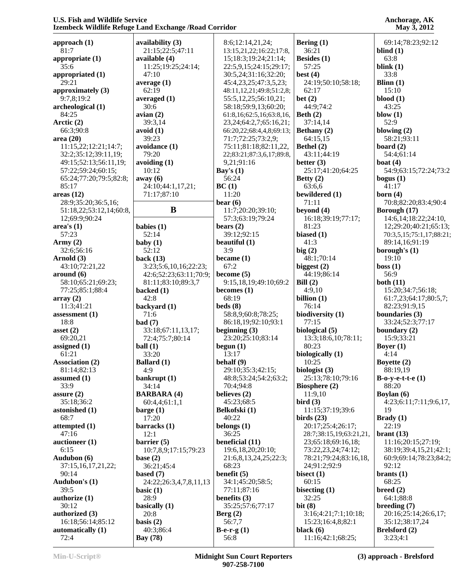| approach $(1)$          | availability (3)       | 8:6;12:14,21,24;              | Bering $(1)$            | 69:14;78:23;92:12        |
|-------------------------|------------------------|-------------------------------|-------------------------|--------------------------|
| 81:7                    | 21:15;22:5;47:11       | 13:15,21,22;16:22;17:8,       | 36:21                   | blind $(1)$              |
| appropriate (1)         | available (4)          | 15;18:3;19:24;21:14;          | Besides (1)             | 63:8                     |
| 35:6                    | 11:25;19:25;24:14;     | 22:5,9,15;24:15;29:17;        | 57:25                   | blink $(1)$              |
| appropriated (1)        | 47:10                  | 30:5,24;31:16;32:20;          | best $(4)$              | 33:8                     |
| 29:21                   | average $(1)$          | 45:4,23,25;47:3,5,23;         | 24:19;50:10;58:18;      | Blinn $(1)$              |
| approximately (3)       | 62:19                  | 48:11,12,21;49:8;51:2,8;      | 62:17                   | 15:10                    |
| 9:7,8:19:2              | averaged $(1)$         | 55:5,12,25;56:10,21;          | bet $(2)$               | $blood (1)$              |
| archeological (1)       | 30:6                   | 58:18;59:9,13;60:20;          | 44:9;74:2               | 43:25                    |
| 84:25                   | avian(2)               | 61:8,16;62:5,16;63:8,16,      | Beth $(2)$              | blow $(1)$               |
| Arctic (2)              | 39:3,14                | 23, 24; 64: 2, 7; 65: 16, 21; | 37:14,14                | 52:9                     |
| 66:3;90:8               | avoid(1)               | 66:20,22;68:4,4,8;69:13;      | Bethany (2)             | blowing $(2)$            |
| area(20)                | 39:23                  | 71:7:72:25:73:2,9;            | 64:15,15                | 58:21:93:11              |
| 11:15,22;12:21;14:7;    | avoidance (1)          | 75:11;81:18;82:11,22,         | Bethel (2)              | board $(2)$              |
| 32:2;35:12;39:11,19;    | 79:20                  | 22;83:21;87:3,6,17;89:8,      | 43:11;44:19             | 54:4;61:14               |
|                         |                        |                               |                         |                          |
| 49:15;52:13;56:11,19;   | avoiding $(1)$         | 9,21;91:16                    | better $(3)$            | boat $(4)$               |
| 57:22;59:24;60:15;      | 10:12                  | Bay's $(1)$                   | 25:17;41:20;64:25       | 54:9;63:15;72:24;73:2    |
| 65:24;77:20;79:5;82:8;  | away (6)               | 56:24                         | Betty $(2)$             | bogus $(1)$              |
| 85:17                   | 24:10;44:1,17,21;      | BC(1)                         | 63:6,6                  | 41:17                    |
| areas(12)               | 71:17;87:10            | 11:20                         | bewildered (1)          | born $(4)$               |
| 28:9;35:20;36:5,16;     |                        | bear $(6)$                    | 71:11                   | 70:8;82:20;83:4;90:4     |
| 51:18,22;53:12,14;60:8, | B                      | 11:7;20:20;39:10;             | beyond $(4)$            | Borough (17)             |
| 12;69:9;90:24           |                        | 57:3;63:19;79:24              | 16:18;39:19;77:17;      | 14:6,14;18:22;24:10,     |
| area's(1)               | babies (1)             | bears $(2)$                   | 81:23                   | 12;29:20;40:21;65:13;    |
| 57:23                   | 52:14                  | 39:12;92:15                   | biased $(1)$            | 70:3,5,15;75:1,17;88:21; |
| Army $(2)$              | baby $(1)$             | beautiful $(1)$               | 41:3                    | 89:14,16;91:19           |
| 32:6;56:16              | 52:12                  | 3:9                           | big(2)                  | borough's $(1)$          |
| Arnold (3)              | back $(13)$            | became $(1)$                  | 48:1;70:14              | 19:10                    |
| 43:10;72:21,22          | 3:23;5:6,10,16;22:23;  | 67:2                          | biggest $(2)$           | boss(1)                  |
| around (6)              | 42:6;52:23;63:11;70:9; | become $(5)$                  | 44:19;86:14             | 56:9                     |
| 58:10;65:21;69:23;      | 81:11;83:10;89:3,7     | 9:15,18,19;49:10;69:2         | Bill $(2)$              | both $(11)$              |
| 77:25;85:1;88:4         | backed (1)             | becomes $(1)$                 | 4:9,10                  | 15:20;34:7;56:18;        |
|                         |                        | 68:19                         |                         |                          |
| array(2)                | 42:8                   |                               | billion $(1)$           | 61:7,23;64:17;80:5,7;    |
| 11:3;41:21              | backyard (1)           | beds(8)                       | 76:14                   | 82:23;91:9,15            |
| assessment $(1)$        | 71:6                   | 58:8,9;60:8;78:25;            | biodiversity (1)        | boundaries (3)           |
| 18:8                    | bad(7)                 | 86:18,19;92:10;93:1           | 77:15                   | 33:24;52:3;77:17         |
| asset $(2)$             | 33:18;67:11,13,17;     | beginning $(3)$               | biological (5)          | boundary $(2)$           |
| 69:20,21                | 72:4;75:7;80:14        | 23:20;25:10;83:14             | 13:3;18:6,10;78:11;     | 15:9;33:21               |
| assigned (1)            | ball(1)                | begun $(1)$                   | 80:23                   | Boyer $(1)$              |
| 61:21                   | 33:20                  | 13:17                         | biologically (1)        | 4:14                     |
| Association (2)         | <b>Ballard</b> (1)     | behalf (9)                    | 10:25                   | Boyette (2)              |
| 81:14;82:13             | 4:9                    | 29:10;35:3;42:15;             | biologist $(3)$         | 88:19,19                 |
| assumed $(1)$           | bankrupt (1)           | 48:8;53:24;54:2;63:2;         | 25:13;78:10;79:16       | $B-o-y-e-t-e(1)$         |
| 33:9                    | 34:14                  | 70:4;94:8                     | Biosphere $(2)$         | 88:20                    |
| assure $(2)$            | <b>BARBARA (4)</b>     | believes (2)                  | 11:9,10                 | Boylan (6)               |
| 35:18;36:2              | 60:4,4;61:1,1          | 45:23;68:5                    | bird(3)                 | 4:23;6:11;7:11;9:6,17,   |
| astonished (1)          | barge(1)               | Belkofski (1)                 | 11:15:37:19:39:6        | 19                       |
| 68:7                    | 17:20                  | 40:22                         | birds $(23)$            | Brady(1)                 |
| attempted (1)           | barracks (1)           | belongs $(1)$                 | 20:17;25:4;26:17;       | 22:19                    |
| 47:16                   | 12:1                   | 36:25                         | 28:7;38:15,19;63:21,21, | branch (13)              |
| auctioneer $(1)$        | barrier $(5)$          | beneficial (11)               | 23;65:18;69:16,18;      | 11:16:20:15:27:19;       |
| 6:15                    | 10:7,8,9;17:15;79:23   | 19:6,18,20;20:10;             | 73:22,23,24;74:12;      | 38:19;39:4,15,21;42:1;   |
|                         |                        |                               |                         |                          |
| Audubon (6)             | base $(2)$             | 21:6,8,13,24,25;22:3;         | 78:21;79:24;83:16,18,   | 60:9;69:14;78:23;84:2;   |
| 37:15,16,17,21,22;      | 36:21;45:4             | 68:23                         | 24;91:2;92:9            | 92:12                    |
| 90:14                   | based $(7)$            | benefit $(5)$                 | bisect $(1)$            | brants $(1)$             |
| Audubon's (1)           | 24:22;26:3,4,7,8,11,13 | 34:1;45:20;58:5;              | 60:15                   | 68:25                    |
| 39:5                    | basic $(1)$            | 77:11;87:16                   | bisecting (1)           | breed(2)                 |
| authorize (1)           | 28:9                   | benefits (3)                  | 32:25                   | 64:1;88:8                |
| 30:12                   | basically (1)          | 35:25;57:6;77:17              | bit $(8)$               | breeding (7)             |
| authorized (3)          | 20:8                   | Berg(2)                       | 3:16;4:21;7:1;10:18;    | 20:16;25:14;26:6,17;     |
| 16:18;56:14;85:12       | basis $(2)$            | 56:7,7                        | 15:23;16:4,8;82:1       | 35:12;38:17,24           |
| automatically (1)       | 40:3;86:4              | B-e-r-g $(1)$                 | black $(6)$             | Brelsford (2)            |
| 72:4                    | <b>Bay</b> (78)        | 56:8                          | 11:16;42:1;68:25;       | 3:23;4:1                 |
|                         |                        |                               |                         |                          |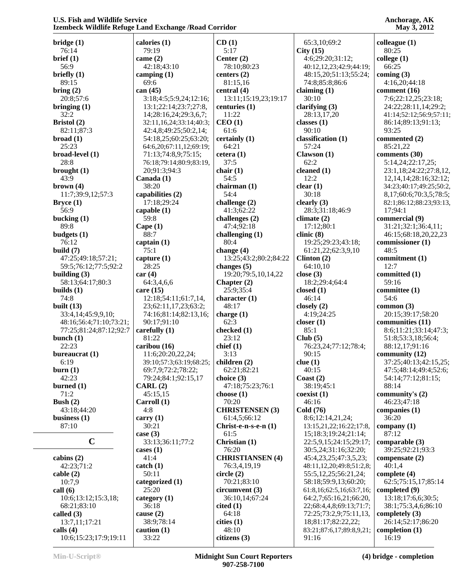| bridge(1)               | calories (1)            | CD(1)                     | 65:3,10;69:2             | colleague $(1)$             |
|-------------------------|-------------------------|---------------------------|--------------------------|-----------------------------|
| 76:14                   | 79:19                   | 5:17                      | City(15)                 | 80:25                       |
| brief (1)               | came $(2)$              | Center (2)                | 4:6;29:20;31:12;         | $\text{college} (1)$        |
| 56:9                    | 42:18;43:10             | 78:10;80:23               | 40:12,12,23;42:9;44:19;  | 66:25                       |
| briefly $(1)$           | camping $(1)$           | centers $(2)$             | 48:15,20;51:13;55:24;    | coming $(3)$                |
| 89:15                   | 69:6                    | 81:15,16                  | 74:8;85:8;86:6           | 4:16,20;44:18               |
| bring (2)               | can $(45)$              | central $(4)$             | claiming $(1)$           | comment (16)                |
| 20:8;57:6               | 3:18;4:5;5:9,24;12:16;  | 13:11;15:19,23;19:17      | 30:10                    | 7:6;22:12,25;23:18;         |
|                         |                         |                           |                          | 24:22;28:11,14;29:2;        |
| bringing $(1)$          | 13:1;22:14;23:7;27:8,   | centuries (1)             | clarifying $(3)$         |                             |
| 32:2                    | 14;28:16,24;29:3,6,7;   | 11:22                     | 28:13,17,20              | 41:14;52:12;56:9;57:11;     |
| Bristol (2)             | 32:11,16,24;33:14;40:3; | CEO(1)                    | classes $(1)$            | 86:14;89:13;91:13;          |
| 82:11;87:3              | 42:4,8;49:25;50:2,14;   | 61:6                      | 90:10                    | 93:25                       |
| broad(1)                | 54:18,25;60:25;63:20;   | certainly (1)             | classification (1)       | commented (2)               |
| 25:23                   | 64:6,20;67:11,12;69:19; | 64:21                     | 57:24                    | 85:21,22                    |
| broad-level (1)         | 71:13;74:8,9;75:15;     | cetera(1)                 | Clawson(1)               | comments (30)               |
| 28:8                    | 76:18;79:14;80:9;83:19, | 37:5                      | 62:2                     | 5:14,24;22:17,25;           |
| brought $(1)$           | 20;91:3;94:3            | chair $(1)$               | cleaned (1)              | 23:1,18;24:22;27:8,12,      |
| 43:9                    | Canada (1)              | 54:5                      | 12:2                     | 12, 14, 14; 28: 16; 32: 12; |
| brown (4)               | 38:20                   | chairman (1)              | clear(1)                 | 34:23;40:17;49:25;50:2,     |
| 11:7;39:9,12;57:3       | capabilities (2)        | 54:4                      | 30:18                    | 8,17;60:6;70:3,5;78:5;      |
| Bryce(1)                | 17:18;29:24             | challenge (2)             | clearly $(3)$            | 82:1;86:12;88:23;93:13,     |
| 56:9                    | capable $(1)$           | 41:3;62:22                | 28:3;31:18;46:9          | 17;94:1                     |
| bucking $(1)$           | 59:8                    | challenges (2)            | climate $(2)$            | commercial (9)              |
| 89:8                    | Cape $(1)$              | 47:4;92:18                | 17:12;80:1               | 31:21;32:1;36:4,11;         |
| budgets (1)             | 88:7                    |                           | clinic(8)                | 46:15;68:18,20,22,23        |
|                         |                         | challenging $(1)$<br>80:4 |                          |                             |
| 76:12                   | captain $(1)$           |                           | 19:25;29:23;43:18;       | commissioner (1)            |
| build $(7)$             | 75:1                    | change $(4)$              | 61:21,22;62:3,9,10       | 48:5                        |
| 47:25;49:18;57:21;      | capture $(1)$           | 13:25;43:2;80:2;84:22     | Clinton $(2)$            | commitment (1)              |
| 59:5;76:12;77:5;92:2    | 28:25                   | changes $(5)$             | 64:10,10                 | 12:7                        |
| building $(3)$          | car(4)                  | 19:20;79:5,10,14,22       | close $(3)$              | committed (1)               |
| 58:13;64:17;80:3        | 64:3,4,6,6              | Chapter $(2)$             | 18:2;29:4;64:4           | 59:16                       |
| builds $(1)$            | care $(15)$             | 25:9;35:4                 | closed $(1)$             | committee $(1)$             |
| 74:8                    | 12:18;54:11;61:7,14,    | character $(1)$           | 46:14                    | 54:6                        |
| built $(13)$            | 23;62:11,17,23;63:2;    | 48:17                     | closely $(2)$            | common $(3)$                |
| 33:4,14;45:9,9,10;      | 74:16;81:14;82:13,16;   | charge (1)                | 4:19:24:25               | 20:15;39:17;58:20           |
| 48:16;56:4;71:10;73:21; | 90:17;91:10             | 62:3                      | closer $(1)$             | communities (11)            |
| 77:25;81:24;87:12;92:7  | carefully $(1)$         | checked (1)               | 85:1                     | 8:6;11:21;33:14;47:3;       |
| bunch $(1)$             | 81:22                   | 23:12                     | Club(5)                  | 51:8;53:3,18;56:4;          |
| 22:23                   | caribou (16)            | chief(1)                  | 76:23,24;77:12;78:4;     | 88:12,17;91:16              |
| bureaucrat (1)          | 11:6;20:20,22,24;       | 3:13                      | 90:15                    | community (12)              |
| 6:19                    | 39:10;57:3;63:19;68:25; | children $(2)$            | clue(1)                  | 37:25;40:13;42:15,25;       |
| burn(1)                 | 69:7,9;72:2;78:22;      | 62:21;82:21               | 40:15                    | 47:5;48:14;49:4;52:6;       |
| 42:23                   | 79:24;84:1;92:15,17     | choice $(3)$              | Coast $(2)$              | 54:14;77:12;81:15;          |
| burned $(1)$            | CARL(2)                 | 47:18;75:23;76:1          | 38:19;45:1               | 88:14                       |
|                         |                         |                           |                          |                             |
| 71:2                    | 45:15,15                | choose $(1)$              | coexist(1)               | community's (2)             |
| Bush $(2)$              | Carroll(1)              | 70:20                     | 46:16                    | 46:23;47:18                 |
| 43:18;44:20             | 4:8                     | <b>CHRISTENSEN (3)</b>    | Cold (76)                | companies $(1)$             |
| business $(1)$          | carry $(1)$             | 61:4,5;66:12              | 8:6;12:14,21,24;         | 36:20                       |
| 87:10                   | 30:21                   | Christ-e-n-s-e-n (1)      | 13:15,21,22;16:22;17:8,  | company $(1)$               |
|                         | case $(3)$              | 61:5                      | 15;18:3;19:24;21:14;     | 87:12                       |
| $\mathbf C$             | 33:13;36:11;77:2        | Christian (1)             | 22:5,9,15;24:15;29:17;   | comparable (3)              |
|                         | cases $(1)$             | 76:20                     | 30:5,24;31:16;32:20;     | 39:25;92:21;93:3            |
| cabins $(2)$            | 41:4                    | <b>CHRISTIANSEN (4)</b>   | 45:4,23,25;47:3,5,23;    | compensate $(2)$            |
| 42:23;71:2              | $\text{catch} (1)$      | 76:3,4,19,19              | 48:11,12,20;49:8;51:2,8; | 40:1,4                      |
| cable(2)                | 50:11                   | circle (2)                | 55:5,12,25;56:21,24;     | complete $(4)$              |
| 10:7,9                  | categorized (1)         | 70:21;83:10               | 58:18;59:9,13;60:20;     | 62:5;75:15,17;85:14         |
| call $(6)$              | 25:20                   | circumvent(3)             | 61:8,16;62:5,16;63:7,16; | completed (9)               |
| 10:6;13:12;15:3,18;     | category $(1)$          | 36:10,14;67:24            | 64:2,7;65:16,21;66:20,   | 13:18;17:6,6;30:5;          |
| 68:21;83:10             | 36:18                   | cited(1)                  | 22;68:4,4,8;69:13;71:7;  | 38:1;75:3,4,6;86:10         |
| called $(3)$            | cause (2)               | 64:18                     | 72:25;73:2,9;75:11,13,   | completely $(3)$            |
| 13:7,11;17:21           | 38:9;78:14              | cities(1)                 | 18;81:17;82:22,22;       | 26:14;52:17;86:20           |
| calls $(4)$             | caution $(1)$           | 48:10                     | 83:21;87:6,17;89:8,9,21; | completion $(1)$            |
| 10:6;15:23;17:9;19:11   | 33:22                   | citizens (3)              | 91:16                    | 16:19                       |
|                         |                         |                           |                          |                             |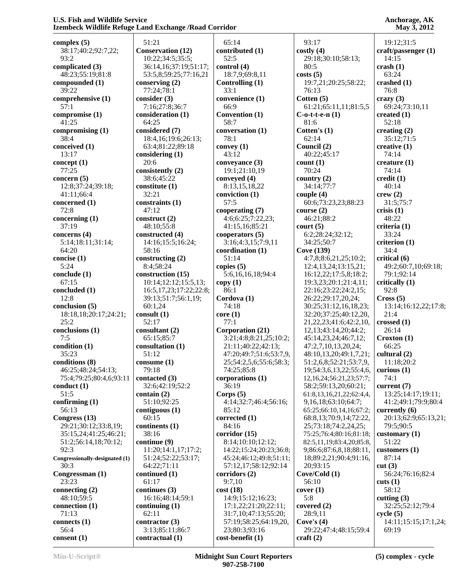**complex (5)** 38:17;40:2;92:7,22;  $93.2$ **complicated (3)** 48:23;55:19;81:8 **compounded (1)** 39:22 **comprehensive (1)** 57:1 **compromise (1)** 41:25 **compromising (1)** 38:4 **conceived (1)** 13:17 **concept (1)** 77:25 **concern (5)** 12:8;37:24;39:18; 41:11;66:4 **concerned (1)** 72:8 **concerning (1)** 37:19 **concerns (4)** 5:14;18:11;31:14; 64:20 **concise (1)** 5:24 **conclude (1)** 67:15 **concluded (1)** 12:8 **conclusion (5)** 18:18,18;20:17;24:21; 25:2 **conclusions (1)** 7:5 **condition (1)** 35:23 **conditions (8)** 46:25;48:24;54:13; 75:4;79:25;80:4,6;93:11 **conduct (1)** 51:5 **confirming (1)** 56:13 **Congress (13)** 29:21;30:12;33:8,19; 35:15,24;41:25;46:21; 51:2;56:14,18;70:12; 92:3 **Congressionally-designated (1)** 30:3 **Congressman (1)** 23:23 **connecting (2)** 48:10;59:5 **connection (1)** 71:13 **connects (1)** 56:4 **consent (1)**

 51:21 **Conservation (12)** 10:22;34:5;35:5; 36:14,16;37:19;51:17; 53:5,8;59:25;77:16,21 **conserving (2)** 77:24;78:1 **consider (3)** 7:16;27:8;36:7 **consideration (1)** 64:25 **considered (7)** 18:4,16;19:6;26:13; 63:4;81:22;89:18 **considering (1)** 20:6 **consistently (2)** 38:6;45:22 **constitute (1)** 32:21 **constraints (1)** 47:12 **construct (2)** 48:10;55:8 **constructed (4)** 14:16;15:5;16:24; 58:16 **constructing (2)** 8:4;58:24 **construction (15)** 10:14;12:12;15:5,13; 16:5,17,23;17:22;22:8; 39:13;51:7;56:1,19; 60:1,24 **consult (1)** 52:17 **consultant (2)** 65:15;85:7 **consultation (1)** 51:12 **consume (1)** 79:18 **contacted (3)** 32:6;42:19;52:2 **contain (2)** 51:10;92:25 **contiguous (1)** 60:15 **continents (1)** 38:16 **continue (9)** 11:20;14:1,17;17:2; 51:24;52:22;53:17; 64:22;71:11 **continued (1)** 61:17 **continues (3)** 16:16;48:14;59:1 **continuing (1)** 62:11 **contractor (3)** 3:13;85:11;86:7 **contractual (1)**

 65:14 **contributed (1)** 52:5 **control (4)** 18:7,9;69:8,11 **Controlling (1)** 33:1 **convenience (1)** 66:9 **Convention (1)** 58:7 **conversation (1)** 78:1 **convey (1)** 43:12 **conveyance (3)** 19:1;21:10,19 **conveyed (4)** 8:13,15,18,22 **conviction (1)** 57:5 **cooperating (7)** 4:6;6:25;7:22,23; 41:15,16;85:21 **cooperators (5)** 3:16;4:3,15;7:9,11 **coordination (1)** 51:14 **copies (5)** 5:6,16,16,18;94:4 **copy (1)** 86:1 **Cordova (1)** 74:18 **core (1)** 77:1 **Corporation (21)** 3:21;4:8;8:21,25;10:2; 21:11;40:22;42:13; 47:20;49:7;51:6;53:7,9, 25;54:2,5,6;55:6;58:3; 74:25;85:8 **corporations (1)** 36:19 **Corps (5)** 4:14;32:7;46:4;56:16; 85:12 **corrected (1)** 84:16 **corridor (15)** 8:14;10:10;12:12; 14:22;15:24;20:23;36:8; 45:24;46:12;49:8;51:11; 57:12,17;58:12;92:14 **corridors (2)** 9:7,10 **cost (18)** 14:9;15:12;16:23; 17:1,22;21:20;22:11; 31:7,10;47:13;55:20; 57:19;58:25;64:19,20, 23;80:3;93:16 **cost-benefit (1)**

 93:17 **costly (4)** 29:18;30:10;58:13; 80:5 **costs (5)** 19:7,21;20:25;58:22; 76:13 **Cotten (5)** 61:21;65:11,11;81:5,5 **C-o-t-t-e-n (1)** 81:6 **Cotten's (1)** 62:14 **Council (2)** 40:22;45:17 **count (1)** 70:24 **country (2)** 34:14;77:7 **couple (4)** 60:6;73:23,23;88:23 **course (2)** 46:21;88:2 **court (5)** 6:2;28:24;32:12; 34:25;50:7 **Cove (139)** 4:7,8;8:6,21,25;10:2; 12:4,13,24;13:15,21; 16:12,22;17:5,8;18:2; 19:3,23;20:1;21:4,11; 22:16;23:22;24:2,15; 26:22;29:17,20,24; 30:25;31:12,16,18,23; 32:20;37:25;40:12,20, 21,22,23;41:6;42:2,10, 12,13;43:14,20;44:2; 45:14,23,24;46:7,12; 47:2,7,10,13,20,24; 48:10,13,20;49:1,7,21; 51:2,6,8;52:21;53:7,9, 19;54:3,6,13,22;55:4,6, 12,16,24;56:21,23;57:7; 58:2;59:13,20;60:21; 61:8,13,16,21,22;62:4,4, 9,16,18;63:10;64:7; 65:25;66:10,14,16;67:2; 68:8,13;70:9,14;72:22, 25;73:18;74:2,24,25; 75:25;76:4;80:16;81:18; 82:5,11,19;83:4,20;85:8, 9;86:6;87:6,8,18;88:11, 18;89:2,21;90:4;91:16, 20;93:15 **Cove/Cold (1)** 56:10 **cover (1)** 5:8 **covered (2)** 28:9,11 **Cove's (4)** 29:22;47:4;48:15;59:4 **craft (2)** 19:12;31:5 **craft/passenger (1)** 14:15 **crash (1)** 63:24 **crashed (1)** 76:8 **crazy (3)** 69:24;73:10,11 **created (1)** 52:18 **creating (2)** 35:12;71:5 **creative (1)** 74:14 **creature (1)** 74:14 **credit (1)** 40:14 **crew (2)** 31:5;75:7 **crisis (1)** 48:22 **criteria (1)** 33:24 **criterion (1)** 34:4 **critical (6)** 49:2;60:7,10;69:18; 79:1;92:14 **critically (1)** 92:8 **Cross (5)** 13:14;16:12,22;17:8; 21:4 **crossed (1)** 26:14 **Croxton (1)** 66:25 **cultural (2)** 11:18;20:2 **curious (1)** 74:1 **current (7)** 13:25;14:17;19:11; 41:2;49:1;79:9;80:4 **currently (6)** 20:13;62:9;65:13,21; 79:5;90:5 **customary (1)** 51:22 **customers (1)** 87:14 **cut (3)** 56:24;76:16;82:4 **cuts (1)** 58:12 **cutting (3)** 32:25;52:12;79:4 **cycle (5)** 14:11;15:15;17:1,24; 69:19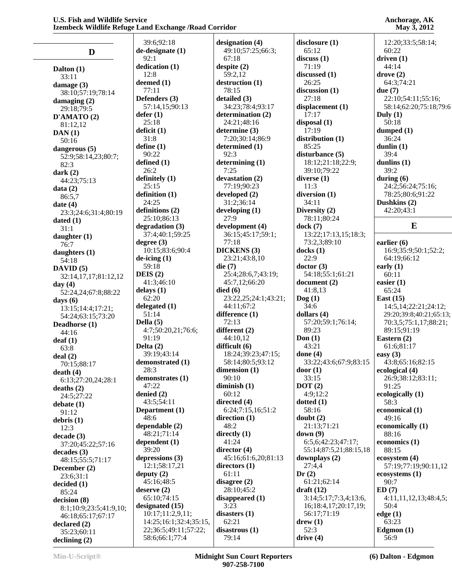| D                                           | 39<br>de-d  |
|---------------------------------------------|-------------|
|                                             | 92<br>dedi  |
| Dalton (1)<br>33:11                         | 12          |
| damage (3)                                  | deen<br>77  |
| 38:10;57:19;78:14<br>damaging (2)           | <b>Defe</b> |
| 29:18;79:5<br>D'AMATO(2)                    | 57<br>defer |
| 81:12,12                                    | 25          |
| DAN(1)<br>50:16                             | defic<br>31 |
| dangerous (5)                               | defir<br>90 |
| 52:9;58:14,23;80:7;<br>82:3                 | defir       |
| dark $(2)$                                  | 26<br>defir |
| 44:23;75:13<br>data(2)                      | 25          |
| 86:5,7<br>date $(4)$                        | defir<br>24 |
| 23:3;24:6;31:4;80:19                        | defir       |
| dated $(1)$<br>31:1                         | 25<br>degr  |
| daughter (1)                                | 37          |
| 76:7<br>daughters (1)                       | degr<br>10  |
| 54:18                                       | de-ic<br>59 |
| DAVID $(5)$<br>32:14,17,17;81:12,12         | <b>DEIS</b> |
| day $(4)$<br>52:24,24;67:8;88:22            | 41<br>delay |
| days (6)                                    | 62          |
| 13:15;14:4;17:21;<br>54:24;63:15;73:20      | deleg<br>51 |
| Deadhorse (1)                               | Della       |
| 44:16<br>$\text{deaf}(1)$                   | 4:<br>91    |
| 63:8                                        | Delta<br>39 |
| deal(2)<br>70:15;88:17                      | dem         |
| death(4)                                    | 28<br>dem   |
| 6:13;27:20,24;28:1<br>deaths(2)             | 47          |
| 24:5;27:22<br>debate(1)                     | deni<br>43  |
| 91:12                                       | Depa<br>48  |
| debris $(1)$<br>12:3                        | depe        |
| decade (3)                                  | 48<br>depe  |
| 37:20;45:22;57:16<br>decades (3)            | 39          |
| 48:15;55:5;71:17<br>December (2)            | depr<br>12  |
| 23:6;31:1                                   | depu        |
| decided(1)<br>85:24                         | 45<br>dese  |
| decision (8)                                | 65<br>desig |
| 8:1;10:9;23:5;41:9,10;<br>46:18;65:17;67:17 | 10          |
| declared (2)                                | 14<br>22    |
| 35:23;60:11<br>$\Delta$ declining $(2)$     | 58          |

 39:6;92:18 **de-designate (1)** 92:1 **dedication (1)** 12:8 **deemed (1)** 77:11 **Defenders (3)** 57:14,15;90:13 **defer (1)** 25:18 **deficit (1)** 31:8 **define (1)** 90:22 **defined (1)** 26:2 **definitely (1)** 25:15 **definition (1)** 24:25 **definitions (2)** 25:10;86:13 **degradation (3)** 37:4;40:1;59:25 **degree (3)** 10:15;83:6;90:4 **de-icing (1)** 59:18 **DEIS (2)** 41:3;46:10 **delays (1)** 62:20 **delegated (1)** 51:14 **Della (5)** 4:7;50:20,21;76:6; 91:19 **Delta (2)** 39:19;43:14 **demonstrated (1)** 28:3 **demonstrates (1)** 47:22 **denied (2)** 43:5;54:11 **Department (1)** 48:6 **dependable (2)** 48:21;71:14 **dependent (1)** 39:20 **depressions (3)** 12:1;58:17,21 **deputy (2)** 45:16;48:5 **deserve (2)** 65:10;74:15 **designated (15)** 10:17;11:2,9,11; 14:25;16:1;32:4;35:15, 22;36:5;49:11;57:22; 58:6;66:1;77:4

**designation (4)** 49:10;57:25;66:3; 67:18 **despite (2)** 59:2,12 **destruction (1)** 78:15 **detailed (3)** 34:23;78:4;93:17 **determination (2)** 24:21;48:16 **determine (3)** 7:20;30:14;86:9 **determined (1)** 92:3 **determining (1)** 7:25 **devastation (2)** 77:19;90:23 **developed (2)** 31:2;36:14 **developing (1)** 27:9 **development (4)** 36:15;45:17;59:1; 77:18 **DICKENS (3)** 23:21;43:8,10 **die (7)** 25:4;28:6,7;43:19; 45:7,12;66:20 **died (6)** 23:22,25;24:1;43:21; 44:11;67:2 **difference (1)** 72:13 **different (2)** 44:10,12 **difficult (6)** 18:24;39:23;47:15; 58:14;80:5;93:12 **dimension (1)** 90:10 **diminish (1)** 60:12 **directed (4)** 6:24;7:15,16;51:2 **direction (1)** 48:2 **directly (1)** 41:24 **director (4)** 45:16;61:6,20;81:13 **directors (1)** 61:11 **disagree (2)** 28:10;45:2 **disappeared (1)** 3:23 **disasters (1)** 62:21 **disastrous (1)** 79:14

**disclosure (1)** 65:12 **discuss (1)** 71:19 **discussed (1)** 26:25 **discussion (1)** 27:18 **displacement (1)** 17:17 **disposal (1)** 17:19 **distribution (1)** 85:25 **disturbance (5)** 18:12;21:18;22:9; 39:10;79:22 **diverse (1)** 11:3 **diversion (1)** 34:11 **Diversity (2)** 78:11;80:24 **dock (7)** 13:22;17:13,15;18:3; 73:2,3;89:10 **docks (1)** 22:9 **doctor (3)** 54:18;55:1;61:21 **document (2)** 41:8,13 **Dog (1)** 34:6 **dollars (4)** 57:20;59:1;76:14; 89:23 **Don (1)** 43:21 **done (4)** 33:22;43:6;67:9;83:15 **door (1)** 33:15 **DOT (2)** 4:9;12:2 **dotted (1)** 58:16 **doubt (2)** 21:13;71:21 **down (9)** 6:5,6;42:23;47:17; 55:14;87:5,21;88:15,18 **downplays (2)** 27:4,4 **Dr (2)** 61:21;62:14 **draft (12)** 3:14;5:17;7:3,4;13:6, 16;18:4,17;20:17,19; 56:17;71:19 **drew (1)** 52:3 **drive (4)**

**Anchorage, AK May 3, 2012**

 12:20;33:5;58:14; 60:22 **driven (1)** 44:14 **drove (2)** 64:3;74:21 **due (7)** 22:10;54:11;55:16; 58:14;62:20;75:18;79:6 **Duly (1)** 50:18 **dumped (1)** 36:24 **dunlin (1)** 39:4 **dunlins (1)** 39:2 **during (6)** 24:2;56:24;75:16; 78:25;80:6;91:22 **Dushkins (2)** 42:20;43:1 **E**

**earlier (6)** 16:9;35:9;50:1;52:2; 64:19;66:12 **early (1)** 60:11 **easier (1)** 65:24 **East (15)** 14:5,14;22:21;24:12; 29:20;39:8;40:21;65:13; 70:3,5;75:1,17;88:21; 89:15;91:19 **Eastern (2)** 61:6;81:17 **easy (3)** 43:8;65:16;82:15 **ecological (4)** 26:9;38:12;83:11; 91:25 **ecologically (1)** 58:3 **economical (1)** 49:16 **economically (1)** 88:16 **economics (1)** 88:15 **ecosystem (4)** 57:19;77:19;90:11,12 **ecosystems (1)** 90:7 **ED (7)** 4:11,11,12,13;48:4,5; 50:4 **edge (1)** 63:23 **Edgmon (1)** 56:9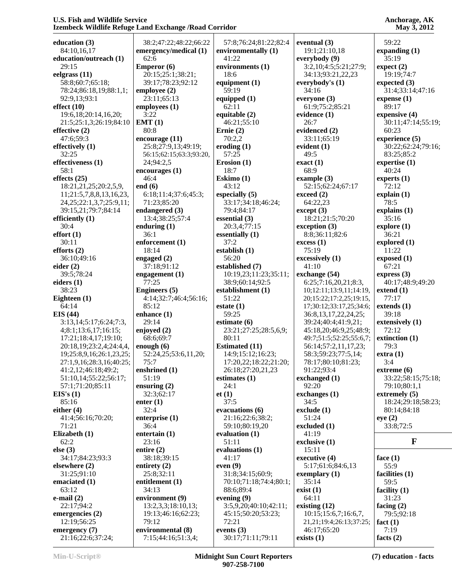|                                         |                                                                                                                                                                                                                                                                                                                                                                                                                                                                                                                                                                                                                                                                                                                          |                                                                                                                                                                                                                                                                                                                                                                                                                                                                                                                                                                                                                                                                                                                   | 59:22                                                                                                                                                                                                                                                                                                                                                                                                                                                                                                                                                                                                                                                                                                                                                                                                            |
|-----------------------------------------|--------------------------------------------------------------------------------------------------------------------------------------------------------------------------------------------------------------------------------------------------------------------------------------------------------------------------------------------------------------------------------------------------------------------------------------------------------------------------------------------------------------------------------------------------------------------------------------------------------------------------------------------------------------------------------------------------------------------------|-------------------------------------------------------------------------------------------------------------------------------------------------------------------------------------------------------------------------------------------------------------------------------------------------------------------------------------------------------------------------------------------------------------------------------------------------------------------------------------------------------------------------------------------------------------------------------------------------------------------------------------------------------------------------------------------------------------------|------------------------------------------------------------------------------------------------------------------------------------------------------------------------------------------------------------------------------------------------------------------------------------------------------------------------------------------------------------------------------------------------------------------------------------------------------------------------------------------------------------------------------------------------------------------------------------------------------------------------------------------------------------------------------------------------------------------------------------------------------------------------------------------------------------------|
|                                         |                                                                                                                                                                                                                                                                                                                                                                                                                                                                                                                                                                                                                                                                                                                          |                                                                                                                                                                                                                                                                                                                                                                                                                                                                                                                                                                                                                                                                                                                   | expanding $(1)$                                                                                                                                                                                                                                                                                                                                                                                                                                                                                                                                                                                                                                                                                                                                                                                                  |
|                                         |                                                                                                                                                                                                                                                                                                                                                                                                                                                                                                                                                                                                                                                                                                                          |                                                                                                                                                                                                                                                                                                                                                                                                                                                                                                                                                                                                                                                                                                                   | 35:19                                                                                                                                                                                                                                                                                                                                                                                                                                                                                                                                                                                                                                                                                                                                                                                                            |
|                                         |                                                                                                                                                                                                                                                                                                                                                                                                                                                                                                                                                                                                                                                                                                                          |                                                                                                                                                                                                                                                                                                                                                                                                                                                                                                                                                                                                                                                                                                                   | expect (2)                                                                                                                                                                                                                                                                                                                                                                                                                                                                                                                                                                                                                                                                                                                                                                                                       |
|                                         |                                                                                                                                                                                                                                                                                                                                                                                                                                                                                                                                                                                                                                                                                                                          |                                                                                                                                                                                                                                                                                                                                                                                                                                                                                                                                                                                                                                                                                                                   | 19:19;74:7                                                                                                                                                                                                                                                                                                                                                                                                                                                                                                                                                                                                                                                                                                                                                                                                       |
|                                         |                                                                                                                                                                                                                                                                                                                                                                                                                                                                                                                                                                                                                                                                                                                          |                                                                                                                                                                                                                                                                                                                                                                                                                                                                                                                                                                                                                                                                                                                   | expected $(3)$                                                                                                                                                                                                                                                                                                                                                                                                                                                                                                                                                                                                                                                                                                                                                                                                   |
|                                         |                                                                                                                                                                                                                                                                                                                                                                                                                                                                                                                                                                                                                                                                                                                          |                                                                                                                                                                                                                                                                                                                                                                                                                                                                                                                                                                                                                                                                                                                   | 31:4;33:14;47:16                                                                                                                                                                                                                                                                                                                                                                                                                                                                                                                                                                                                                                                                                                                                                                                                 |
|                                         |                                                                                                                                                                                                                                                                                                                                                                                                                                                                                                                                                                                                                                                                                                                          |                                                                                                                                                                                                                                                                                                                                                                                                                                                                                                                                                                                                                                                                                                                   | expense $(1)$                                                                                                                                                                                                                                                                                                                                                                                                                                                                                                                                                                                                                                                                                                                                                                                                    |
|                                         |                                                                                                                                                                                                                                                                                                                                                                                                                                                                                                                                                                                                                                                                                                                          |                                                                                                                                                                                                                                                                                                                                                                                                                                                                                                                                                                                                                                                                                                                   | 89:17                                                                                                                                                                                                                                                                                                                                                                                                                                                                                                                                                                                                                                                                                                                                                                                                            |
|                                         |                                                                                                                                                                                                                                                                                                                                                                                                                                                                                                                                                                                                                                                                                                                          |                                                                                                                                                                                                                                                                                                                                                                                                                                                                                                                                                                                                                                                                                                                   | expensive (4)                                                                                                                                                                                                                                                                                                                                                                                                                                                                                                                                                                                                                                                                                                                                                                                                    |
|                                         |                                                                                                                                                                                                                                                                                                                                                                                                                                                                                                                                                                                                                                                                                                                          |                                                                                                                                                                                                                                                                                                                                                                                                                                                                                                                                                                                                                                                                                                                   | 30:11;47:14;55:19;                                                                                                                                                                                                                                                                                                                                                                                                                                                                                                                                                                                                                                                                                                                                                                                               |
|                                         |                                                                                                                                                                                                                                                                                                                                                                                                                                                                                                                                                                                                                                                                                                                          |                                                                                                                                                                                                                                                                                                                                                                                                                                                                                                                                                                                                                                                                                                                   | 60:23                                                                                                                                                                                                                                                                                                                                                                                                                                                                                                                                                                                                                                                                                                                                                                                                            |
|                                         |                                                                                                                                                                                                                                                                                                                                                                                                                                                                                                                                                                                                                                                                                                                          |                                                                                                                                                                                                                                                                                                                                                                                                                                                                                                                                                                                                                                                                                                                   | experience (5)                                                                                                                                                                                                                                                                                                                                                                                                                                                                                                                                                                                                                                                                                                                                                                                                   |
|                                         |                                                                                                                                                                                                                                                                                                                                                                                                                                                                                                                                                                                                                                                                                                                          |                                                                                                                                                                                                                                                                                                                                                                                                                                                                                                                                                                                                                                                                                                                   |                                                                                                                                                                                                                                                                                                                                                                                                                                                                                                                                                                                                                                                                                                                                                                                                                  |
|                                         |                                                                                                                                                                                                                                                                                                                                                                                                                                                                                                                                                                                                                                                                                                                          |                                                                                                                                                                                                                                                                                                                                                                                                                                                                                                                                                                                                                                                                                                                   | 30:22;62:24;79:16;<br>83:25;85:2                                                                                                                                                                                                                                                                                                                                                                                                                                                                                                                                                                                                                                                                                                                                                                                 |
|                                         |                                                                                                                                                                                                                                                                                                                                                                                                                                                                                                                                                                                                                                                                                                                          |                                                                                                                                                                                                                                                                                                                                                                                                                                                                                                                                                                                                                                                                                                                   |                                                                                                                                                                                                                                                                                                                                                                                                                                                                                                                                                                                                                                                                                                                                                                                                                  |
|                                         |                                                                                                                                                                                                                                                                                                                                                                                                                                                                                                                                                                                                                                                                                                                          |                                                                                                                                                                                                                                                                                                                                                                                                                                                                                                                                                                                                                                                                                                                   | expertise $(1)$                                                                                                                                                                                                                                                                                                                                                                                                                                                                                                                                                                                                                                                                                                                                                                                                  |
|                                         |                                                                                                                                                                                                                                                                                                                                                                                                                                                                                                                                                                                                                                                                                                                          |                                                                                                                                                                                                                                                                                                                                                                                                                                                                                                                                                                                                                                                                                                                   | 40:24                                                                                                                                                                                                                                                                                                                                                                                                                                                                                                                                                                                                                                                                                                                                                                                                            |
|                                         |                                                                                                                                                                                                                                                                                                                                                                                                                                                                                                                                                                                                                                                                                                                          |                                                                                                                                                                                                                                                                                                                                                                                                                                                                                                                                                                                                                                                                                                                   | experts $(1)$                                                                                                                                                                                                                                                                                                                                                                                                                                                                                                                                                                                                                                                                                                                                                                                                    |
|                                         |                                                                                                                                                                                                                                                                                                                                                                                                                                                                                                                                                                                                                                                                                                                          |                                                                                                                                                                                                                                                                                                                                                                                                                                                                                                                                                                                                                                                                                                                   | 72:12                                                                                                                                                                                                                                                                                                                                                                                                                                                                                                                                                                                                                                                                                                                                                                                                            |
|                                         |                                                                                                                                                                                                                                                                                                                                                                                                                                                                                                                                                                                                                                                                                                                          |                                                                                                                                                                                                                                                                                                                                                                                                                                                                                                                                                                                                                                                                                                                   | explain(1)                                                                                                                                                                                                                                                                                                                                                                                                                                                                                                                                                                                                                                                                                                                                                                                                       |
|                                         |                                                                                                                                                                                                                                                                                                                                                                                                                                                                                                                                                                                                                                                                                                                          |                                                                                                                                                                                                                                                                                                                                                                                                                                                                                                                                                                                                                                                                                                                   | 78:5                                                                                                                                                                                                                                                                                                                                                                                                                                                                                                                                                                                                                                                                                                                                                                                                             |
|                                         |                                                                                                                                                                                                                                                                                                                                                                                                                                                                                                                                                                                                                                                                                                                          |                                                                                                                                                                                                                                                                                                                                                                                                                                                                                                                                                                                                                                                                                                                   | explains (1)                                                                                                                                                                                                                                                                                                                                                                                                                                                                                                                                                                                                                                                                                                                                                                                                     |
|                                         |                                                                                                                                                                                                                                                                                                                                                                                                                                                                                                                                                                                                                                                                                                                          |                                                                                                                                                                                                                                                                                                                                                                                                                                                                                                                                                                                                                                                                                                                   | 35:16                                                                                                                                                                                                                                                                                                                                                                                                                                                                                                                                                                                                                                                                                                                                                                                                            |
|                                         |                                                                                                                                                                                                                                                                                                                                                                                                                                                                                                                                                                                                                                                                                                                          |                                                                                                                                                                                                                                                                                                                                                                                                                                                                                                                                                                                                                                                                                                                   | explore $(1)$                                                                                                                                                                                                                                                                                                                                                                                                                                                                                                                                                                                                                                                                                                                                                                                                    |
|                                         |                                                                                                                                                                                                                                                                                                                                                                                                                                                                                                                                                                                                                                                                                                                          |                                                                                                                                                                                                                                                                                                                                                                                                                                                                                                                                                                                                                                                                                                                   | 36:21                                                                                                                                                                                                                                                                                                                                                                                                                                                                                                                                                                                                                                                                                                                                                                                                            |
|                                         |                                                                                                                                                                                                                                                                                                                                                                                                                                                                                                                                                                                                                                                                                                                          |                                                                                                                                                                                                                                                                                                                                                                                                                                                                                                                                                                                                                                                                                                                   | explored $(1)$                                                                                                                                                                                                                                                                                                                                                                                                                                                                                                                                                                                                                                                                                                                                                                                                   |
|                                         |                                                                                                                                                                                                                                                                                                                                                                                                                                                                                                                                                                                                                                                                                                                          |                                                                                                                                                                                                                                                                                                                                                                                                                                                                                                                                                                                                                                                                                                                   | 11:22                                                                                                                                                                                                                                                                                                                                                                                                                                                                                                                                                                                                                                                                                                                                                                                                            |
|                                         |                                                                                                                                                                                                                                                                                                                                                                                                                                                                                                                                                                                                                                                                                                                          |                                                                                                                                                                                                                                                                                                                                                                                                                                                                                                                                                                                                                                                                                                                   | exposed(1)                                                                                                                                                                                                                                                                                                                                                                                                                                                                                                                                                                                                                                                                                                                                                                                                       |
| 37:18;91:12                             | established (7)                                                                                                                                                                                                                                                                                                                                                                                                                                                                                                                                                                                                                                                                                                          | 41:10                                                                                                                                                                                                                                                                                                                                                                                                                                                                                                                                                                                                                                                                                                             | 67:21                                                                                                                                                                                                                                                                                                                                                                                                                                                                                                                                                                                                                                                                                                                                                                                                            |
| engagement $(1)$                        | 10:19,23;11:23;35:11;                                                                                                                                                                                                                                                                                                                                                                                                                                                                                                                                                                                                                                                                                                    | exchange (54)                                                                                                                                                                                                                                                                                                                                                                                                                                                                                                                                                                                                                                                                                                     | express $(3)$                                                                                                                                                                                                                                                                                                                                                                                                                                                                                                                                                                                                                                                                                                                                                                                                    |
| 77:25                                   | 38:9;60:14;92:5                                                                                                                                                                                                                                                                                                                                                                                                                                                                                                                                                                                                                                                                                                          | 6:25;7:16,20,21;8:3,                                                                                                                                                                                                                                                                                                                                                                                                                                                                                                                                                                                                                                                                                              | 40:17;48:9;49:20                                                                                                                                                                                                                                                                                                                                                                                                                                                                                                                                                                                                                                                                                                                                                                                                 |
| <b>Engineers</b> (5)                    | establishment (1)                                                                                                                                                                                                                                                                                                                                                                                                                                                                                                                                                                                                                                                                                                        | 10;12:11;13:9,11;14:19,                                                                                                                                                                                                                                                                                                                                                                                                                                                                                                                                                                                                                                                                                           | extend $(1)$                                                                                                                                                                                                                                                                                                                                                                                                                                                                                                                                                                                                                                                                                                                                                                                                     |
|                                         | 51:22                                                                                                                                                                                                                                                                                                                                                                                                                                                                                                                                                                                                                                                                                                                    | 20;15:22;17:2,25;19:15,                                                                                                                                                                                                                                                                                                                                                                                                                                                                                                                                                                                                                                                                                           | 77:17                                                                                                                                                                                                                                                                                                                                                                                                                                                                                                                                                                                                                                                                                                                                                                                                            |
| 85:12                                   |                                                                                                                                                                                                                                                                                                                                                                                                                                                                                                                                                                                                                                                                                                                          |                                                                                                                                                                                                                                                                                                                                                                                                                                                                                                                                                                                                                                                                                                                   | extends $(1)$                                                                                                                                                                                                                                                                                                                                                                                                                                                                                                                                                                                                                                                                                                                                                                                                    |
|                                         | 59:25                                                                                                                                                                                                                                                                                                                                                                                                                                                                                                                                                                                                                                                                                                                    |                                                                                                                                                                                                                                                                                                                                                                                                                                                                                                                                                                                                                                                                                                                   | 39:18                                                                                                                                                                                                                                                                                                                                                                                                                                                                                                                                                                                                                                                                                                                                                                                                            |
| 29:14                                   |                                                                                                                                                                                                                                                                                                                                                                                                                                                                                                                                                                                                                                                                                                                          |                                                                                                                                                                                                                                                                                                                                                                                                                                                                                                                                                                                                                                                                                                                   | extensively (1)                                                                                                                                                                                                                                                                                                                                                                                                                                                                                                                                                                                                                                                                                                                                                                                                  |
|                                         |                                                                                                                                                                                                                                                                                                                                                                                                                                                                                                                                                                                                                                                                                                                          |                                                                                                                                                                                                                                                                                                                                                                                                                                                                                                                                                                                                                                                                                                                   | 72:12                                                                                                                                                                                                                                                                                                                                                                                                                                                                                                                                                                                                                                                                                                                                                                                                            |
|                                         |                                                                                                                                                                                                                                                                                                                                                                                                                                                                                                                                                                                                                                                                                                                          |                                                                                                                                                                                                                                                                                                                                                                                                                                                                                                                                                                                                                                                                                                                   | extinction (1)                                                                                                                                                                                                                                                                                                                                                                                                                                                                                                                                                                                                                                                                                                                                                                                                   |
|                                         |                                                                                                                                                                                                                                                                                                                                                                                                                                                                                                                                                                                                                                                                                                                          |                                                                                                                                                                                                                                                                                                                                                                                                                                                                                                                                                                                                                                                                                                                   | 79:3                                                                                                                                                                                                                                                                                                                                                                                                                                                                                                                                                                                                                                                                                                                                                                                                             |
|                                         |                                                                                                                                                                                                                                                                                                                                                                                                                                                                                                                                                                                                                                                                                                                          |                                                                                                                                                                                                                                                                                                                                                                                                                                                                                                                                                                                                                                                                                                                   | extra(1)                                                                                                                                                                                                                                                                                                                                                                                                                                                                                                                                                                                                                                                                                                                                                                                                         |
|                                         |                                                                                                                                                                                                                                                                                                                                                                                                                                                                                                                                                                                                                                                                                                                          |                                                                                                                                                                                                                                                                                                                                                                                                                                                                                                                                                                                                                                                                                                                   | 3:4                                                                                                                                                                                                                                                                                                                                                                                                                                                                                                                                                                                                                                                                                                                                                                                                              |
|                                         |                                                                                                                                                                                                                                                                                                                                                                                                                                                                                                                                                                                                                                                                                                                          |                                                                                                                                                                                                                                                                                                                                                                                                                                                                                                                                                                                                                                                                                                                   | extreme(6)                                                                                                                                                                                                                                                                                                                                                                                                                                                                                                                                                                                                                                                                                                                                                                                                       |
|                                         |                                                                                                                                                                                                                                                                                                                                                                                                                                                                                                                                                                                                                                                                                                                          |                                                                                                                                                                                                                                                                                                                                                                                                                                                                                                                                                                                                                                                                                                                   | 33:22;58:15;75:18;                                                                                                                                                                                                                                                                                                                                                                                                                                                                                                                                                                                                                                                                                                                                                                                               |
|                                         |                                                                                                                                                                                                                                                                                                                                                                                                                                                                                                                                                                                                                                                                                                                          |                                                                                                                                                                                                                                                                                                                                                                                                                                                                                                                                                                                                                                                                                                                   | 79:10;80:1,1                                                                                                                                                                                                                                                                                                                                                                                                                                                                                                                                                                                                                                                                                                                                                                                                     |
|                                         |                                                                                                                                                                                                                                                                                                                                                                                                                                                                                                                                                                                                                                                                                                                          |                                                                                                                                                                                                                                                                                                                                                                                                                                                                                                                                                                                                                                                                                                                   | extremely $(5)$                                                                                                                                                                                                                                                                                                                                                                                                                                                                                                                                                                                                                                                                                                                                                                                                  |
|                                         |                                                                                                                                                                                                                                                                                                                                                                                                                                                                                                                                                                                                                                                                                                                          |                                                                                                                                                                                                                                                                                                                                                                                                                                                                                                                                                                                                                                                                                                                   | 18:24;29:18;58:23;                                                                                                                                                                                                                                                                                                                                                                                                                                                                                                                                                                                                                                                                                                                                                                                               |
|                                         |                                                                                                                                                                                                                                                                                                                                                                                                                                                                                                                                                                                                                                                                                                                          |                                                                                                                                                                                                                                                                                                                                                                                                                                                                                                                                                                                                                                                                                                                   | 80:14;84:18                                                                                                                                                                                                                                                                                                                                                                                                                                                                                                                                                                                                                                                                                                                                                                                                      |
|                                         |                                                                                                                                                                                                                                                                                                                                                                                                                                                                                                                                                                                                                                                                                                                          |                                                                                                                                                                                                                                                                                                                                                                                                                                                                                                                                                                                                                                                                                                                   | eye(2)                                                                                                                                                                                                                                                                                                                                                                                                                                                                                                                                                                                                                                                                                                                                                                                                           |
|                                         |                                                                                                                                                                                                                                                                                                                                                                                                                                                                                                                                                                                                                                                                                                                          |                                                                                                                                                                                                                                                                                                                                                                                                                                                                                                                                                                                                                                                                                                                   | 33:8;72:5                                                                                                                                                                                                                                                                                                                                                                                                                                                                                                                                                                                                                                                                                                                                                                                                        |
|                                         |                                                                                                                                                                                                                                                                                                                                                                                                                                                                                                                                                                                                                                                                                                                          |                                                                                                                                                                                                                                                                                                                                                                                                                                                                                                                                                                                                                                                                                                                   |                                                                                                                                                                                                                                                                                                                                                                                                                                                                                                                                                                                                                                                                                                                                                                                                                  |
|                                         |                                                                                                                                                                                                                                                                                                                                                                                                                                                                                                                                                                                                                                                                                                                          |                                                                                                                                                                                                                                                                                                                                                                                                                                                                                                                                                                                                                                                                                                                   | $\mathbf{F}$                                                                                                                                                                                                                                                                                                                                                                                                                                                                                                                                                                                                                                                                                                                                                                                                     |
|                                         |                                                                                                                                                                                                                                                                                                                                                                                                                                                                                                                                                                                                                                                                                                                          |                                                                                                                                                                                                                                                                                                                                                                                                                                                                                                                                                                                                                                                                                                                   |                                                                                                                                                                                                                                                                                                                                                                                                                                                                                                                                                                                                                                                                                                                                                                                                                  |
|                                         |                                                                                                                                                                                                                                                                                                                                                                                                                                                                                                                                                                                                                                                                                                                          |                                                                                                                                                                                                                                                                                                                                                                                                                                                                                                                                                                                                                                                                                                                   |                                                                                                                                                                                                                                                                                                                                                                                                                                                                                                                                                                                                                                                                                                                                                                                                                  |
| entire $(2)$                            | evaluations (1)                                                                                                                                                                                                                                                                                                                                                                                                                                                                                                                                                                                                                                                                                                          | 15:11                                                                                                                                                                                                                                                                                                                                                                                                                                                                                                                                                                                                                                                                                                             |                                                                                                                                                                                                                                                                                                                                                                                                                                                                                                                                                                                                                                                                                                                                                                                                                  |
| 38:18;39:15                             | 41:17                                                                                                                                                                                                                                                                                                                                                                                                                                                                                                                                                                                                                                                                                                                    | executive (4)                                                                                                                                                                                                                                                                                                                                                                                                                                                                                                                                                                                                                                                                                                     | face $(1)$                                                                                                                                                                                                                                                                                                                                                                                                                                                                                                                                                                                                                                                                                                                                                                                                       |
| entirety $(2)$                          | even $(9)$                                                                                                                                                                                                                                                                                                                                                                                                                                                                                                                                                                                                                                                                                                               | 5:17;61:6;84:6,13                                                                                                                                                                                                                                                                                                                                                                                                                                                                                                                                                                                                                                                                                                 | 55:9                                                                                                                                                                                                                                                                                                                                                                                                                                                                                                                                                                                                                                                                                                                                                                                                             |
| 25:8;32:11                              | 31:8;34:15;60:9;                                                                                                                                                                                                                                                                                                                                                                                                                                                                                                                                                                                                                                                                                                         | exemplary $(1)$                                                                                                                                                                                                                                                                                                                                                                                                                                                                                                                                                                                                                                                                                                   | facilities (1)                                                                                                                                                                                                                                                                                                                                                                                                                                                                                                                                                                                                                                                                                                                                                                                                   |
| entitlement (1)                         | 70:10;71:18;74:4;80:1;                                                                                                                                                                                                                                                                                                                                                                                                                                                                                                                                                                                                                                                                                                   | 35:14                                                                                                                                                                                                                                                                                                                                                                                                                                                                                                                                                                                                                                                                                                             | 59:5                                                                                                                                                                                                                                                                                                                                                                                                                                                                                                                                                                                                                                                                                                                                                                                                             |
| 34:13                                   | 88:6;89:4                                                                                                                                                                                                                                                                                                                                                                                                                                                                                                                                                                                                                                                                                                                | exist(1)                                                                                                                                                                                                                                                                                                                                                                                                                                                                                                                                                                                                                                                                                                          | facility $(1)$                                                                                                                                                                                                                                                                                                                                                                                                                                                                                                                                                                                                                                                                                                                                                                                                   |
| environment (9)                         | evening $(9)$                                                                                                                                                                                                                                                                                                                                                                                                                                                                                                                                                                                                                                                                                                            | 64:11                                                                                                                                                                                                                                                                                                                                                                                                                                                                                                                                                                                                                                                                                                             | 31:23                                                                                                                                                                                                                                                                                                                                                                                                                                                                                                                                                                                                                                                                                                                                                                                                            |
| 13:2,3,3;18:10,13;                      | 3:5,9,20;40:10;42:11;                                                                                                                                                                                                                                                                                                                                                                                                                                                                                                                                                                                                                                                                                                    | existing $(12)$                                                                                                                                                                                                                                                                                                                                                                                                                                                                                                                                                                                                                                                                                                   | facing $(2)$                                                                                                                                                                                                                                                                                                                                                                                                                                                                                                                                                                                                                                                                                                                                                                                                     |
| 19:13;46:16;62:23;                      | 45:15;50:20;53:23;                                                                                                                                                                                                                                                                                                                                                                                                                                                                                                                                                                                                                                                                                                       | 10:15:15:6,7;16:6,7,                                                                                                                                                                                                                                                                                                                                                                                                                                                                                                                                                                                                                                                                                              | 79:5;92:18                                                                                                                                                                                                                                                                                                                                                                                                                                                                                                                                                                                                                                                                                                                                                                                                       |
| 79:12                                   | 72:21                                                                                                                                                                                                                                                                                                                                                                                                                                                                                                                                                                                                                                                                                                                    | 21, 21; 19: 4; 26: 13; 37: 25;                                                                                                                                                                                                                                                                                                                                                                                                                                                                                                                                                                                                                                                                                    | fact $(1)$                                                                                                                                                                                                                                                                                                                                                                                                                                                                                                                                                                                                                                                                                                                                                                                                       |
| environmental (8)<br>7:15;44:16;51:3,4; | events $(3)$<br>30:17;71:11;79:11                                                                                                                                                                                                                                                                                                                                                                                                                                                                                                                                                                                                                                                                                        | 46:17;65:20<br>exists $(1)$                                                                                                                                                                                                                                                                                                                                                                                                                                                                                                                                                                                                                                                                                       | 7:19<br>facts $(2)$                                                                                                                                                                                                                                                                                                                                                                                                                                                                                                                                                                                                                                                                                                                                                                                              |
|                                         | 38:2;47:22;48:22;66:22<br>emergency/medical (1)<br>62:6<br>Emperor (6)<br>20:15;25:1;38:21;<br>39:17;78:23;92:12<br>employee $(2)$<br>23:11;65:13<br>employees (1)<br>3:22<br>EMT(1)<br>80:8<br>encourage (11)<br>25:8;27:9,13;49:19;<br>56:15;62:15;63:3;93:20,<br>24;94:2,5<br>encourages(1)<br>46:4<br>end $(6)$<br>6:18;11:4;37:6;45:3;<br>71:23;85:20<br>endangered (3)<br>13:4;38:25;57:4<br>enduring $(1)$<br>36:1<br>enforcement (1)<br>18:14<br>engaged (2)<br>4:14;32:7;46:4;56:16;<br>enhance (1)<br>enjoyed (2)<br>68:6;69:7<br>enough $(6)$<br>52:24,25;53:6,11,20;<br>75:7<br>enshrined $(1)$<br>51:19<br>ensuring $(2)$<br>32:3;62:17<br>enter $(1)$<br>32:4<br>enterprise (1)<br>36:4<br>entertain $(1)$ | 57:8;76:24;81:22;82:4<br>environmentally (1)<br>41:22<br>environments (1)<br>18:6<br>equipment (1)<br>59:19<br>equipped $(1)$<br>62:11<br>equitable (2)<br>46:21;55:10<br>Ernie $(2)$<br>70:2,2<br>eroding $(1)$<br>57:25<br>Erosion (1)<br>18:7<br>Eskimo (1)<br>43:12<br>especially $(5)$<br>33:17;34:18;46:24;<br>79:4;84:17<br>essential $(3)$<br>20:3,4;77:15<br>essentially $(1)$<br>37:2<br>establish $(1)$<br>56:20<br>estate(1)<br>estimate $(6)$<br>23:21;27:25;28:5,6,9;<br>80:11<br><b>Estimated (11)</b><br>14:9;15:12;16:23;<br>17:20,22;18:22;21:20;<br>26:18;27:20,21,23<br>estimates $(1)$<br>24:1<br>et(1)<br>37:5<br>evacuations (6)<br>21:16;22:6;38:2;<br>59:10;80:19,20<br>evaluation $(1)$ | eventual $(3)$<br>19:1;21:10,18<br>everybody (9)<br>3:2,10;4:5;5:21;27:9;<br>34:13;93:21,22,23<br>everybody's (1)<br>34:16<br>everyone $(3)$<br>61:9:75:2:85:21<br>evidence (1)<br>26:7<br>evidenced (2)<br>33:11;65:19<br>evident $(1)$<br>49:5<br>exact(1)<br>68:9<br>example $(3)$<br>52:15;62:24;67:17<br>exceed (2)<br>64:22,23<br>except (3)<br>18:21;21:5;70:20<br>exception (3)<br>8:8;36:11;82:6<br>excess(1)<br>75:19<br>excessively (1)<br>17;30:12;33:17,25;34:6;<br>36:8, 13, 17, 22, 24, 25;<br>39:24;40:4;41:9,21;<br>45:18,20;46:9,25;48:9;<br>49:7;51:5;52:25;55:6,7;<br>56:14;57:2,11,17,23;<br>58:3;59:23;77:5,14;<br>78:17;80:10;81:23;<br>91:22;93:4<br>exchanged (1)<br>92:20<br>exchanges (1)<br>34:5<br>exclude (1)<br>51:24<br>excluded (1)<br>41:19<br>23:16<br>51:11<br>exclusive (1) |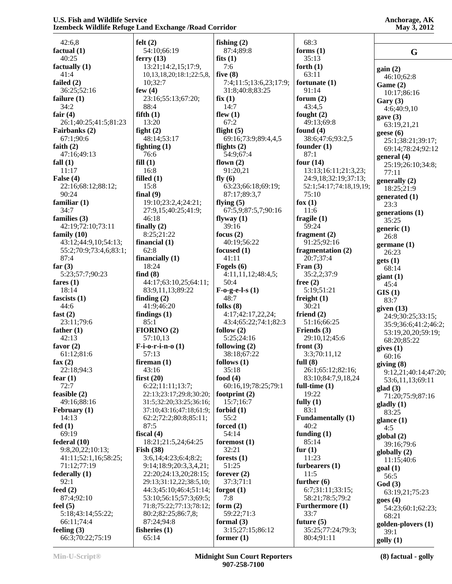| Anchorage, AK |
|---------------|
| May 3, 2012   |

| 42:6,8                 | felt $(2)$                       | fishing $(2)$          | 68:3                     |                      |
|------------------------|----------------------------------|------------------------|--------------------------|----------------------|
| factual $(1)$          | 54:10;66:19                      | 87:4;89:8              | forms $(1)$              | G                    |
| 40:25                  | ferry $(13)$                     | fits $(1)$             | 35:13                    |                      |
|                        |                                  | 7:6                    |                          |                      |
| factually (1)          | 13:21;14:2,15;17:9,              |                        | forth $(1)$              | gain(2)              |
| 41:4                   | 10, 13, 18, 20; 18: 1; 22: 5, 8, | five $(8)$             | 63:11                    | 46:10:62:8           |
| failed $(2)$           | 10;32:7                          | 7:4;11:5;13:6,23;17:9; | fortunate (1)            | Game (2)             |
| 36:25;52:16            | few $(4)$                        | 31:8;40:8;83:25        | 91:14                    | 10:17;86:16          |
| failure $(1)$          | 23:16;55:13;67:20;               | fix(1)                 | forum $(2)$              |                      |
| 34:2                   | 88:4                             | 14:7                   | 43:4,5                   | Gary $(3)$           |
|                        |                                  |                        |                          | 4:6;40:9,10          |
| fair $(4)$             | fifth(1)                         | flew $(1)$             | fought $(2)$             | gave $(3)$           |
| 26:1;40:25;41:5;81:23  | 13:20                            | 67:2                   | 49:13;69:8               | 63:19,21,21          |
| Fairbanks (2)          | fight $(2)$                      | flight $(5)$           | found $(4)$              | geese $(6)$          |
| 67:1;90:6              | 48:14;53:17                      | 69:16;73:9;89:4,4,5    | 38:6;47:6;93:2,5         | 25:1;38:21;39:17;    |
| faith $(2)$            | fighting $(1)$                   | flights $(2)$          | founder $(1)$            |                      |
| 47:16;49:13            | 76:6                             | 54:9;67:4              | 87:1                     | 69:14;78:24;92:12    |
|                        |                                  |                        |                          | general $(4)$        |
| fall $(1)$             | fill(1)                          | flown $(2)$            | four $(14)$              | 25:19;26:10;34:8;    |
| 11:17                  | 16:8                             | 91:20,21               | 13:13;16:11;21:3,23;     | 77:11                |
| False $(4)$            | filled $(1)$                     | fly $(6)$              | 24:9,18;32:19;37:13;     | generally (2)        |
| 22:16;68:12;88:12;     | 15:8                             | 63:23;66:18;69:19;     | 52:1;54:17;74:18,19,19;  | 18:25:21:9           |
| 90:24                  | final $(9)$                      | 87:17;89:3,7           | 75:10                    |                      |
| familiar $(1)$         |                                  |                        | fox $(1)$                | generated $(1)$      |
|                        | 19:10;23:2,4;24:21;              | flying $(5)$           |                          | 23:3                 |
| 34:7                   | 27:9,15;40:25;41:9;              | 67:5,9;87:5,7;90:16    | 11:6                     | generations (1)      |
| families (3)           | 46:18                            | flyway $(1)$           | fragile $(1)$            | 35:25                |
| 42:19;72:10;73:11      | finally $(2)$                    | 39:16                  | 59:24                    | generic $(1)$        |
| family $(10)$          | 8:25;21:22                       | focus $(2)$            | fragment $(2)$           | 26:8                 |
| 43:12;44:9,10;54:13;   | financial $(1)$                  | 40:19;56:22            | 91:25;92:16              |                      |
|                        |                                  |                        |                          | germane $(1)$        |
| 55:2;70:9;73:4,6;83:1; | 62:8                             | focused (1)            | fragmentation (2)        | 26:23                |
| 87:4                   | financially $(1)$                | 41:11                  | 20:7;37:4                | gets(1)              |
| far $(3)$              | 18:24                            | Fogels (6)             | Fran $(3)$               | 68:14                |
| 5:23;57:7;90:23        | find $(8)$                       | 4:11,11,12;48:4,5;     | 35:2,2;37:9              |                      |
| fares $(1)$            | 44:17;63:10,25;64:11;            | 50:4                   | free $(2)$               | giant(1)             |
|                        |                                  |                        |                          | 45:4                 |
| 18:14                  | 83:9,11,13;89:22                 | $F-0-g-e-I-s(1)$       | 5:19;51:21               | GIS(1)               |
| fascists $(1)$         | finding $(2)$                    | 48:7                   | freight $(1)$            | 83:7                 |
| 44:6                   | 41:9;46:20                       | folks $(8)$            | 30:21                    | given $(13)$         |
| fast $(2)$             | findings $(1)$                   | 4:17;42:17,22,24;      | friend $(2)$             | 24:9;30:25;33:15;    |
| 23:11;79:6             | 85:1                             | 43:4;65:22;74:1;82:3   | 51:16;66:25              |                      |
| father $(1)$           | FIORINO(2)                       | follow $(2)$           | Friends (3)              | 35:9;36:6;41:2;46:2; |
|                        |                                  |                        |                          | 53:19,20,20;59:19;   |
| 42:13                  | 57:10,13                         | 5:25;24:16             | 29:10,12;45:6            | 68:20;85:22          |
| favor $(2)$            | $F-i-o-r-i-n-0$ (1)              | following $(2)$        | front $(3)$              | gives(1)             |
| 61:12;81:6             | 57:13                            | 38:18;67:22            | 3:3;70:11,12             | 60:16                |
| fax $(2)$              | fireman $(1)$                    | follows $(1)$          | full $(8)$               | giving(8)            |
| 22:18;94:3             | 43:16                            | 35:18                  | 26:1;65:12;82:16;        |                      |
| fear $(1)$             | first $(20)$                     | food $(4)$             | 83:10;84:7,9,18,24       | 9:12,21;40:14;47:20; |
|                        |                                  |                        |                          | 53:6,11,13;69:11     |
| 72:7                   | 6:22;11:11;13:7;                 | 60:16,19;78:25;79:1    | full-time $(1)$          | glad(3)              |
| feasible (2)           | 22:13;23:17;29:8;30:20;          | footprint $(2)$        | 19:22                    | 71:20;75:9;87:16     |
| 49:16;88:16            | 31:5;32:20;33:25;36:16;          | 15:7;16:7              | fully $(1)$              | gladly(1)            |
| February (1)           | 37:10;43:16;47:18;61:9;          | forbid $(1)$           | 83:1                     | 83:25                |
| 14:13                  | 62:2;72:2;80:8;85:11;            | 55:2                   | <b>Fundamentally (1)</b> |                      |
| fed $(1)$              | 87:5                             |                        | 40:2                     | glance $(1)$         |
|                        |                                  | forced $(1)$           |                          | 4:5                  |
| 69:19                  | fiscal $(4)$                     | 54:14                  | funding $(1)$            | global(2)            |
| federal(10)            | 18:21:21:5,24:64:25              | foremost $(1)$         | 85:14                    | 39:16;79:6           |
| 9:8,20,22;10:13;       | <b>Fish (38)</b>                 | 32:21                  | fur $(1)$                | globally $(2)$       |
| 41:11;52:1,16;58:25;   | 3:6,14;4:23;6:4;8:2;             | forests $(1)$          | 11:23                    |                      |
| 71:12;77:19            | 9:14;18:9;20:3,3,4,21;           | 51:25                  | furbearers $(1)$         | 11:15;40:6           |
|                        |                                  |                        |                          | goal(1)              |
| federally $(1)$        | 22:20;24:13,20;28:15;            | forever $(2)$          | 11:5                     | 56:5                 |
| 92:1                   | 29:13;31:12,22;38:5,10;          | 37:3;71:1              | further $(6)$            | God(3)               |
| feed $(2)$             | 44:3;45:10;46:4;51:14;           | forgot $(1)$           | 6:7;31:11;33:15;         | 63:19,21;75:23       |
| 87:4:92:10             | 53:10;56:15;57:3;69:5;           | 7:8                    | 58:21;78:5;79:2          | goes(4)              |
| feel $(5)$             | 71:8;75:22;77:13;78:12;          | form $(2)$             | Furthermore (1)          |                      |
| 5:18;43:14;55:22;      | 80:2;82:25;86:7,8;               | 59:22;71:3             | 33:7                     | 54:23;60:1;62:23;    |
|                        |                                  |                        |                          | 68:21                |
| 66:11;74:4             | 87:24;94:8                       | formal $(3)$           | future $(5)$             | golden-plovers (1)   |
| feeling $(3)$          | fisheries $(1)$                  | 3:15;27:15;86:12       | 35:25;77:24;79:3;        | 39:1                 |
| 66:3;70:22;75:19       | 65:14                            | former $(1)$           | 80:4;91:11               | golly(1)             |
|                        |                                  |                        |                          |                      |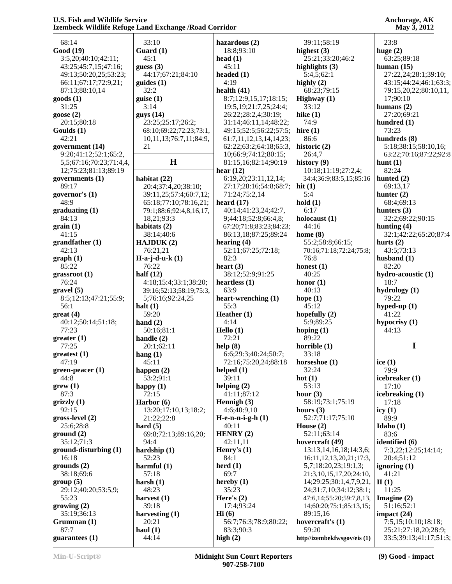| 68:14                          | 33:10                   | hazardous (2)              | 39:11;58:19                          | 23:8                                           |
|--------------------------------|-------------------------|----------------------------|--------------------------------------|------------------------------------------------|
| <b>Good</b> (19)               | Guard $(1)$             | 18:8;93:10                 | highest $(3)$                        | huge $(2)$                                     |
| 3:5,20;40:10;42:11;            | 45:1                    | head $(1)$                 | 25:21;33:20;46:2                     | 63:25;89:18                                    |
| 43:25;45:7,15;47:16;           | guess $(3)$             | 45:11                      | highlights (3)                       | human $(15)$                                   |
| 49:13;50:20,25;53:23;          | 44:17;67:21;84:10       | headed (1)                 | 5:4,5;62:1                           | 27:22,24;28:1;39:10;                           |
|                                |                         |                            |                                      |                                                |
| 66:11;67:17;72:9,21;           | $\text{guides} (1)$     | 4:19                       | highly $(2)$                         | 43:15;44:24;46:1;63:3;                         |
| 87:13;88:10,14                 | 32:2                    | health $(41)$              | 68:23;79:15                          | 79:15,20,22;80:10,11,                          |
| goods(1)                       | guise(1)                | 8:7;12:9,15,17;18:15;      | Highway $(1)$                        | 17;90:10                                       |
| 31:25                          | 3:14                    | 19:5, 19:21: 7, 25: 24: 4; | 33:12                                | humans $(2)$                                   |
| goose $(2)$                    | guys(14)                | 26:22;28:2,4;30:19;        | hike $(1)$                           | 27:20;69:21                                    |
| 20:15:80:18                    | 23:25:25:17:26:2;       | 31:14;46:11,14;48:22;      | 74:9                                 | hundred $(1)$                                  |
| Goulds (1)                     | 68:10;69:22;72:23;73:1, | 49:15;52:5;56:22;57:5;     | hire $(1)$                           | 73:23                                          |
| 42:21                          | 10,11,13;76:7,11;84:9,  | 61:7,11,12,13,14,14,23;    | 86:6                                 | hundreds (8)                                   |
| government (14)                | 21                      | 62:22;63:2;64:18;65:3,     | historic (2)                         | 5:18;38:15;58:10,16;                           |
| 9:20;41:12;52:1;65:2,          |                         | 10;66:9;74:12;80:15;       | 26:4,7                               | 63:22;70:16;87:22;92:8                         |
| 5,5;67:16;70:23;71:4,4,        | $\mathbf H$             | 81:15,16;82:14;90:19       | history $(9)$                        | hunt $(1)$                                     |
| 12;75:23;81:13;89:19           |                         | hear $(12)$                | 10:18;11:19;27:2,4;                  | 82:24                                          |
| governments $(1)$              | habitat $(22)$          | 6:19,20;23:11,12,14;       | 34:4;36:9;83:5,15;85:16              | hunted $(2)$                                   |
| 89:17                          | 20:4;37:4,20;38:10;     | 27:17;28:16;54:8;68:7;     | hit $(1)$                            | 69:13,17                                       |
| governor's $(1)$               | 39:11,25;57:4;60:7,12;  | 71:24;75:2,14              | 5:4                                  | hunter $(2)$                                   |
| 48:9                           | 65:18;77:10;78:16,21;   | heard $(17)$               | hold(1)                              | 68:4;69:13                                     |
| graduating(1)                  | 79:1;88:6;92:4,8,16,17, | 40:14;41:23,24;42:7,       | 6:17                                 | hunters $(3)$                                  |
| 84:13                          | 18,21;93:3              | 9;44:18;52:8;66:4,8;       | holocaust $(1)$                      | 32:2;69:22;90:15                               |
| grain(1)                       | habitats $(2)$          | 67:20;71:8;83:23;84:23;    | 44:16                                | hunting $(4)$                                  |
| 41:15                          | 38:14;40:6              | 86:13,18;87:25;89:24       | home $(8)$                           | 32:1;42:22;65:20;87:4                          |
| grandfather(1)                 | HAJDUK(2)               | hearing $(4)$              | 55:2;58:8;66:15;                     | hurts $(2)$                                    |
| 42:13                          | 76:21,21                | 52:11;67:25;72:18;         | 70:16;71:18;72:24;75:8;              | 43:5;73:13                                     |
| graph(1)                       | $H-a-j-d-u-k(1)$        | 82:3                       | 76:8                                 | husband $(1)$                                  |
| 85:22                          | 76:22                   | heart $(3)$                | honest $(1)$                         | 82:20                                          |
| grassroot (1)                  | half $(12)$             | 38:12;52:9;91:25           | 40:25                                | hydro-acoustic (1)                             |
| 76:24                          | 4:18;15:4;33:1;38:20;   | heartless $(1)$            | honor $(1)$                          | 18:7                                           |
| gravel(5)                      | 39:16;52:13;58:19;75:3, | 63:9                       | 40:13                                | hydrology (1)                                  |
| 8:5;12:13;47:21;55:9;          | 5;76:16;92:24,25        | heart-wrenching (1)        | hope $(1)$                           | 79:22                                          |
| 56:1                           | halt $(1)$              | 55:3                       | 45:12                                | hyped-up $(1)$                                 |
| $gr$ eat (4)                   | 59:20                   | Heather $(1)$              | hopefully $(2)$                      | 41:22                                          |
| 40:12:50:14:51:18;             | hand $(2)$              | 4:14                       | 5:9;89:25                            | hypocrisy $(1)$                                |
| 77:23                          | 50:16;81:1              | Hello $(1)$                | hoping $(1)$                         | 44:13                                          |
|                                |                         |                            |                                      |                                                |
|                                |                         |                            |                                      |                                                |
| greater(1)                     | handle $(2)$            | 72:21                      | 89:22                                |                                                |
| 77:25                          | 20:1;62:11              | help(8)                    | horrible $(1)$                       | I                                              |
| greatest (1)                   | hang $(1)$              | 6:6;29:3;40:24;50:7;       | 33:18                                |                                                |
| 47:19                          | 45:11                   | 72:16;75:20,24;88:18       | horseshoe $(1)$                      | ice $(1)$                                      |
| green-peacer (1)               | happen $(2)$            | helped $(1)$               | 32:24                                | 79:9                                           |
| 44:8                           | 53:2;91:1               | 39:11                      | hot $(1)$                            | icebreaker (1)                                 |
| green(1)                       | happy $(1)$             | helping $(2)$              | 53:13                                | 17:10                                          |
| 87:3                           | 72:15                   | 41:11:87:12                | hour $(3)$                           | icebreaking (1)                                |
| grizzly(1)                     | Harbor (6)              | Hennigh (3)                | 58:19;73:1;75:19                     | 17:18                                          |
| 92:15                          | 13:20;17:10,13;18:2;    | 4:6;40:9,10                | hours $(3)$                          | icy $(1)$                                      |
| gross-level (2)                | 21:22:22:8              | $H-e-n-n-i-g-h(1)$         | 52:7;71:17;75:10                     | 89:9                                           |
| 25:6;28:8                      | hard $(5)$              | 40:11                      | House $(2)$                          | Idaho $(1)$                                    |
| ground(2)                      | 69:8;72:13;89:16,20;    | HENRY $(2)$                | 52:11;63:14                          | 83:6                                           |
| 35:12;71:3                     | 94:4                    | 42:11,11                   | hovercraft (49)                      | identified (6)                                 |
| $ground\text{-}disturbing (1)$ | hardship $(1)$          | Henry's $(1)$              | 13:13, 14, 16, 18; 14: 3, 6;         | 7:3,22;12:25;14:14;                            |
| 16:18                          | 52:23                   | 84:1                       | 16:11, 12, 13, 20, 21; 17:3,         | 20:4;51:12                                     |
| grounds(2)                     | harmful $(1)$           | herd $(1)$                 | 5,7;18:20,23;19:1,3;                 | ignoring $(1)$                                 |
| 38:18;69:6                     | 57:18                   | 69:7                       | 21:3,10,15,17,20;24:10,              | 41:21                                          |
| group(5)                       | harsh $(1)$             | hereby $(1)$               | 14;29:25;30:1,4,7,9,21,              | II(1)                                          |
| 29:12;40:20;53:5,9;            | 48:23                   | 35:23                      | 24;31:7,10;34:12;38:1;               | 11:25                                          |
| 55:23                          |                         | Here's $(2)$               | 47:6,14;55:20;59:7,8,13,             |                                                |
|                                | harvest $(1)$<br>39:18  | 17:4:93:24                 | 14;60:20;75:1;85:13,15;              | Imagine $(2)$                                  |
| growing (2)                    |                         |                            |                                      | 51:16;52:1                                     |
| 35:19;36:13                    | harvesting $(1)$        | $\mathbf{Hi}$ (6)          | 89:15,16                             | impact $(24)$                                  |
| Grumman(1)                     | 20:21                   | 56:7;76:3;78:9;80:22;      | hovercraft's $(1)$                   | 7:5,15;10:10;18:18;                            |
| 87:7<br>guarantees $(1)$       | haul $(1)$<br>44:14     | 83:3;90:3<br>high $(2)$    | 59:20<br>http//izembekfwsgov/eis (1) | 25:21;27:18,20;28:9;<br>33:5;39:13;41:17;51:3; |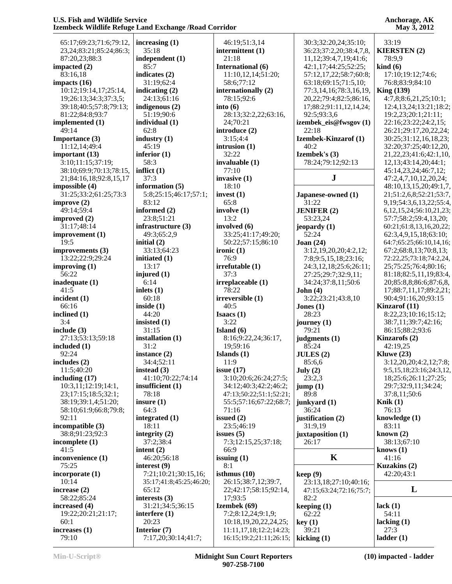| 65:17;69:23;71:6;79:12,        | increasing (1)          | 46:19;51:3,14           | 30:3;32:20,24;35:10;          | 33:19                           |
|--------------------------------|-------------------------|-------------------------|-------------------------------|---------------------------------|
| 23, 24; 83: 21; 85: 24; 86: 3; | 35:18                   | intermittent (1)        | 36:23;37:2,20;38:4,7,8,       | <b>KIERSTEN(2)</b>              |
| 87:20,23;88:3                  | independent (1)         | 21:18                   | 11,12;39:4,7,19;41:6;         | 78:9,9                          |
| impacted $(2)$                 | 85:7                    | International (6)       | 42:1,17;44:25;52:25;          | $\boldsymbol{\text{kind}}(6)$   |
| 83:16,18                       | indicates $(2)$         | 11:10,12,14;51:20;      | 57:12,17,22;58:7;60:8;        | 17:10;19:12;74:6;               |
| impacts $(16)$                 | 31:19;62:4              | 58:6;77:12              | 63:18;69:15;71:5,10;          | 76:8;83:9;84:10                 |
| 10:12;19:14,17;25:14,          | indicating $(2)$        | internationally (2)     | 77:3,14,16;78:3,16,19,        | King $(139)$                    |
| 19;26:13;34:3;37:3,5;          | 24:13:61:16             | 78:15;92:6              | 20, 22; 79: 4; 82: 5; 86: 16, | 4:7,8;8:6,21,25;10:1;           |
| 39:18;40:5;57:8;79:13;         | indigenous $(2)$        | into $(6)$              | 17;88:2;91:11,12,14,24;       | 12:4,13,24;13:21;18:2;          |
| 81:22;84:8;93:7                | 51:19;90:6              | 28:13;32:2,22;63:16,    | 92:5;93:3,6                   | 19:2,23;20:1;21:11;             |
| implemented (1)                | individual (1)          | 24;70:21                | izembek_eis@fwsgov(1)         | 22:16;23:22;24:2,15;            |
| 49:14                          | 62:8                    | introduce (2)           | 22:18                         | 26:21;29:17,20,22,24;           |
| Importance (3)                 | industry $(1)$          | 3:15;4:4                | Izembek-Kinzarof (1)          | 30:25;31:12,16,18,23;           |
| 11:12,14;49:4                  | 45:19                   | intrusion $(1)$         | 40:2                          | 32:20;37:25;40:12,20,           |
| important $(13)$               | inferior $(1)$          | 32:22                   | Izembek's (3)                 | 21, 22, 23; 41: 6; 42: 1, 10,   |
| 3:10;11:15;37:19;              | 58:3                    | invaluable $(1)$        | 78:24;79:12;92:13             | 12, 13; 43: 14, 20; 44: 1;      |
| 38:10;69:9;70:13;78:15,        | inflict $(1)$           | 77:10                   |                               | 45:14,23,24;46:7,12;            |
| 21;84:16,18;92:8,15,17         | 37:3                    | invasive $(1)$          | ${\bf J}$                     | 47:2,4,7,10,12,20,24;           |
| impossible(4)                  | information (5)         | 18:10                   |                               | 48:10,13,15,20;49:1,7,          |
| 31:25;33:2;61:25;73:3          | 5:8;25:15;46:17;57:1;   | invest $(1)$            | Japanese-owned (1)            | 21;51:2,6,8;52:21;53:7,         |
| improve $(2)$                  | 83:12                   | 65:8                    | 31:22                         | 9, 19; 54: 3, 6, 13, 22; 55: 4, |
| 49:14;59:4                     | informed (2)            | involve (1)             | <b>JENIFER</b> (2)            | 6, 12, 15, 24; 56: 10, 21, 23;  |
| improved $(2)$                 | 23:8;51:21              | 13:2                    | 53:23,24                      | 57:7;58:2;59:4,13,20;           |
| 31:17;48:14                    | infrastructure (3)      | involved (6)            | jeopardy $(1)$                | 60:21;61:8,13,16,20,22;         |
| improvement (1)                | 49:3;65:2,9             | 33:25;41:17;49:20;      | 52:24                         | 62:3,4,9,15,18;63:10;           |
| 19:5                           | initial $(2)$           | 50:22;57:15;86:10       | Joan $(24)$                   | 64:7;65:25;66:10,14,16;         |
| improvements (3)               | 33:13;64:23             | ironic $(1)$            | 3:12,19,20,20;4:2,12;         | 67:2;68:8,13;70:8,13;           |
| 13:22;22:9;29:24               | initiated $(1)$         | 76:9                    | 7:8;9:5,15,18;23:16;          | 72:22,25;73:18;74:2,24,         |
| improving $(1)$                | 13:17                   | irrefutable (1)         | 24:3,12,18;25:6;26:11;        | 25;75:25;76:4;80:16;            |
| 56:22                          | injured $(1)$           | 37:3                    | 27:25;29:7;32:9,11;           | 81:18;82:5,11,19;83:4,          |
| inadequate $(1)$               | 6:14                    | irreplaceable (1)       | 34:24;37:8,11;50:6            | 20;85:8,8;86:6;87:6,8,          |
| 41:5                           | inlets $(1)$            | 78:22                   | John $(4)$                    | 17;88:7,11,17;89:2,21;          |
| incident $(1)$                 | 60:18                   | irreversible (1)        | 3:22;23:21;43:8,10            | 90:4;91:16,20;93:15             |
| 66:16                          | inside $(1)$            | 40:5                    | Jones $(1)$                   | Kinzarof (11)                   |
| inclined (1)                   | 44:20                   | Isaacs $(1)$            | 28:23                         | 8:22,23;10:16;15:12;            |
| 3:4                            | insisted $(1)$          | 3:22                    | journey $(1)$                 | 38:7,11;39:7;42:16;             |
| include (3)                    | 31:15                   | Island $(6)$            | 79:21                         | 86:15;88:2;93:6                 |
| 27:13;53:13;59:18              | installation (1)        | 8:16;9:22,24;36:17,     | judgments (1)                 | Kinzarofs (2)                   |
| included $(1)$                 | 31:2                    | 19;59:16                | 85:24                         | 42:19,25                        |
| 92:24                          | instance $(2)$          | Islands $(1)$           | JULES(2)                      | Kluwe $(23)$                    |
| includes $(2)$                 | 34:4;52:11              | 11:9                    | 85:6,6                        | 3:12,20,20;4:2,12;7:8;          |
| 11:5;40:20                     | instead $(3)$           | issue $(17)$            | July (2)                      | 9:5,15,18;23:16;24:3,12,        |
| including $(17)$               | 41:10;70:22;74:14       | 3:10;20:6;26:24;27:5;   | 23:2,3                        | 18;25:6;26:11;27:25;            |
| 10:3,11;12:19;14:1,            | insufficient $(1)$      | 34:12;40:3;42:2;46:2;   | jump(1)                       | 29:7;32:9,11;34:24;             |
| 23;17:15;18:5;32:1;            | 78:18                   | 47:13;50:22;51:1;52:21; | 89:8                          | 37:8,11;50:6                    |
| 38:19;39:1,4;51:20;            | insure $(1)$            | 55:5;57:16;67:22;68:7;  | junkyard (1)                  | Knik $(1)$                      |
| 58:10;61:9;66:8;79:8;          | 64:3                    | 71:16                   | 36:24                         | 76:13                           |
| 92:11                          | integrated $(1)$        | issued $(2)$            | justification (2)             | knowledge $(1)$                 |
| incompatible $(3)$             | 18:11                   | 23:5;46:19              | 31:9,19                       | 83:11                           |
| 38:8;91:23;92:3                | integrity $(2)$         | issues $(5)$            | juxtaposition (1)             | known $(2)$                     |
| incomplete (1)                 | 37:2;38:4               | 7:3;12:15,25;37:18;     | 26:17                         | 38:13;67:10                     |
| 41:5                           | intent $(2)$            | 66:9                    |                               | knows $(1)$                     |
| inconvenience (1)              | 46:20;56:18             | issuing $(1)$           | K                             | 41:16                           |
| 75:25                          | interest $(9)$          | 8:1                     |                               | Kuzakins (2)                    |
| incorporate (1)                | 7:21;10:21;30:15,16;    | isthmus $(10)$          | keep(9)                       | 42:20;43:1                      |
| 10:14                          | 35:17;41:8;45:25;46:20; | 26:15;38:7,12;39:7,     | 23:13,18;27:10;40:16;         |                                 |
| increase $(2)$                 | 65:12                   | 22;42:17;58:15;92:14,   | 47:15;63:24;72:16;75:7;       | L                               |
| 58:22;85:24                    | interests $(3)$         | 17;93:5                 | 82:2                          |                                 |
| increased (4)                  | 31:21;34:5;36:15        | Izembek (69)            | keeping $(1)$                 | lack $(1)$                      |
| 19:22;20:21;21:17;             | interfere $(1)$         | 7:2;8:12,24;9:1,9;      | 62:22                         | 54:11                           |
| 60:1                           | 20:23                   | 10:18,19,20,22,24,25;   | key(1)                        | lacking $(1)$                   |
| increases $(1)$                | Interior (7)            | 11:11,17,18;12:2;14:23; | 39:21                         | 27:3                            |
| 79:10                          | 7:17,20;30:14;41:7;     | 16:15;19:2;21:11;26:15; | kicking $(1)$                 | ladder(1)                       |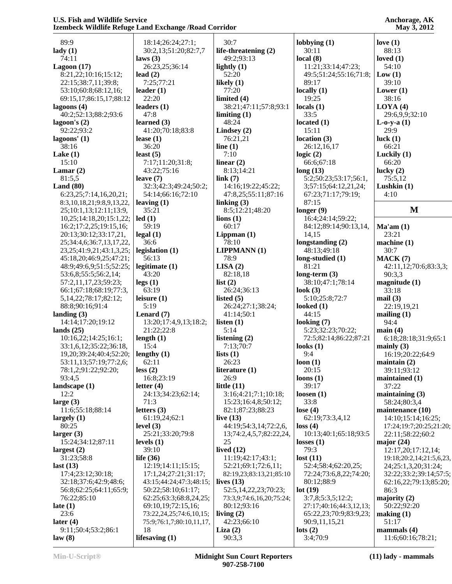| 89:9                             | 18:14;26:24;27:1;                     | 30:7                     | lobbying $(1)$            | love $(1)$                      |
|----------------------------------|---------------------------------------|--------------------------|---------------------------|---------------------------------|
| $\text{lady}(1)$                 | 30:2,13;51:20;82:7,7                  | life-threatening (2)     | 30:11                     | 88:13                           |
| 74:11                            | laws $(3)$                            | 49:2;93:13               | local(8)                  | loved $(1)$                     |
| Lagoon $(17)$                    | 26:23,25;36:14                        | lightly $(1)$            | 11:21;33:14;47:23;        | 54:10                           |
| 8:21,22;10:16;15:12;             | lead $(2)$                            | 52:20                    | 49:5;51:24;55:16;71:8;    | Low(1)                          |
| 22:15;38:7,11;39:8;              | 7:25;77:21                            | likely $(1)$             | 89:17                     | 39:10                           |
| 53:10;60:8;68:12,16;             | leader $(1)$                          | 77:20                    | locally $(1)$             | Lower $(1)$                     |
| 69:15,17;86:15,17;88:12          | 22:20                                 | limited $(4)$            | 19:25                     | 38:16                           |
| lagoons (4)                      | leaders $(1)$                         | 38:21;47:11;57:8;93:1    | locals $(1)$              | LOYA(4)                         |
| 40:2;52:13;88:2;93:6             | 47:8                                  | limiting $(1)$           | 33:5                      | 29:6,9,9;32:10                  |
| lagoon's $(2)$                   | learned $(3)$                         | 48:24                    | located $(1)$             | $L$ -o-y-a $(1)$                |
| 92:22;93:2                       | 41:20;70:18;83:8                      | Lindsey $(2)$            | 15:11                     | 29:9                            |
| lagoons' (1)                     | lease $(1)$                           | 76:21,21                 | location $(3)$            | luck $(1)$                      |
| 38:16                            | 36:20                                 | line $(1)$               | 26:12,16,17               | 66:21                           |
| Lake $(1)$                       | least $(5)$                           | 7:10                     | logic $(2)$               | Luckily $(1)$                   |
| 15:10                            | 7:17;11:20;31:8;                      | linear $(2)$             | 66:6;67:18                | 66:20                           |
| Lamar $(2)$                      | 43:22;75:16                           | 8:13;14:21               | long(13)                  | lucky $(2)$                     |
| 81:5,5                           | leave $(7)$                           | link(7)                  | 5:2;50:23;53:17;56:1,     | 75:5,12                         |
| Land $(80)$                      | 32:3;42:3;49:24;50:2;                 | 14:16;19:22;45:22;       | 3;57:15;64:12,21,24;      | Lushkin $(1)$                   |
| 6:23,25;7:14,16,20,21;           | 54:14;66:16;72:10                     | 47:8,25;55:11;87:16      | 67:23;71:17;79:19;        | 4:10                            |
| 8:3,10,18,21;9:8,9,13,22,        | leaving $(1)$                         | linking $(3)$            | 87:15                     |                                 |
| 25;10:1,13;12:11;13:9,           | 35:21                                 | 8:5;12:21;48:20          | longer $(9)$              | $\mathbf{M}$                    |
| 10,25;14:18,20;15:1,22;          | led(1)                                | $\text{lions}$ $(1)$     | 16:4;24:14;59:22;         |                                 |
| 16:2;17:2,25;19:15,16;           | 59:19                                 | 60:17                    | 84:12;89:14;90:13,14,     | Ma'am(1)                        |
| 20:13;30:12;33:17,21,            | legal(1)                              | Lippman $(1)$            | 14,15                     | 23:21                           |
| 25;34:4,6;36:7,13,17,22,         | 36:6                                  | 78:10                    | longstanding (2)          | machine(1)                      |
| 23, 25; 41: 9, 21; 43: 1, 3, 25; | legislation (1)                       | <b>LIPPMANN</b> (1)      | 48:13;49:18               | 30:7                            |
|                                  |                                       | 78:9                     |                           |                                 |
| 45:18,20;46:9,25;47:21;          | 56:13                                 |                          | long-studied (1)<br>81:21 | MACK(7)                         |
| 48:9;49:6,9;51:5;52:25;          | legitimate (1)                        | LISA(2)                  |                           | 42:11,12;70:6;83:3,3;           |
| 53:6,8;55:5;56:2,14;             | 43:20                                 | 82:18,18                 | long-term $(3)$           | 90:3,3                          |
| 57:2,11,17,23;59:23;             | legs(1)                               | list $(2)$               | 38:10;47:1;78:14          | magnitude(1)                    |
| 66:1;67:18;68:19;77:3,           | 63:19                                 | 26:24;36:13              | look $(3)$                | 33:18                           |
| 5, 14, 22; 78: 17; 82: 12;       | leisure $(1)$                         | listed $(5)$             | 5:10;25:8;72:7            | mail(3)                         |
| 88:8;90:16;91:4                  | 5:19                                  | 26:24;27:1;38:24;        | looked $(1)$              | 22:19,19,21                     |
| landing $(3)$                    | Lenard $(7)$<br>13:20;17:4,9,13;18:2; | 41:14;50:1               | 44:15                     | mailing $(1)$<br>94:4           |
| 14:14;17:20;19:12                |                                       | listen $(1)$<br>5:14     | looking $(7)$             |                                 |
| lands $(25)$                     | 21:22;22:8                            |                          | 5:23;32:23;70:22;         | main(4)                         |
| 10:16,22;14:25;16:1;             | length $(1)$                          | listening (2)            | 72:5;82:14;86:22;87:21    | 6:18;28:18;31:9;65:1            |
| 33:1,6,12;35:22;36:18,           | 15:4                                  | 7:13;70:7                | looks $(1)$               | mainly $(3)$                    |
| 19,20;39:24;40:4;52:20;          | lengthy $(1)$                         | lists $(1)$              | 9:4                       | 16:19;20:22;64:9                |
| 53:11,13;57:19;77:2,6;           | 62:11                                 | 26:23                    | loon(1)                   | $main(2)$                       |
| 78:1,2;91:22;92:20;              | less(2)                               | literature $(1)$         | 20:15                     | 39:11;93:12                     |
| 93:4,5                           | 16:8;23:19                            | 26:9                     | loons $(1)$               | maintained (1)                  |
| landscape $(1)$                  | letter $(4)$                          | little $(11)$            | 39:17                     | 37:22                           |
| 12:2                             | 24:13;34:23;62:14;                    | 3:16;4:21;7:1;10:18;     | loosen $(1)$              | maintaining $(3)$               |
| large $(3)$                      | 71:3                                  | 15:23;16:4,8;50:12;      | 33:8                      | 58:24;80:3,4                    |
| 11:6;55:18;88:14                 | letters $(3)$                         | 82:1;87:23;88:23         | lose $(4)$                | maintenance (10)                |
| largely $(1)$                    | 61:19,24;62:1                         | live $(13)$              | 62:19;73:3,4,12           | 14:10;15:14;16:25;              |
| 80:25                            | level $(3)$                           | 44:19:54:3,14:72:2,6,    | loss(4)                   | 17:24;19:7;20:25;21:20;         |
| larger $(3)$                     | 25:21;33:20;79:8                      | 13;74:2,4,5,7;82:22,24,  | 10:13;40:1;65:18;93:5     | 22:11;58:22;60:2                |
| 15:24;34:12;87:11                | levels $(1)$                          | 25                       | losses(1)                 | major $(24)$                    |
| largest(2)                       | 39:10                                 | lived $(12)$             | 79:3                      | 12:17,20;17:12,14;              |
| 31:23;58:8                       | life $(36)$                           | 11:19;42:17;43:1;        | lost(11)                  | 19:18;20:2,14;21:5,6,23,        |
| last $(13)$                      | 12:19;14:11;15:15;                    | 52:21;69:1;72:6,11;      | 52:4;58:4;62:20,25;       | 24;25:1,3,20;31:24;             |
| 17:4;23:12;30:18;                | 17:1,24;27:21;31:17;                  | 82:19,23;83:13,21;85:10  | 72:24;73:6,8,22;74:20;    | 32:22;33:2;39:14;57:5;          |
| 32:18;37:6;42:9;48:6;            | 43:15;44:24;47:3;48:15;               | lives $(13)$             | 80:12;88:9                | 62:16,22;79:13;85:20;           |
| 56:8;62:25;64:11;65:9;           | 50:22;58:10;61:17;                    | 52:5,14,22,23;70:23;     | lot(19)                   | 86:3                            |
| 76:22;85:10                      | 62:25;63:3;68:8,24,25;                | 73:3,9;74:6,16,20;75:24; | 3:7,8;5:3,5;12:2;         | majority $(2)$                  |
| late $(1)$                       | 69:10,19;72:15,16;                    | 80:12;93:16              | 27:17;40:16;44:3,12,13;   | 50:22;92:20                     |
| 23:6                             | 73:22,24,25;74:6,10,15;               | living $(2)$             | 65:22,23;70:9;83:9,23;    | $\mathbf{making}\left(1\right)$ |
| later $(4)$                      | 75:9;76:1,7;80:10,11,17,              | 42:23;66:10              | 90:9,11,15,21             | 51:17                           |
| 9:11;50:4;53:2;86:1              | 18                                    | Liza $(2)$               | $\text{lots} (2)$         | mammals $(4)$                   |
| law(8)                           | lifesaving $(1)$                      | 90:3,3                   | 3:4;70:9                  | 11:6;60:16;78:21;               |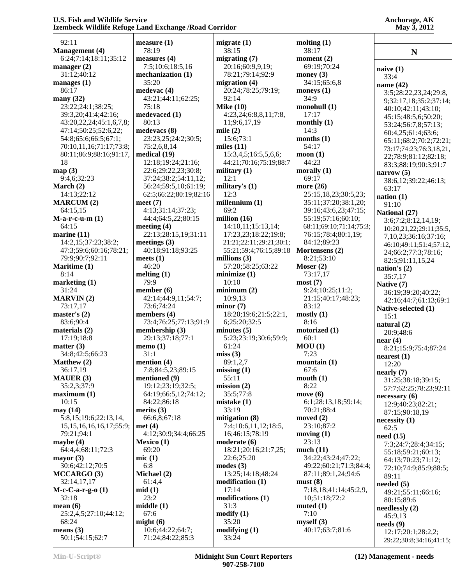| 92:11                              | measure (1             |
|------------------------------------|------------------------|
| <b>Management</b> (4)              | 78:19                  |
| 6:24;7:14;18:11;35:12              | measures (             |
| manager $(2)$                      | 7:5;10:6               |
| 31:12;40:12                        | mechaniza<br>35:20     |
| manages $(1)$<br>86:17             | medevac (4             |
| many $(32)$                        | 43:21;44               |
| 23:22;24:1;38:25;                  | 75:18                  |
| 39:3,20;41:4;42:16;                | medevaced              |
| 43:20,22,24;45:1,6,7,8;            | 80:13                  |
| 47:14;50:25;52:6,22;               | medevacs               |
| 54:8;65:6;66:5;67:1;               | 23:23,25               |
| 70:10,11,16;71:17;73:8;            | 75:2,6,8,              |
| 80:11;86:9;88:16;91:17,<br>18      | medical (1<br>12:18;19 |
| map(3)                             | 22:6;29:               |
| 9:4,6;32:23                        | 37:24;38               |
| March (2)                          | 56:24;59               |
| 14:13;22:12                        | 62:5;66:2              |
| <b>MARCUM (2)</b>                  | meet $(7)$             |
| 64:15,15                           | 4:13;31:               |
| $M$ -a-r-c-u-m $(1)$               | 44:4;64:               |
| 64:15                              | meeting (4             |
| marine (11)<br>14:2,15;37:23;38:2; | 22:13;28               |
| 47:3;59:6;60:16;78:21;             | meetings (<br>40:18;91 |
| 79:9;90:7;92:11                    | meets $(1)$            |
| Maritime (1)                       | 46:20                  |
| 8:14                               | melting (1)            |
| marketing (1)                      | 79:9                   |
| 31:24                              | member (6              |
| <b>MARVIN(2)</b>                   | 42:14;44               |
| 73:17,17                           | 73:6;74:               |
| master's $(2)$<br>83:6;90:4        | members (<br>73:4;76:  |
| materials (2)                      | membersh               |
| 17:19;18:8                         | 29:13;37               |
| matter $(3)$                       | memo $(1)$             |
| 34:8;42:5;66:23                    | 31:1                   |
| Matthew (2)                        | mention (4             |
| 36:17,19                           | 7:8;84:5               |
| <b>MAUER (3)</b>                   | mentioned              |
| 35:2,3;37:9<br>maximum(1)          | 19:12;23<br>64:19;66   |
| 10:15                              | 84:22;86               |
| may(14)                            | merits $(3)$           |
| 5:8,15;19:6;22:13,14,              | 66:6,8;6               |
| 15, 15, 16, 16, 16, 17; 55: 9;     | met(4)                 |
| 79:21;94:1                         | 4:12;30:               |
| maybe $(4)$                        | Mexico (1)             |
| 64:4,4;68:11;72:3                  | 69:20                  |
| mayor $(3)$<br>30:6;42:12;70:5     | mic(1)<br>6:8          |
| MCCARGO (3)                        | <b>Michael</b> (2      |
| 32:14,17,17                        | 61:4,4                 |
| $M-c-C-a-r-g-o(1)$                 | mid(1)                 |
| 32:18                              | 23:2                   |
| mean $(6)$                         | middle(1)              |
| 25:2,4,5;27:10;44:12;              | 67:6                   |
| 68:24                              | might $(6)$            |
| means $(3)$<br>50:1;54:15;62:7     | 10:6;44:<br>71:24;84   |
|                                    |                        |

**measure (1) measures (4)** 7:5;10:6;18:5,16 **mechanization (1) medevac (4)** 43:21;44:11;62:25; **medevaced (1) medevacs (8)** 23:23,25;24:2;30:5; 75:2,6,8,14 **medical (19)** 12:18;19:24;21:16; 22:6;29:22,23;30:8; 37:24;38:2;54:11,12; 56:24;59:5,10;61:19; 62:5;66:22;80:19;82:16 4:13;31:14;37:23; 44:4;64:5,22;80:15 **meeting (4)** 22:13;28:15,19;31:11 **meetings (3)** 40:18;91:18;93:25 **melting (1) member (6)** 42:14;44:9,11;54:7; 73:6;74:24 **members (4)** 73:4;76:25;77:13;91:9 **membership (3)** 29:13;37:18;77:1 **mention (4)** 7:8;84:5,23;89:15 **mentioned (9)** 19:12;23:19;32:5; 64:19;66:5,12;74:12; 84:22;86:18 66:6,8;67:18 4:12;30:9;34:4;66:25 **Mexico (1) Michael (2)** 10:6;44:22;64:7; 71:24;84:22;85:3 **migrate (1)** 38:15 **migrating (7)** 20:16;60:9,9,19; 78:21;79:14;92:9 **migration (4)** 20:24;78:25;79:19; 92:14 **Mike (10)** 4:23,24;6:8,8,11;7:8, 11;9:6,17,19 **mile (2)** 15:6;73:1 **miles (11)** 15:3,4,5;16:5,5,6,6; 44:21;70:16;75:19;88:7 **military (1)** 12:1 **military's (1)** 12:3 **millennium (1)** 69:2 **million (16)** 14:10,11;15:13,14; 17:23,23;18:22;19:8; 21:21;22:11;29:21;30:1; 55:21;59:4;76:15;89:18 **millions (3)** 57:20;58:25;63:22 **minimize (1)** 10:10 **minimum (2)** 10:9,13 **minor (7)** 18:20;19:6;21:5;22:1, 6;25:20;32:5 **minutes (5)** 5:23;23:19;30:6;59:9; 61:24 **miss (3)** 89:1,2,7 **missing (1)** 55:11 **mission (2)** 35:5;77:8 **mistake (1)** 33:19 **mitigation (8)** 7:4;10:6,11,12;18:5, 16;46:15;78:19 **moderate (6)** 18:21;20:16;21:7,25; 22:6;25:20 **modes (3)** 13:25;14:18;48:24 **modification (1)** 17:14 **modifications (1)** 31:3 **modify (1)** 35:20 **modifying (1)** 33:24

**Anchorage, AK May 3, 2012**

**molting (1)** 38:17 **moment (2)** 69:19;70:24 **money (3)** 34:15;65:6,8 **moneys (1)** 34:9 **monohull (1)** 17:17 **monthly (1)** 14:3 **months (1)** 54:17 **moon (1)** 44:23 **morally (1)** 69:17 **more (26)**

 84:12;89:23 **Mortensens (2)** 8:21;53:10 **Moser (2)** 73:17,17 **most (7)**

 83:12 **mostly (1)** 8:16 **motorized (1)** 60:1 **MOU (1)** 7:23 **mountain (1)** 67:6 **mouth (1)** 8:22 **move (6)**

 70:21;88:4 **moved (2)** 23:10;87:2 **moving (1)** 23:13 **much (11)**

**must (8)**

**muted (1)** 7:10 **myself (3)**

10;51:18;72:2

 25:15,18,23;30:5,23; 35:11;37:20;38:1,20; 39:16;43:6,23;47:15; 55:19;57:16;60:10; 68:11;69:10;71:14;75:3; 76:15;78:4;80:1,19; 9:24;10:25;11:2; 21:15;40:17;48:23; 6:1;28:13,18;59:14; 34:22;43:24;47:22; 49:22;60:21;71:3;84:4; 87:11;89:1,24;94:6 7:18,18;41:14;45:2,9, 40:17;63:7;81:6 **N naive (1)** 33:4 **name (42)** 3:5;28:22,23,24;29:8, 9;32:17,18;35:2;37:14; 40:10;42:11;43:10; 45:15;48:5,6;50:20; 53:24;56:7,8;57:13; 60:4,25;61:4;63:6; 65:11;68:2;70:2;72:21; 73:17;74:23;76:3,18,21, 22;78:9;81:12;82:18; 83:3;88:19;90:3;91:7 **narrow (5)** 38:6,12;39:22;46:13; 63:17 **nation (1)** 91:10 **National (27)** 3:6;7:2;8:12,14,19; 10:20,21,22;29:11;35:5, 7,10,23;36:16;37:16; 46:10;49:11;51:4;57:12, 24;66:2;77:3;78:16; 82:5;91:11,15,24 **nation's (2)** 35:7,17 **Native (7)** 36:19;39:20;40:22; 42:16;44:7;61:13;69:1 **Native-selected (1)** 15:1 **natural (2)** 20:9;48:6 **near (4)** 8:21;15:9;75:4;87:24 **nearest (1)** 12:20 **nearly (7)** 31:25;38:18;39:15; 57:7;62:25;78:23;92:11 **necessary (6)** 12:9;40:23;82:21; 87:15;90:18,19 **necessity (1)** 62:5 **need (15)** 7:3;24:7;28:4;34:15; 55:18;59:21;60:13; 64:13;70:23;71:12; 72:10;74:9;85:9;88:5; 89:11 **needed (5)** 49:21;55:11;66:16; 80:15;89:6 **needlessly (2)** 45:9,13 **needs (9)** 12:17;20:1;28:2,2; 29:22;30:8;34:16;41:15;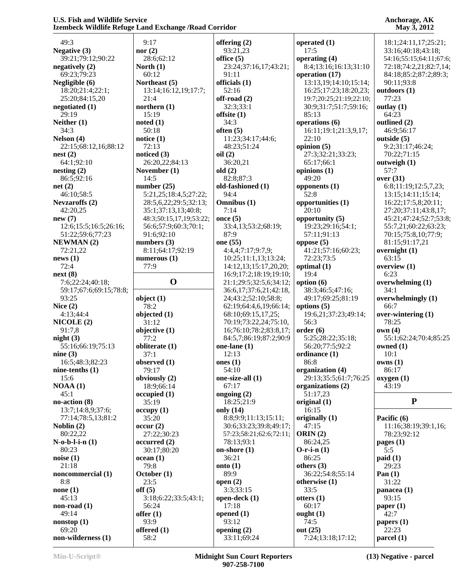| 49:3                                    | 9:17                    | offering (2)                                  | operated $(1)$                     | 18:1;24:11,17;25:21;            |
|-----------------------------------------|-------------------------|-----------------------------------------------|------------------------------------|---------------------------------|
| <b>Negative (3)</b>                     | nor $(2)$               | 93:21,23                                      | 17:5                               | 33:16;40:18;43:18;              |
| 39:21;79:12;90:22                       | 28:6;62:12              | office $(5)$                                  | operating (4)                      | 54:16;55:15;64:11;67:6;         |
| negatively $(2)$                        | North $(1)$             | 23:24;37:16,17;43:21;                         | 8:4;13:16;16:13;31:10              | 72:18;74:2,21;82:7,14;          |
| 69:23;79:23                             | 60:12                   | 91:11                                         | operation (17)                     | 84:18;85:2;87:2;89:3;           |
| Negligible (6)                          | Northeast (5)           | officials (1)                                 | 13:13, 19; 14: 10; 15: 14;         | 90:11:93:8                      |
| 18:20;21:4;22:1;                        | 13:14;16:12,19;17:7;    | 52:16                                         | 16:25;17:23;18:20,23;              | outdoors (1)                    |
| 25:20;84:15,20                          | 21:4                    | off-road $(2)$                                | 19:7;20:25;21:19;22:10;            | 77:23                           |
| negotiated (1)                          | northern $(1)$          | 32:3;33:1                                     | 30:9;31:7;51:7;59:16;              | outlay $(1)$                    |
| 29:19                                   | 15:19                   | offsite (1)                                   | 85:13                              | 64:23                           |
| Neither $(1)$                           | noted(1)                | 34:3                                          | operations (6)                     | outlined (2)                    |
| 34:3                                    | 50:18                   | often $(5)$                                   | 16:11;19:1;21:3,9,17;              | 46:9;56:17                      |
| Nelson (4)                              | notice $(1)$            | 11:23;34:17;44:6;                             | 22:10                              | outside (5)                     |
| 22:15;68:12,16;88:12<br>nest(2)         | 72:13<br>noticed (3)    | 48:23;51:24<br>oil(2)                         | opinion $(5)$<br>27:3;32:21;33:23; | 9:2;31:17;46:24;<br>70:22;71:15 |
| 64:1;92:10                              | 26:20,22;84:13          | 36:20,21                                      | 65:17;66:1                         | outweigh $(1)$                  |
| nesting(2)                              | November (1)            | old(2)                                        | opinions $(1)$                     | 57:7                            |
| 86:5;92:16                              | 14:5                    | 82:8;87:3                                     | 49:20                              | over (31)                       |
| net(2)                                  | number $(25)$           | old-fashioned (1)                             | opponents $(1)$                    | 6:8;11:19;12:5,7,23;            |
| 46:10;58:5                              | 5:21,25;18:4,5;27:22;   | 94:4                                          | 52:8                               | 13:15;14:11;15:14;              |
| <b>Nevzaroffs</b> (2)                   | 28:5,6,22;29:5;32:13;   | Omnibus (1)                                   | opportunities (1)                  | 16:22;17:5,8;20:11;             |
| 42:20,25                                | 35:1;37:13,13;40:8;     | 7:14                                          | 20:10                              | 27:20;37:11;43:8,17;            |
| new(7)                                  | 48:3;50:15,17,19;53:22; | once $(5)$                                    | opportunity (5)                    | 45:21;47:24;52:7;53:8;          |
| 12:6;15:5;16:5;26:16;                   | 56:6;57:9;60:3;70:1;    | 33:4,13;53:2;68:19;                           | 19:23;29:16;54:1;                  | 55:7,21;60:22;63:23;            |
| 51:22;59:6;77:23                        | 91:6;92:10              | 87:9                                          | 57:11;91:13                        | 70:15:75:8,10:77:9;             |
| <b>NEWMAN(2)</b>                        | numbers $(3)$           | one (55)                                      | oppose $(5)$                       | 81:15:91:17,21                  |
| 72:21,22                                | 8:11;64:17;92:19        | 4:4,4;7:17;9:7,9;                             | 41:21;57:16;60:23;                 | overnight $(1)$                 |
| news(1)                                 | numerous $(1)$          | 10:25;11:1,13;13:24;                          | 72:23;73:5                         | 63:15                           |
| 72:4                                    | 77:9                    | 14:12,13;15:17,20,20;                         | optimal (1)                        | overview (1)                    |
| next(8)                                 |                         | 16:9;17:2;18:19;19:10;                        | 19:4                               | 6:23                            |
| 7:6;22:24;40:18;                        | $\mathbf 0$             | 21:1;29:5;32:5,6;34:12;                       | option $(6)$                       | overwhelming (1)                |
| 59:17;67:6;69:15;78:8;<br>93:25         |                         | 36:6,17;37:6,21;42:18,<br>24;43:2;52:10;58:8; | 38:3;46:5;47:16;                   | 34:1<br>overwhelmingly (1)      |
| Nice $(2)$                              | object (1)<br>78:2      | 62:19;64:4,6,19;66:14;                        | 49:17;69:25;81:19<br>options $(5)$ | 66:7                            |
| 4:13;44:4                               | objected (1)            | 68:10;69:15,17,25;                            | 19:6,21;37:23;49:14;               | over-wintering (1)              |
| NICOLE(2)                               | 31:12                   | 70:19;73:22,24;75:10,                         | 56:3                               | 78:25                           |
| 91:7,8                                  | objective (1)           | 16;76:10;78:2;83:8,17;                        | order(6)                           | own(4)                          |
| night(3)                                | 77:2                    | 84:5,7;86:19;87:2;90:9                        | 5:25;28:22;35:18;                  | 55:1;62:24;70:4;85:25           |
| 55:16;66:19;75:13                       | obliterate (1)          | one-lane $(1)$                                | 56:20;77:5;92:2                    | owned $(1)$                     |
| nine $(3)$                              | 37:1                    | 12:13                                         | ordinance (1)                      | 10:1                            |
| 16:5;48:3;82:23                         | observed (1)            | ones $(1)$                                    | 86:8                               | owns(1)                         |
| nine-tenths $(1)$                       | 79:17                   | 54:10                                         | organization (4)                   | 86:17                           |
| 15:6                                    | obviously (2)           | one-size-all (1)                              | 29:13;35:5;61:7;76:25              | oxygen(1)                       |
| NOAA(1)                                 | 18:9;66:14              | 67:17                                         | organizations (2)                  | 43:19                           |
| 45:1                                    | occupied(1)             | ongoing $(2)$                                 | 51:17,23                           | ${\bf P}$                       |
| no-action (8)                           | 35:19                   | 18:25;21:9<br>only (14)                       | original $(1)$<br>16:15            |                                 |
| 13:7;14:8,9;37:6;<br>77:14;78:5,13;81:2 | occupy(1)<br>35:20      | 8:8;9:9;11:13;15:11;                          | originally (1)                     | Pacific (6)                     |
| Noblin $(2)$                            | occur(2)                | 30:6;33:23;39:8;49:17;                        | 47:15                              | 11:16;38:19;39:1,16;            |
| 80:22,22                                | 27:22;30:23             | 57:23;58:21;62:6;72:11;                       | ORIN $(2)$                         | 78:23;92:12                     |
| $N$ -o-b-l-i-n $(1)$                    | occurred(2)             | 78:13;93:1                                    | 86:24,25                           | pages $(1)$                     |
| 80:23                                   | 30:17:80:20             | on-shore $(1)$                                | $O-r-i-n(1)$                       | 5:5                             |
| noise(1)                                | ocean(1)                | 36:21                                         | 86:25                              | paid(1)                         |
| 21:18                                   | 79:8                    | onto $(1)$                                    | others (3)                         | 29:23                           |
| noncommercial (1)                       | October (1)             | 89:9                                          | 36:22;54:8;55:14                   | Pan $(1)$                       |
| 8:8                                     | 23:5                    | open $(2)$                                    | otherwise (1)                      | 31:22                           |
| none $(1)$                              | off(5)                  | 3:3;33:15                                     | 33:5                               | panacea $(1)$                   |
| 45:13                                   | 3:18; 6:22; 33:5; 43:1; | open-deck (1)                                 | otters $(1)$                       | 93:15                           |
| non-road $(1)$                          | 56:24                   | 17:18                                         | 60:17                              | paper $(1)$                     |
| 49:14                                   | offer $(1)$             | opened $(1)$                                  | ought $(1)$                        | 42:7                            |
| nonstop(1)                              | 93:9                    | 93:12                                         | 74:5                               | papers $(1)$                    |
| 69:20<br>non-wilderness (1)             | offered (1)<br>58:2     | opening $(2)$<br>33:11;69:24                  | out $(25)$<br>7:24;13:18;17:12;    | 22:23<br>parcel (1)             |
|                                         |                         |                                               |                                    |                                 |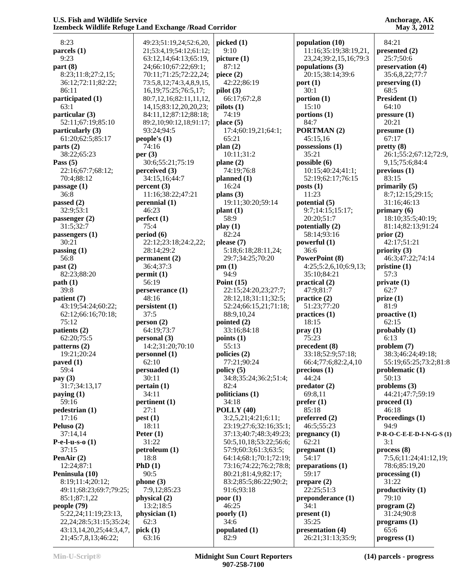**Anchorage, AK May 3, 2012**

| 8:23                                 | $\overline{\phantom{a}}$ |
|--------------------------------------|--------------------------|
| parcels $(1)$                        | $\overline{\phantom{a}}$ |
| 9:23                                 |                          |
| part(8)                              |                          |
| 8:23;11:8;27:2,15;                   |                          |
| 36:12;72:11;82:22;                   |                          |
| 86:11                                |                          |
| participated (1)                     | Ş                        |
| 63:1                                 |                          |
| particular (3)                       |                          |
| 52:11;67:19;85:10                    | Ş                        |
| particularly (3)<br>61:20;62:5;85:17 |                          |
| parts (2)                            | pe                       |
| 38:22;65:23                          | per                      |
| Pass $(5)$                           |                          |
| 22:16;67:7;68:12;                    | per                      |
| 70:4;88:12                           |                          |
| passage (1)                          | per                      |
| 36:8                                 |                          |
| passed $(2)$                         | per                      |
| 32:9;53:1                            |                          |
| passenger (2)                        | per                      |
| 31:5;32:7                            |                          |
| passengers (1)                       | pel                      |
| 30:21                                |                          |
| passing (1)                          |                          |
| 56:8                                 | per                      |
| past (2)                             |                          |
| 82:23;88:20                          | per                      |
| path(1)<br>39:8                      |                          |
| patient (7)                          | pel                      |
| 43:19;54:24;60:22;                   | per                      |
| 62:12;66:16;70:18;                   |                          |
| 75:12                                | pel                      |
| patients (2)                         |                          |
| 62:20;75:5                           | per                      |
| patterns (2)                         |                          |
| 19:21;20:24                          | per                      |
| paved (1)                            |                          |
| 59:4                                 | pel                      |
| pay (3)                              |                          |
| 31:7;34:13,17                        | pel                      |
| paying $(1)$                         |                          |
| 59:16                                | pel                      |
| pedestrian (1)<br>17:16              |                          |
| Peluso (2)                           | pe:                      |
| 37:14,14                             | Pe                       |
| <b>P-e-l-u-s-o</b> $(1)$             |                          |
| 37:15                                | pet                      |
| PenAir (2)                           |                          |
| 12:24;87:1                           | Ph                       |
| Peninsula (10)                       |                          |
| 8:19;11:4;20:12;                     | ph                       |
| 49:11;68:23;69:7;79:25;              |                          |
| 85:1;87:1,22                         | ph                       |
| people (79)                          |                          |
| 5:22,24;11:19;23:13,                 | ph                       |
| 22, 24; 28: 5; 31: 15; 35: 24;       |                          |
| 43:13,14,20,25;44:3,4,7,             | pio                      |
| 21;45:7,8,13;46:22;                  |                          |

| 49:23;51:19,24;52:6,20,                                | picked (1)                        |
|--------------------------------------------------------|-----------------------------------|
| 21;53:4,19;54:12;61:12;<br>63:12,14;64:13;65:19,       | 9:10<br>picture (1)               |
| 24;66:10;67:22;69:1;                                   | 87:12                             |
| 70:11;71:25;72:22,24;                                  | piece (2)                         |
| 73:5,8,12;74:3,4,8,9,15,                               | 42:22;86:19                       |
| 16, 19; 75: 25; 76: 5, 17;                             | pilot(3)                          |
| 80:7,12,16;82:11,11,12,<br>14, 15; 83: 12, 20, 20, 23; | 66:17;67:2,8<br>pilots(1)         |
| 84:11,12;87:12;88:18;                                  | 74:19                             |
| 89:2,10;90:12,18;91:17;                                | place $(5)$                       |
| 93:24;94:5                                             | 17:4;60:19,21;                    |
| people's $(1)$                                         | 65:21                             |
| 74:16<br>per(3)                                        | plan(2)<br>10:11;31:2             |
| 30:6;55:21;75:19                                       | plane (2)                         |
| perceived (3)                                          | 74:19;76:8                        |
| 34:15,16;44:7                                          | planned (1)                       |
| percent (3)                                            | 16:24                             |
| 11:16;38:22;47:21<br>perennial (1)                     | plans $(3)$<br>19:11;30:20;59     |
| 46:23                                                  | plant(1)                          |
| perfect(1)                                             | 58:9                              |
| 75:4                                                   | play (1)                          |
| period (6)                                             | 82:24                             |
| 22:12;23:18;24:2,22;<br>28:14;29:2                     | please (7)<br>5:18;6:18;28:1      |
| permanent (2)                                          | 29:7;34:25;70:                    |
| 36:4;37:3                                              | pm(1)                             |
| permit (1)                                             | 94:9                              |
| 56:19                                                  | Point $(15)$<br>22:15;24:20,23    |
| perseverance (1)<br>48:16                              | 28:12,18;31:11                    |
| persistent (1)                                         | 52:24;66:15,21                    |
| 37:5                                                   | 88:9,10,24                        |
| person(2)                                              | pointed (2)                       |
| 64:19;73:7<br>personal (3)                             | 33:16;84:18<br>points $(1)$       |
| 14:2;31:20;70:10                                       | 55:13                             |
| personnel (1)                                          | policies (2)                      |
| 62:10                                                  | 77:21;90:24                       |
| persuaded (1)<br>30:11                                 | policy (5)<br>34:8;35:24;36:      |
| pertain (1)                                            | 82:4                              |
| 34:11                                                  | politicians (1)                   |
| pertinent (1)                                          | 34:18                             |
| 27:1                                                   | POLLY (40)                        |
| pest(1)<br>18:11                                       | 3:2,5,21;4:21;6<br>23:19;27:6;32: |
| Peter $(1)$                                            | 37:13;40:7;48:                    |
| 31:22                                                  | 50:5,10,18;53:2                   |
| petroleum (1)                                          | 57:9;60:3;61:3                    |
| 18:8<br>PhD(1)                                         | 64:14;68:1;70:<br>73:16;74:22;76  |
| 90:5                                                   | 80:21;81:4,9;8                    |
| phone(3)                                               | 83:2;85:5;86:2                    |
| 7:9,12;85:23                                           | 91:6;93:18                        |
| physical (2)                                           | poor(1)                           |
| 13:2;18:5<br>physician (1)                             | 46:25<br>poorly (1)               |
| 62:3                                                   | 34:6                              |
| pick(1)                                                | populated (1)                     |
| 63:16                                                  | 82:9                              |

| (1)                                     | population (10)                             |
|-----------------------------------------|---------------------------------------------|
|                                         | 11:16;35:19;38:19                           |
| (1)                                     | 23, 24; 39: 2, 15, 16; 7<br>populations (3) |
| C)                                      | 20:15;38:14;39:6                            |
| 2;86:19                                 | port(1)                                     |
| )<br>7:67:2,8                           | 30:1<br>portion $(1)$                       |
| 1)                                      | 15:10                                       |
| )                                       | portions $(1)$                              |
| 5)<br>60:19,21;64:1;                    | 84:7<br>PORTMAN(2)                          |
|                                         | 45:15,16                                    |
|                                         | possessions (1)                             |
| 1;31:2<br>2)                            | 35:21<br>possible $(6)$                     |
| 2;76:8                                  | 10:15;40:24;41:1;                           |
| d(1)                                    | 52:19;62:17;76:15                           |
| I                                       | $\text{posts}(1)$                           |
| 3)<br>:30:20;59:14                      | 11:23<br>potential (5)                      |
| l)                                      | 9:7;14:15;15:17;                            |
|                                         | 20:20;51:7                                  |
| l                                       | potentially (2)<br>58:14;93:16              |
| $\mathcal{L}$                           | powerful (1)                                |
| 6:18;28:11,24;                          | 36:6                                        |
| 34:25;70:20                             | <b>PowerPoint (8)</b>                       |
|                                         | 4:25;5:2,6,10;6:9,1<br>35:10;84:21          |
| 15)                                     | practical (2)                               |
| ;24:20,23;27:7;                         | 47:9;81:7                                   |
| 2,18;31:11;32:5;<br>4;66:15,21;71:18;   | practice (2)<br>51:23;77:20                 |
| 10,24                                   | practices (1)                               |
| (2)                                     | 18:15                                       |
| 5;84:18<br>$\bf(1)$                     | pray(1)<br>75:23                            |
|                                         | precedent (8)                               |
| (2)                                     | 33:18;52:9;57:18;                           |
| :90:24<br>5)                            | 66:4;77:6;82:2,4,1<br>precious(1)           |
| 35:24;36:2;51:4;                        | 44:24                                       |
|                                         | predator (2)                                |
| ans (1)                                 | 69:8,11                                     |
| ζ<br>Y(40)                              | prefer(1)<br>85:18                          |
| ,21;4:21;6:11;                          | preferred $(2)$                             |
| );27:6;32:16;35:1;                      | 46:5;55:23                                  |
| 3;40:7;48:3;49:23;<br>10,18;53:22;56:6; | pregnancy(1)<br>62:21                       |
| 60:3;61:3;63:5;                         | pregnant(1)                                 |
| 4;68:1;70:1;72:19;                      | 54:17                                       |
| 6;74:22;76:2;78:8;<br>1;81:4,9;82:17;   | preparations (1)<br>59:17                   |
| 85:5;86:22;90:2;                        | prepare $(2)$                               |
| 93:18                                   | 22:25;51:3                                  |
| )                                       | preponderance (1)<br>34:1                   |
| $\bf{(1)}$                              | present(1)                                  |
|                                         | 35:25                                       |
| ted (1)                                 | presentation (4)<br>26:21:31:13:35:9:       |
|                                         |                                             |

**p** (10) 5:19;38:19,21, 23,24;39:2,15,16;79:3 **ps** (3) 20:15;38:14;39:6  $\mathbf{N}$  (2)  $\mathbf{s}(1)$  $0:24;41:1;$ 2:17;76:15 **potential (5)** 9:7;14:15;15:17; 20:20;51:7  $y(2)$  $3:16$ **powerful (1)**  $nt(8)$  4:25;5:2,6,10;6:9,13; 1:21  $\mathbf{2}$  $1:20$  $\mathbf{1}$ **precedent (8)**  $2:9:57:18;$ 6;82:2,4,10 **precious (1) (2)**  $(2)$ 23 **pregnancy (1)**  $\mathbf{1}$ **prime** (1) 22:25;51:3 **rance** (1) **press** (4)  $:13;35:9;$  84:21 **presented (2)** 25:7;50:6 **preservation (4)** 35:6,8,22;77:7 **preserving (1)** 68:5 **President (1)** 64:10 **pressure (1)** 20:21 **presume (1)** 67:17 **pretty (8)** 26:1;55:2;67:12;72:9, 9,15;75:6;84:4 **previous (1)** 83:15 **primarily (5)** 8:7;12:15;29:15; 31:16;46:13 **primary (6)** 18:10;35:5;40:19; 81:14;82:13;91:24 **prior (2)** 42:17;51:21 **priority (3)** 46:3;47:22;74:14 **pristine (1)** 57:3 **private (1)** 62:7 **prize (1)** 81:9 **proactive (1)** 62:15 **probably (1)** 6:13 **problem (7)** 38:3;46:24;49:18; 55:19;65:25;73:2;81:8 **problematic (1)** 50:13 **problems (3)** 44:21;47:7;59:19 **proceed (1)** 46:18 **Proceedings (1)** 94:9 **P-R-O-C-E-E-D-I-N-G-S (1)** 3:1 **process (8)** 7:5,6;11:24;41:12,19; 78:6;85:19,20 **processing (1)** 31:22 **productivity (1)** 79:10 **program (2)** 31:24;90:8 **programs (1)** 65:6 **progress (1)**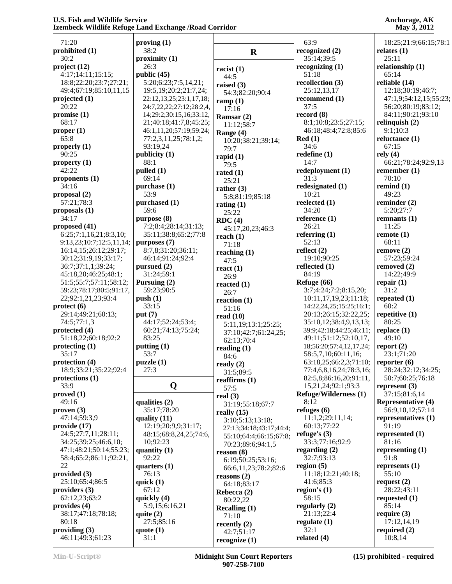| 71:20                    | proving $(1)$               |                            | 63:9                         | 18:25;21:9;66:15;78:1     |
|--------------------------|-----------------------------|----------------------------|------------------------------|---------------------------|
| prohibited (1)           | 38:2                        |                            | recognized (2)               | relates $(1)$             |
| 30:2                     | proximity(1)                | $\mathbf R$                | 35:14;39:5                   | 25:11                     |
| project (12)             | 26:3                        |                            | recognizing $(1)$            | relationship (1)          |
| 4:17;14:11;15:15;        | public $(45)$               | racist $(1)$               | 51:18                        | 65:14                     |
| 18:8;22:20;23:7;27:21;   | 5:20;6:23;7:5,14,21;        | 44:5                       | recollection (3)             | reliable (14)             |
| 49:4;67:19;85:10,11,15   | 19:5, 19: 20: 2: 21: 7, 24; | raised $(3)$               | 25:12,13,17                  | 12:18;30:19;46:7;         |
| projected (1)            | 22:12,13,25;23:1,17,18;     | 54:3;82:20;90:4            | recommend (1)                | 47:1,9;54:12,15;55:23;    |
| 20:22                    | 24:7,22,22;27:12;28:2,4,    | ramp $(1)$<br>17:16        | 37:5                         | 56:20;80:19;83:12;        |
| promise(1)               | 14;29:2;30:15,16;33:12,     |                            | record $(8)$                 | 84:11;90:21;93:10         |
| 68:17                    | 21;40:18;41:7,8;45:25;      | Ramsar $(2)$<br>11:12;58:7 | 8:1;10:8;23:5;27:15;         | relinquish $(2)$          |
| proper $(1)$             | 46:1,11,20;57:19;59:24;     | Range (4)                  | 46:18;48:4;72:8;85:6         | 9:1;10:3                  |
| 65:8                     | 77:2,3,11,25;78:1,2;        | 10:20;38:21;39:14;         | Red(1)                       | reluctance (1)            |
| properly $(1)$           | 93:19,24                    | 79:7                       | 34:6                         | 67:15                     |
| 90:25                    | publicity (1)               | rapid $(1)$                | redefine $(1)$               | rely $(4)$                |
| property (1)             | 88:1                        | 79:5                       | 14:7                         | 66:21;78:24;92:9,13       |
| 42:22                    | $p$ ulled $(1)$             | rated $(1)$                | redeployment (1)             | remember $(1)$            |
| proponents $(1)$         | 69:14                       | 25:21                      | 31:3                         | 70:10                     |
| 34:16                    | purchase (1)                | rather $(3)$               | redesignated (1)             | remind $(1)$              |
| proposal $(2)$           | 53:9                        | 5:8;81:19;85:18            | 10:21                        | 49:23                     |
| 57:21;78:3               | purchased (1)               | rating $(1)$               | reelected (1)                | reminder (2)              |
| proposals (1)            | 59:6                        | 25:22                      | 34:20                        | 5:20;27:7                 |
| 34:17                    | purpose (8)                 | RDC(4)                     | reference $(1)$              | remnants $(1)$            |
| proposed (41)            | 7:2;8:4;28:14;31:13;        | 45:17,20,23;46:3           | 26:21                        | 11:25                     |
| 6:25;7:1,16,21;8:3,10;   | 35:11;38:8;65:2;77:8        | reach $(1)$                | referring $(1)$              | remote(1)                 |
| 9:13,23;10:7;12:5,11,14; | purposes (7)                | 71:18                      | 52:13                        | 68:11                     |
| 16:14,15;26:12;29:17;    | 8:7,8;31:20;36:11;          | reaching $(1)$             | reflect $(2)$                | remove(2)                 |
| 30:12;31:9,19;33:17;     | 46:14;91:24;92:4            | 47:5                       | 19:10;90:25                  | 57:23;59:24               |
| 36:7;37:1,1;39:24;       | pursued $(2)$               | react $(1)$                | reflected (1)                | removed $(2)$             |
| 45:18,20;46:25;48:1;     | 31:24;59:1                  | 26:9                       | 84:19                        | 14:22;49:9                |
| 51:5;55:7;57:11;58:12;   | Pursuing (2)                | reacted $(1)$              | Refuge (66)                  | repair $(1)$              |
| 59:23;78:17;80:5;91:17,  | 59:23;90:5                  | 26:7                       | 3:7;4:24;7:2;8:15,20;        | 31:2                      |
| 22;92:1,21,23;93:4       | push(1)                     | reaction $(1)$             | 10:11,17,19,23;11:18;        | repeated $(1)$            |
| $\text{protect (6)}$     | 33:15                       | 51:16                      | 14:22,24,25;15:25;16:1;      | 60:2                      |
| 29:14;49:21;60:13;       | put $(7)$                   | read $(10)$                | 20:13;26:15;32:22,25;        | repetitive $(1)$          |
| 74:5;77:1,3              | 44:17;52:24;53:4;           | 5:11,19;13:1;25:25;        | 35:10,12;38:4,9,13,13;       | 80:25                     |
| protected (4)            | 60:21;74:13;75:24;          | 37:10;42:7;61:24,25;       | 39:9;42:18;44:25;46:11;      | replace $(1)$             |
| 51:18,22;60:18;92:2      | 83:25                       | 62:13;70:4                 | 49:11;51:12;52:10,17,        | 49:10                     |
| protectting (1)          | putting $(1)$               | reading $(1)$              | 18;56:20;57:4,12,17,24;      | report $(2)$              |
| 35:17                    | 53:7                        | 84:6                       | 58:5,7,10;60:11,16;          | 23:1;71:20                |
| protection (4)           | puzzle(1)                   | ready $(2)$                | 63:18,25;66:2,3;71:10;       | reporter $(6)$            |
| 18:9;33:21;35:22;92:4    | 27:3                        | 31:5;89:5                  | 77:4,6,8,16,24;78:3,16;      | 28:24;32:12;34:25;        |
| protections (1)          |                             | reaffirms $(1)$            | 82:5,8;86:16,20;91:11,       | 50:7;60:25;76:18          |
| 33:9                     | Q                           | 57:5                       | 15,21,24;92:1;93:3           | represent $(3)$           |
| proved(1)                |                             | real $(3)$                 | <b>Refuge/Wilderness (1)</b> | 37:15;81:6,14             |
| 49:16                    | qualities $(2)$             | 31:19;55:18;67:7           | 8:12                         | <b>Representative (4)</b> |
| proven(3)                | 35:17;78:20                 | really $(15)$              | refuges $(6)$                | 56:9,10,12;57:14          |
| 47:14:59:3,9             | quality $(11)$              | 3:10;5:13;13:18;           | 11:1,2;29:11,14;             | representatives (1)       |
| provide (17)             | 12:19;20:9,9;31:17;         | 27:13;34:18;43:17;44:4;    | 60:13;77:22                  | 91:19                     |
| 24:5;27:7,11;28:11;      | 48:15;68:8,24,25;74:6,      | 55:10;64:4;66:15;67:8;     | refuge's $(3)$               | represented (1)           |
| 34:25;39:25;46:6,10;     | 10;92:23                    | 70:23;89:6;94:1,5          | 33:3;77:16;92:9              | 81:16                     |
| 47:1;48:21;50:14;55:23;  | quantity $(1)$              | reason (8)                 | regarding $(2)$              | representing $(1)$        |
| 58:4;65:2;86:11;92:21,   | 92:22                       | 6:19;50:25;53:16;          | 32:7;93:13                   | 91:8                      |
| 22                       | quarters $(1)$              | 66:6, 11, 23; 78: 2; 82: 6 | region $(5)$                 | represents $(1)$          |
| provided (3)             | 76:13                       | reasons $(2)$              | 11:18;12:21;40:18;           | 55:10                     |
| 25:10;65:4;86:5          | quick $(1)$                 | 64:18;83:17                | 41:6;85:3                    | request $(2)$             |
| providers $(3)$          | 67:12                       | Rebecca (2)                | region's $(1)$               | 28:22;43:11               |
| 62:12,23;63:2            | quickly $(4)$               | 80:22,22                   | 58:15                        | requested $(1)$           |
| provides (4)             | 5:9,15;6:16,21              | Recalling $(1)$            | regularly $(2)$              | 85:14                     |
| 38:17;47:18;78:18;       | quite $(2)$                 | 71:10                      | 21:13;22:4                   | require $(3)$             |
| 80:18                    | 27:5;85:16                  | recently $(2)$             | regulate $(1)$               | 17:12,14,19               |
| providing $(3)$          | quote $(1)$                 | 42:7:51:17                 | 32:1                         | required $(2)$            |
| 46:11;49:3;61:23         | 31:1                        | recognize $(1)$            | related $(4)$                | 10:8,14                   |

**recognize (1)**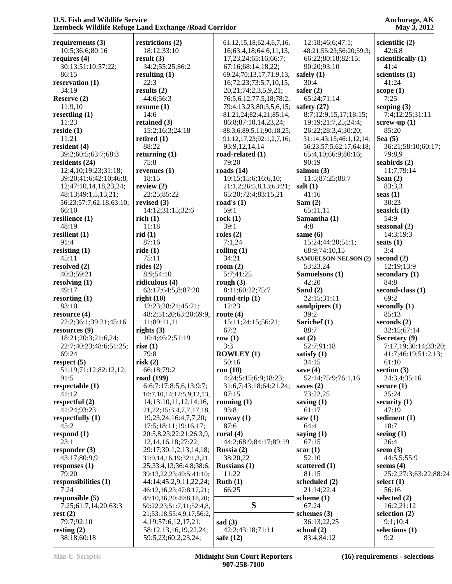| requirements (3)<br>10:5;36:6;80:16<br>requires $(4)$<br>30:13;51:10;57:22; | restrictions (2)                             |                                 |                             |                                         |
|-----------------------------------------------------------------------------|----------------------------------------------|---------------------------------|-----------------------------|-----------------------------------------|
|                                                                             |                                              | 61:12, 15, 18; 62: 4, 6, 7, 16, | 12:18;46:6;47:1;            | scientific $(2)$                        |
|                                                                             | 18:12;33:10                                  | 16;63:4,18;64:6,11,13,          | 48:21;55:23;56:20;59:3;     | 42:6,8                                  |
|                                                                             | result(3)                                    | 17,23,24;65:16;66:7;            | 66:22;80:18;82:15;          | scientifically (1)                      |
|                                                                             | 34:2;55:25;86:2                              | 67:16;68:14,18,22;              | 90:20;93:10                 | 41:4                                    |
| 86:15                                                                       | resulting $(1)$                              | 69:24;70:13,17;71:9,13,         | safely $(1)$                | scientists (1)                          |
| reservation (1)                                                             | 22:3                                         | 16;72:23;73:5,7,10,15,          | 30:4                        | 41:24                                   |
| 34:19                                                                       | results $(2)$                                |                                 | safer $(2)$                 |                                         |
|                                                                             |                                              | 20,21;74:2,3,5,9,21;            |                             | scope $(1)$<br>7:25                     |
| Reserve (2)                                                                 | 44:6;56:3                                    | 76:5,6,12;77:5,18;78:2;         | 65:24;71:14                 |                                         |
| 11:9,10                                                                     | resume $(1)$                                 | 79:4,13,23;80:3,5,6,15;         | safety $(27)$               | scoping $(3)$                           |
| resettling $(1)$                                                            | 14:6                                         | 81:21,24;82:4,21;85:14;         | 8:7;12:9,15,17;18:15;       | 7:4;12:25;31:11                         |
| 11:23                                                                       | retained $(3)$                               | 86:8;87:10,14,23,24;            | 19:19;21:7,25;24:4;         | screw-up $(1)$                          |
| reside(1)                                                                   | 15:2;16:3;24:18                              | 88:3,6;89:5,11;90:18,25;        | 26:22;28:3,4;30:20;         | 85:20                                   |
| 11:21                                                                       | retired $(1)$                                | 91:12,17,23;92:1,2,7,16;        | 31:14;43:15;46:1,12,14;     | Sea $(5)$                               |
| resident $(4)$                                                              | 88:22                                        | 93:9,12,14,14                   | 56:23;57:5;62:17;64:18;     | 36:21;58:10;60:17;                      |
| 39:2;60:5;63:7;68:3                                                         | returning $(1)$                              | road-related $(1)$              | 65:4,10;66:9;80:16;         | 79:8,9                                  |
| residents (24)                                                              | 75:8                                         | 79:20                           | 90:19                       | seabirds $(2)$                          |
| 12:4,10;19:23;31:18;                                                        | revenues $(1)$                               | roads $(14)$                    | salmon $(3)$                | 11:7;79:14                              |
| 39:20;41:6;42:10;46:8,                                                      | 18:15                                        | 10:15:15:6:16:6,10;             | 11:5;87:25;88:7             | Sean $(2)$                              |
| 12;47:10,14,18,23,24;                                                       | review $(2)$                                 | 21:1,2;26:5,8,13;63:21;         | salt $(1)$                  | 83:3,3                                  |
| 48:13;49:1,5,13,21;                                                         | 22:25;85:22                                  | 65:20;72:4;83:15,21             | 41:16                       | seas $(1)$                              |
| 56:23;57:7;62:18;63:10;                                                     | revised $(3)$                                | road's $(1)$                    | Sam $(2)$                   | 30:23                                   |
| 66:10                                                                       |                                              | 59:1                            |                             | seasick (1)                             |
|                                                                             | 14:12;31:15;32:6                             |                                 | 65:11,11                    |                                         |
| resilience (1)                                                              | rich(1)                                      | rock(1)                         | Samantha (1)                | 54:9                                    |
| 48:19                                                                       | 11:18                                        | 39:1                            | 4:8                         | seasonal $(2)$                          |
| resilient $(1)$                                                             | rid(1)                                       | roles $(2)$                     | same $(6)$                  | 14:3;19:3                               |
| 91:4                                                                        | 87:16                                        | 7:1,24                          | 15:24;44:20;51:1;           | seats $(1)$                             |
| resisting $(1)$                                                             | ride(1)                                      | rolling $(1)$                   | 68:9;74:10,15               | 3:4                                     |
| 45:11                                                                       | 75:11                                        | 34:21                           | <b>SAMUELSON-NELSON (2)</b> | second $(2)$                            |
| resolved (2)                                                                | rides $(2)$                                  | room $(2)$                      | 53:23,24                    | 12:19;13:9                              |
| 40:3;59:21                                                                  | 8:9;54:10                                    | 5:7:41:25                       | Samuelsons (1)              | secondary $(1)$                         |
| resolving $(1)$                                                             | ridiculous $(4)$                             | rough $(3)$                     | 42:20                       | 84:8                                    |
| 49:17                                                                       | 63:17;64:5,8;87:20                           | 8:11;60:22;75:7                 | Sand $(2)$                  | second-class (1)                        |
| resorting $(1)$                                                             | right $(10)$                                 | round-trip $(1)$                | 22:15;31:11                 | 69:2                                    |
| 83:10                                                                       | 12:23;28:21;45:21;                           | 12:23                           | sandpipers $(1)$            | secondly $(1)$                          |
| resource $(4)$                                                              | 48:2;51:20;63:20;69:9,                       | route $(4)$                     | 39:2                        | 85:13                                   |
| 22:2;36:1;39:21;45:16                                                       | 11;89:11,11                                  | 15:11;24:15;56:21;              | Sarichef (1)                | seconds $(2)$                           |
| resources (9)                                                               | rights $(3)$                                 | 67:2                            | 88:7                        | 32:15;67:14                             |
| 18:21;20:3;21:6,24;                                                         | 10:4;46:2;51:19                              | row $(1)$                       | sat $(2)$                   |                                         |
| 22:7;40:23;48:6;51:25;                                                      |                                              | 3:3                             | 52:7:91:18                  | Secretary (9)<br>7:17,19;30:14;33:20;   |
|                                                                             | rise $(1)$<br>79:8                           |                                 |                             |                                         |
|                                                                             |                                              | <b>ROWLEY (1)</b>               |                             |                                         |
| 69:24                                                                       |                                              |                                 | satisfy $(1)$               | 41:7;46:19;51:2,13;                     |
| respect $(5)$                                                               | risk(2)                                      | 50:16                           | 34:15                       | 61:10                                   |
| 51:19;71:12;82:12,12;                                                       | 66:18;79:2                                   | run $(10)$                      | save $(4)$                  | section $(3)$                           |
| 91:5                                                                        | road (199)                                   | 4:24;5:15;6:9;18:23;            | 52:14;75:9;76:1,16          | 24:3,4;35:16                            |
| respectable $(1)$                                                           | 6:6;7:17;8:5,6,13;9:7;                       | 31:6,7;43:18;64:21,24;          | saves $(2)$                 | secure $(1)$                            |
| 41:12                                                                       | 10:7, 10, 14; 12:5, 9, 12, 13,               | 87:15                           | 73:22,25                    | 35:24                                   |
| respectful $(2)$                                                            | 14;13:10,11,12;14:16,                        | running $(1)$                   | saving $(1)$                | security $(1)$                          |
| 41:24;93:23                                                                 | 21, 22; 15: 3, 4, 7, 7, 17, 18,              | 93:8                            | 61:17                       | 47:19                                   |
| respectfully $(1)$                                                          | 19, 23, 24; 16: 4, 7, 7, 20;                 | runway $(1)$                    | saw $(1)$                   | sediment (1)                            |
| 45:2                                                                        | 17:5;18:11;19:16,17;                         | 87:6                            | 64:4                        | 18:7                                    |
|                                                                             |                                              |                                 |                             | seeing $(1)$                            |
| respond $(1)$<br>23:1                                                       | 20:5,8,23;22:21;26:3,9,                      | rural $(4)$                     | saying $(1)$                |                                         |
|                                                                             | 12, 14, 16, 18; 27: 22;                      | 44:2;68:9;84:17;89:19           | 67:15                       | 26:4                                    |
| responder (3)                                                               | 29:17;30:1,2,13,14,18;                       | Russia $(2)$                    | scar(1)                     | seem $(3)$                              |
| 43:17;80:9,9                                                                | 31:9,14,16,19;32:1,3,21,                     | 38:20,22                        | 52:10                       | 44:5,5;55:9                             |
| responses $(1)$                                                             | 25;33:4,13;36:4,8;38:6;                      | Russians $(1)$                  | scattered (1)               | seems $(4)$                             |
| 79:20                                                                       | 39:13,22,23;40:5;41:10;                      | 11:22                           | 81:15                       |                                         |
| responsibilities (1)                                                        | 44:14;45:2,9,11,22,24;                       | Ruth(1)                         | scheduled $(2)$             | select $(1)$                            |
| 7:24                                                                        | 46:12,16,23;47:8,17,21;                      | 66:25                           | 21:14;22:4                  | 56:16                                   |
| responsible $(5)$                                                           | 48:10,16,20;49:8,18,20;                      |                                 | scheme $(1)$                | 25:2;27:3;63:22;88:24<br>selected $(2)$ |
| 7:25;61:7,14,20;63:3                                                        | 50:22,23;51:7,11;52:4,8,                     | S                               | 67:24                       | 16:2;21:12                              |
| rest(2)                                                                     | 21;53:18;55:4,9,17;56:2,                     |                                 | schemes $(3)$               | selection $(2)$                         |
| 79:7:92:10                                                                  | 4, 19; 57: 6, 12, 17, 21;                    | sad $(3)$                       | 36:13,22,25                 | 9:1;10:4                                |
| resting $(2)$<br>38:18;60:18                                                | 58:12,13,16,19,22,24;<br>59:5,23;60:2,23,24; | 42:2;43:18;71:11<br>safe $(12)$ | school (2)<br>83:4;84:12    | selections (1)<br>9:2                   |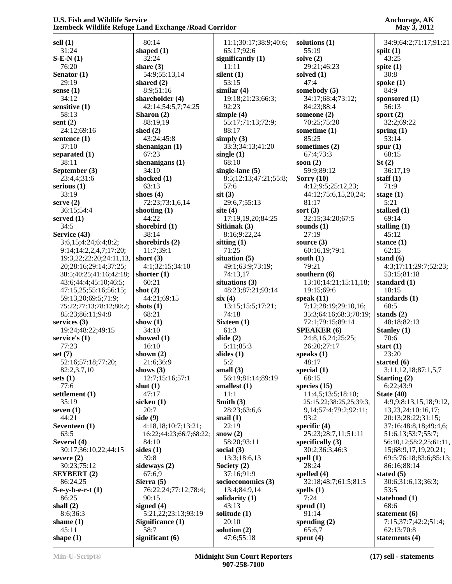**sell (1)** 31:24 **S-E-N (1)** 76:20 **Senator (1)** 29:19 **sense (1)** 34:12 **sensitive (1)** 58:13 **sent (2)** 24:12;69:16 **sentence (1)** 37:10 **separated (1)** 38:11 **September (3)** 23:4,4;31:6 **serious (1)** 33:19 **serve (2)** 36:15;54:4 **served (1)** 34:5 **Service (43)** 3:6,15;4:24;6:4;8:2; 9:14;14:2,2,4,7;17:20; 19:3,22;22:20;24:11,13, 20;28:16;29:14;37:25; 38:5;40:25;41:16;42:18; 43:6;44:4;45:10;46:5; 47:15,25;55:16;56:15; 59:13,20;69:5;71:9; 75:22;77:13;78:12;80:2; 85:23;86:11;94:8 **services (3)** 19:24;48:22;49:15 **service's (1)** 77:23 **set (7)** 52:16;57:18;77:20; 82:2,3,7,10 **sets (1)** 77:6 **settlement (1)** 35:19 **seven (1)** 44:21 **Seventeen (1)** 63:5 **Several (4)** 30:17;36:10,22;44:15 **severe (2)** 30:23;75:12 **SEYBERT (2)** 86:24,25 **S-e-y-b-e-r-t (1)** 86:25 **shall (2)** 8:6;36:3 **shame (1)** 45:11 **shape (1)**

 80:14 **shaped (1)** 32:24 **share (3)** 54:9;55:13,14 **shared (2)** 8:9;51:16 **shareholder (4)** 42:14;54:5,7;74:25 **Sharon (2)** 88:19,19 **shed (2)** 43:24;45:8 **shenanigan (1)** 67:23 **shenanigans (1)** 34:10 **shocked (1)** 63:13 **shoes (4)** 72:23;73:1,6,14 **shooting (1)** 44:22 **shorebird (1)** 38:14 **shorebirds (2)** 11:7;39:1 **short (3)** 4:1;32:15;34:10 **shorter (1)** 60:21 **shot (2)** 44:21;69:15 **shots (1)** 68:21 **show (1)** 34:10 **showed (1)** 16:10 **shown (2)** 21:6;36:9 **shows (3)** 12:7;15:16;57:1 **shut (1)** 47:17 **sicken (1)** 20:7 **side (9)** 4:18,18;10:7;13:21; 16:22;44:23;66:7;68:22; 84:10 **sides (1)** 39:8 **sideways (2)** 67:6,9 **Sierra (5)** 76:22,24;77:12;78:4; 90:15 **signed (4)** 5:21,22;23:13;93:19 **Significance (1)** 58:7 **significant (6)**

 11:1;30:17;38:9;40:6; 65:17;92:6 **significantly (1)** 11:11 **silent (1)** 53:15 **similar (4)** 19:18;21:23;66:3; 92:23 **simple (4)** 55:17;71:13;72:9; 88:17 **simply (3)** 33:3;34:13;41:20 **single (1)** 68:10 **single-lane (5)** 8:5;12:13;47:21;55:8; 57:6 **sit (3)** 29:6,7;55:13 **site (4)** 17:19,19,20;84:25 **Sitkinak (3)** 8:16;9:22,24 **sitting (1)** 71:25 **situation (5)** 49:1;63:9;73:19; 74:13,17 **situations (3)** 48:23;87:21;93:14 **six (4)** 13:15;15:5;17:21; 74:18 **Sixteen (1)** 61:3 **slide (2)** 5:11;85:3 **slides (1)** 5:2 **small (3)** 56:19;81:14;89:19 **smallest (1)** 11:1 **Smith (3)** 28:23;63:6,6 **snail (1)** 22:19 **snow (2)** 58:20;93:11 **social (3)** 13:3;18:6,13 **Society (2)** 37:16;91:9 **socioeconomics (3)** 13:4;84:9,14 **solidarity (1)** 43:13 **solitude (1)** 20:10 **solution (2)** 47:6;55:18

**solutions (1)** 55:19 **solve (2)** 29:21;46:23 **solved (1)** 47:4 **somebody (5)** 34:17;68:4;73:12; 84:23;88:4 **someone (2)** 70:25;75:20 **sometime (1)** 85:25 **sometimes (2)** 67:4;73:3 **soon (2)** 59:9;89:12 **Sorry (10)** 4:12;9:5;25:12,23; 44:12;75:6,15,20,24; 81:17 **sort (3)** 32:15;34:20;67:5 **sounds (1)** 27:19 **source (3)** 60:16,19;79:1 **south (1)** 79:21 **southern (6)** 13:10;14:21;15:11,18; 19:15;69:6 **speak (11)** 7:12;28:19;29:10,16; 35:3;64:16;68:3;70:19; 72:1;79:15;89:14 **SPEAKER (6)** 24:8,16,24;25:25; 26:20;27:17 **speaks (1)** 48:17 **special (1)** 68:15 **species (15)** 11:4,5;13:5;18:10; 25:15,22;38:25,25;39:3, 9,14;57:4;79:2;92:11; 93:2 **specific (4)** 25:23;28:7,11;51:11 **specifically (3)** 30:2;36:3;46:3 **spell (1)** 28:24 **spelled (4)** 32:18;48:7;61:5;81:5 **spells (1)** 7:24 **spend (1)** 91:14 **spending (2)** 65:6,7

**Anchorage, AK May 3, 2012**

 34:9;64:2;71:17;91:21 **spilt (1)** 43:25 **spite (1)** 30:8 **spoke (1)** 84:9 **sponsored (1)** 56:13 **sport (2)** 32:2;69:22 **spring (1)** 53:14 **spur (1)** 68:15 **St (2)** 36:17,19 **staff (1)** 71:9 **stage (1)** 5:21 **stalked (1)** 69:14 **stalling (1)** 45:12 **stance (1)** 62:15 **stand (6)** 4:3;17:11;29:7;52:23; 53:15;81:18 **standard (1)** 18:15 **standards (1)** 68:5 **stands (2)** 48:18;82:13 **Stanley (1)** 70:6 **start (1)** 23:20 **started (6)** 3:11,12,18;87:1,5,7 **Starting (2)** 6:22;43:9 **State (40)** 4:9,9;8:13,15,18;9:12, 13,23,24;10:16,17; 20:13;28:22;31:15; 37:16;48:8,18;49:4,6; 51:6,13;53:7;55:7; 56:10,12;58:2,25;61:11, 15;68:9,17,19,20,21; 69:5;76:18;83:6;85:13; 86:16;88:14 **stated (5)** 30:6;31:6,13;36:3; 53:5 **statehood (1)** 68:6 **statement (6)** 7:15;37:7;42:2;51:4; 62:13;70:8 **statements (4)**

**spent (4)**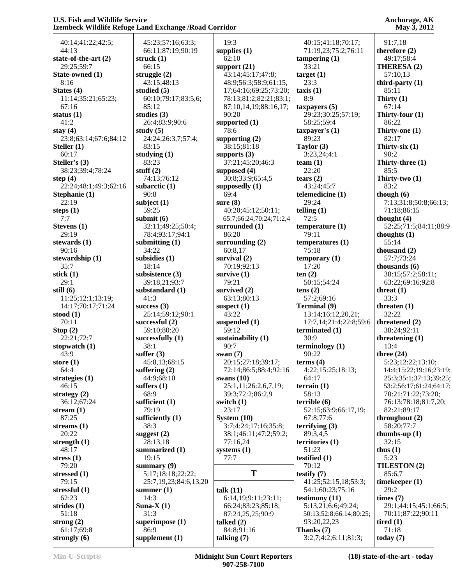| 40:14;41:22;42:5;             | 45:23;57:16;63:3;               | 19:3                     | 40:15;41:18;70:17;       | 91:7,18                       |
|-------------------------------|---------------------------------|--------------------------|--------------------------|-------------------------------|
| 44:13                         | 66:11;87:19;90:19               | supplies $(1)$           | 71:19,23;75:2;76:11      | therefore (2)                 |
| state-of-the-art (2)          | struck $(1)$                    | 62:10                    | tampering $(1)$          | 49:17;58:4                    |
| 29:25;59:7                    | 66:15                           | support $(21)$           | 33:21                    | THERESA (2)                   |
| State-owned (1)               | struggle $(2)$                  | 43:14;45:17;47:8;        | target(1)                | 57:10,13                      |
| 8:16                          | 43:15:48:13                     | 48:9;56:3;58:9;61:15,    | 23:3                     | third-party $(1)$             |
| States (4)                    | studied $(5)$                   | 17;64:16;69:25;73:20;    | taxis(1)                 | 85:11                         |
| 11:14;35:21;65:23;            | 60:10;79:17;83:5,6;             | 78:13;81:2;82:21;83:1;   | 8:9                      | Thirty $(1)$                  |
| 67:16                         | 85:12                           | 87:10,14,19;88:16,17;    | taxpayers $(5)$          | 67:14                         |
| status $(1)$                  | studies $(3)$                   | 90:20                    | 29:23;30:25;57:19;       | Thirty-four $(1)$             |
| 41:2                          | 26:4;83:9;90:6                  | supported $(1)$          | 58:25;59:4               | 86:22                         |
| stay $(4)$                    | study $(5)$                     | 78:6                     | taxpayer's $(1)$         | Thirty-one (1)                |
| 23:8;63:14;67:6;84:12         | 24:24;26:3,7;57:4;              | supporting $(2)$         | 89:23                    | 82:17                         |
| Steller $(1)$                 | 83:15                           | 38:15;81:18              | Taylor $(3)$             | Thirty-six $(1)$              |
| 60:17                         | studying $(1)$                  | supports $(3)$           | 3:23,24;4:1              | 90:2                          |
| Steller's (3)                 | 83:23                           | 37:21;45:20;46:3         | team $(1)$               | Thirty-three (1)              |
| 38:23;39:4;78:24              | stuff $(2)$                     | supposed $(4)$           | 22:20                    | 85:5                          |
| step $(4)$                    | 74:13;76:12                     | 30:8;33:9;65:4,5         | tears $(2)$              | Thirty-two $(1)$              |
| 22:24;48:1;49:3;62:16         | subarctic $(1)$                 | supposedly (1)           | 43:24;45:7               | 83:2                          |
| Stephanie (1)                 | 90:8                            | 69:4                     | telemedicine (1)         | though $(6)$                  |
| 22:19                         | subject $(1)$                   | sure $(8)$               | 29:24                    | 7:13;31:8;50:8;66:13;         |
| steps $(1)$                   | 59:25                           | 40:20;45:12;50:11;       | telling $(1)$            | 71:18;86:15                   |
| 7:7                           | submit $(6)$                    | 65:7;66:24;70:24;71:2,4  | 72:5                     | thought $(4)$                 |
| Stevens (1)                   | 32:11;49:25;50:4;               | surrounded (1)           | temperature $(1)$        | 52:25;71:5;84:11;88:9         |
| 29:19                         | 78:4;93:17;94:1                 | 86:20                    | 79:11                    | thoughts $(1)$                |
| stewards $(1)$                | submitting $(1)$                | surrounding $(2)$        | temperatures (1)         | 55:14                         |
| 90:16                         | 34:22                           | 60:8,17                  | 75:18                    | thousand $(2)$                |
| stewardship (1)               | subsidies (1)                   | survival $(2)$           | temporary $(1)$          | 57:7;73:24                    |
| 35:7                          | 18:14                           | 70:19;92:13              | 17:20                    | thousands $(6)$               |
| stick $(1)$                   | subsistence (3)                 | survive $(1)$            | ten(2)                   | 38:15;57:2;58:11;             |
| 29:1                          | 39:18,21;93:7                   | 79:21                    | 50:15;54:24              | 63:22;69:16;92:8              |
| still $(6)$                   | substandard (1)                 | survived $(2)$           | tens $(2)$               | threat $(1)$                  |
| 11:25;12:1;13:19;             | 41:3                            | 63:13;80:13              | 57:2;69:16               | 33:3                          |
| 14:17;70:17;71:24             | success $(3)$                   | suspect $(1)$<br>43:22   | <b>Terminal</b> (9)      | threaten $(1)$                |
| stood $(1)$                   | 25:14;59:12;90:1                |                          | 13:14;16:12,20,21;       | 32:22                         |
| 70:11                         | successful $(2)$<br>59:10;80:20 | suspended $(1)$<br>59:12 | 17:7,14;21:4;22:8;59:6   | threatened (2)<br>38:24;92:11 |
| Stop(2)                       | successfully $(1)$              | sustainability (1)       | terminated (1)<br>30:9   |                               |
| 22:21;72:7<br>stopwatch $(1)$ | 38:1                            | 90:7                     | terminology $(1)$        | threatening $(1)$<br>13:4     |
| 43:9                          | suffer $(3)$                    | swan $(7)$               | 90:22                    | three $(24)$                  |
| store $(1)$                   | 45:8,13;68:15                   | 20:15;27:18;39:17;       | terms $(4)$              | 5:23;12:22;13:10;             |
| 64:4                          | suffering $(2)$                 | 72:14;86:5;88:4;92:16    | 4:22;15:25;18:13;        | 14:4;15:22;19:16;23:19;       |
| strategies $(1)$              | 44:9;68:10                      | swans $(10)$             | 64:17                    | 25:3;35:1;37:13;39:25;        |
| 46:15                         | suffers $(1)$                   | 25:1,11;26:2,6,7,19;     | terrain $(1)$            | 53:2;56:17;61:24;64:17;       |
| strategy $(2)$                | 68:9                            | 39:3;72:2;86:2,9         | 58:13                    | 70:21;71:22;73:20;            |
| 36:12;67:24                   | sufficient $(1)$                | switch $(1)$             | terrible(6)              | 76:13;78:18;81:7,20;          |
| stream $(1)$                  | 79:19                           | 23:17                    | 52:15;63:9;66:17,19;     | 82:21;89:17                   |
| 87:25                         | sufficiently $(1)$              | System $(10)$            | 67:8;77:6                | throughout $(2)$              |
| streams $(1)$                 | 38:3                            | 3:7;4:24;17:16;35:8;     | $\text{terrifying } (3)$ | 58:20;77:7                    |
| 20:22                         | suggest $(2)$                   | 38:1;46:11;47:2;59:2;    | 89:3,4,5                 | thumbs-up $(1)$               |
| strength $(1)$                | 28:13,18                        | 77:16,24                 | territories $(1)$        | 32:15                         |
| 48:17                         | summarized (1)                  | systems $(1)$            | 51:23                    | thus $(1)$                    |
| stress $(1)$                  | 19:15                           | 77:7                     | testified (1)            | 5:23                          |
| 79:20                         | summary $(9)$                   |                          | 70:12                    | TILESTON (2)                  |
| stressed $(1)$                | 5:17;18:18;22:22;               | T                        | testify $(7)$            | 85:6,7                        |
| 79:15                         | 25:7,19,23;84:6,13,20           |                          | 41:25;52:15,18;53:3;     | timekeeper $(1)$              |
| stressful $(1)$               | summer $(1)$                    | talk (11)                | 54:1;60:23;75:16         | 29:2                          |
| 62:23                         | 14:3                            | 6:14,19;9:11;23:11;      | testimony $(11)$         | times (7)                     |
| strides $(1)$                 | Suna- $X(1)$                    | 66:24;83:23;85:18;       | 5:13,21;6:6;49:24;       | 29:1;44:15;45:1;66:5;         |
| 51:18                         | 31:3                            | 87:24,25,25;90:9         | 50:13;52:8;66:14;80:25;  | 70:11;87:22;90:11             |
| strong $(2)$                  | superimpose (1)                 | talked $(2)$             | 93:20,22,23              | tired $(1)$                   |
| 61:17;69:8                    | 86:9                            | 84:8;91:16               | Thanks (7)               | 71:18                         |
| strongly $(6)$                | supplement $(1)$                | talking $(7)$            | 3:2,7;4:2;6:11;81:3;     | today $(7)$                   |
|                               |                                 |                          |                          |                               |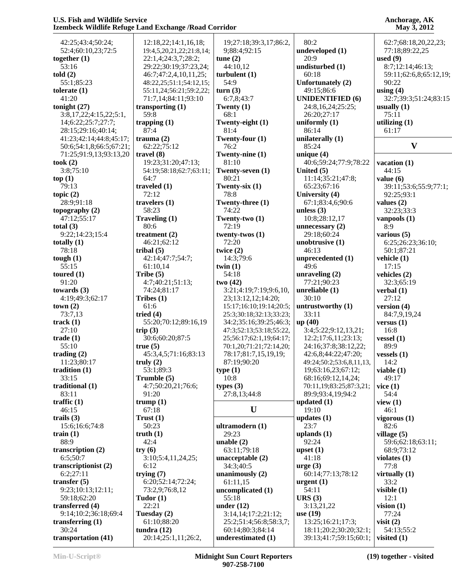| 42:25;43:4;50:24;       | 12:18,22;14:1,16,18;     | 19;27:18;39:3,17;86:2,  | 80:2                     | 62:7;68:18,20,22,23;   |
|-------------------------|--------------------------|-------------------------|--------------------------|------------------------|
| 52:4;60:10,23;72:5      | 19:4,5,20,21,22;21:8,14; | 9;88:4;92:15            | undeveloped (1)          | 77:18;89:22,25         |
| together $(1)$          | 22:1,4;24:3,7;28:2;      | tune $(2)$              | 20:9                     | used $(9)$             |
| 53:16                   | 29:22;30:19;37:23,24;    | 44:10,12                | undisturbed (1)          | 8:7;12:14;46:13;       |
| told(2)                 | 46:7;47:2,4,10,11,25;    | turbulent $(1)$         | 60:18                    | 59:11;62:6,8;65:12,19; |
| 55:1;85:23              | 48:22,25;51:1;54:12,15;  | 54:9                    | Unfortunately (2)        | 90:22                  |
| tolerate $(1)$          | 55:11,24;56:21;59:2,22;  | turn(3)                 | 49:15;86:6               | using $(4)$            |
| 41:20                   | 71:7,14;84:11;93:10      | 6:7,8;43:7              | <b>UNIDENTIFIED (6)</b>  | 32:7;39:3;51:24;83:15  |
| tonight $(27)$          | transporting $(1)$       | Twenty $(1)$            | 24:8,16,24;25:25;        | usually $(1)$          |
| 3:8,17,22;4:15,22;5:1,  | 59:8                     | 68:1                    | 26:20;27:17              | 75:11                  |
| 14;6:22;25:7;27:7;      | trapping $(1)$           | Twenty-eight (1)        | uniformly $(1)$          | utilizing $(1)$        |
| 28:15;29:16;40:14;      | 87:4                     | 81:4                    | 86:14                    | 61:17                  |
| 41:23;42:14;44:8;45:17; | trauma $(2)$             | Twenty-four (1)         | unilaterally $(1)$       |                        |
| 50:6;54:1,8;66:5;67:21; | 62:22;75:12              | 76:2                    | 85:24                    | $\mathbf{V}$           |
| 71:25;91:9,13;93:13,20  | travel $(8)$             | Twenty-nine (1)         | unique $(4)$             |                        |
| took $(2)$              | 19:23;31:20;47:13;       | 81:10                   | 40:6;59:24;77:9;78:22    | vacation (1)           |
| 3:8;75:10               | 54:19;58:18;62:7;63:11;  | Twenty-seven (1)        | United (5)               | 44:15                  |
| top(1)                  | 64:7                     | 80:21                   | 11:14;35:21;47:8;        | value $(6)$            |
| 79:13                   | traveled $(1)$           | Twenty-six $(1)$        | 65:23;67:16              | 39:11;53:6;55:9;77:1;  |
| topic $(2)$             | 72:12                    | 78:8                    | University (4)           | 92:25:93:1             |
| 28:9;91:18              | travelers $(1)$          | Twenty-three (1)        | 67:1;83:4,6;90:6         | values $(2)$           |
| topography $(2)$        | 58:23                    | 74:22                   | unless $(3)$             | 32:23;33:3             |
| 47:12:55:17             | Traveling (1)            | Twenty-two (1)          | 10:8;28:12,17            | vanpools $(1)$         |
| total $(3)$             | 80:6                     | 72:19                   | unnecessary $(2)$        | 8:9                    |
| 9:22;14:23;15:4         | treatment $(2)$          | twenty-twos (1)         | 29:18;60:24              | various (5)            |
| totally $(1)$           | 46:21:62:12              | 72:20                   | unobtrusive $(1)$        | 6:25;26:23;36:10;      |
| 78:18                   | tribal $(5)$             | twice $(2)$             | 46:13                    | 50:1;87:21             |
| tough $(1)$             | 42:14;47:7;54:7;         | 14:3;79:6               | unprecedented (1)        | vehicle (1)            |
| 55:15                   | 61:10,14                 | twin $(1)$              | 49:6                     | 17:15                  |
| toured $(1)$            | Tribe $(5)$              | 54:18                   | unraveling $(2)$         | vehicles (2)           |
| 91:20                   | 4:7;40:21;51:13;         | two(42)                 | 77:21;90:23              | 32:3;65:19             |
| towards $(3)$           | 74:24;81:17              | 3:21;4:19;7:19;9:6,10,  | unreliable (1)           | verbal $(1)$           |
| 4:19;49:3;62:17         | Tribes $(1)$             | 23;13:12,12;14:20;      | 30:10                    | 27:12                  |
| town(2)                 | 61:6                     | 15:17;16:10;19:14;20:5; | untrustworthy (1)        | version $(4)$          |
| 73:7,13                 | tried $(4)$              | 25:3;30:18;32:13;33:23; | 33:11                    | 84:7,9,19,24           |
| track $(1)$             | 55:20;70:12;89:16,19     | 34:2;35:16;39:25;46:3;  | up (40)                  | versus $(1)$           |
| 27:10                   | trip $(3)$               | 47:3;52:13;53:18;55:22, | 3:4;5:22;9:12,13,21;     | 16:8                   |
| trade(1)                | 30:6;60:20;87:5          | 25;56:17;62:1,19;64:17; | 12:2;17:6,11;23:13;      | vessel $(1)$           |
| 55:10                   | true(5)                  | 70:1,20;71:21;72:14,20; | 24:16;37:8;38:12,22;     | 89:9                   |
| trading $(2)$           | 45:3,4,5;71:16;83:13     | 78:17;81:7,15,19,19;    | 42:6,8;44:22;47:20;      | vessels $(1)$          |
| 11:23;80:17             | truly $(2)$              | 87:19;90:20             | 49:24;50:2;53:6,8,11,13, | 14:2                   |
| tradition $(1)$         | 53:1;89:3                | type $(1)$              | 19;63:16,23;67:12;       | viable $(1)$           |
| 33:15                   | Trumble (5)              | 10:8                    | 68:16;69:12,14,24;       | 49:17                  |
| traditional $(1)$       | 4:7;50:20,21;76:6;       | types $(3)$             | 70:11,19;83:25;87:3,21;  | vice(1)                |
| 83:11                   | 91:20                    | 27:8,13;44:8            | 89:9;93:4,19;94:2        | 54:4                   |
| traffic $(1)$           | trump(1)                 |                         | updated $(1)$            | view $(1)$             |
| 46:15                   | 67:18                    | U                       | 19:10                    | 46:1                   |
| trails $(3)$            | Trust(1)                 |                         | updates $(1)$            | vigorous $(1)$         |
| 15:6;16:6;74:8          | 50:23                    | ultramodern (1)         | 23:7                     | 82:6                   |
| train $(1)$             | truth $(1)$              | 29:23                   | uplands $(1)$            | village $(5)$          |
| 88:9                    | 42:4                     | unable $(2)$            | 92:24                    | 59:6;62:18;63:11;      |
| transcription (2)       | try(6)                   | 63:11;79:18             | upset $(1)$              | 68:9;73:12             |
| 6:5;50:7                | 3:10;5:4,11,24,25;       | unacceptable $(2)$      | 41:18                    | violates $(1)$         |
| transcriptionist (2)    | 6:12                     | 34:3;40:5               | $ arg e (3)$             | 77:8                   |
| 6:2;27:11               | trying $(7)$             | unanimously $(2)$       | 60:14;77:13;78:12        | virtually $(1)$        |
| transfer $(5)$          | 6:20;52:14;72:24;        | 61:11,15                | urgent $(1)$             | 33:2                   |
| 9:23;10:13;12:11;       | 73:2,9;76:8,12           | uncomplicated (1)       | 54:11                    | visible $(1)$          |
| 59:18;62:20             | Tudor $(1)$              | 55:18                   | URS(3)                   | 12:1                   |
| transferred (4)         | 22:21                    | under $(12)$            | 3:13,21,22               | vision $(1)$           |
| 9:14;10:2;36:18;69:4    | Tuesday (2)              | 3:14,14;17:2;21:12;     | use $(19)$               | 77:24                  |
| transferring $(1)$      | 61:10;88:20              | 25:2;51:4;56:8;58:3,7;  | 13:25;16:21;17:3;        | visit $(2)$            |
| 30:24                   | tundra $(12)$            | 60:14;80:3;84:14        | 18:11;20:2;30:20;32:1;   | 54:13;55:2             |
| transportation (41)     | 20:14;25:1,11;26:2,      | underestimated (1)      | 39:13;41:7;59:15;60:1;   | visited $(1)$          |
|                         |                          |                         |                          |                        |